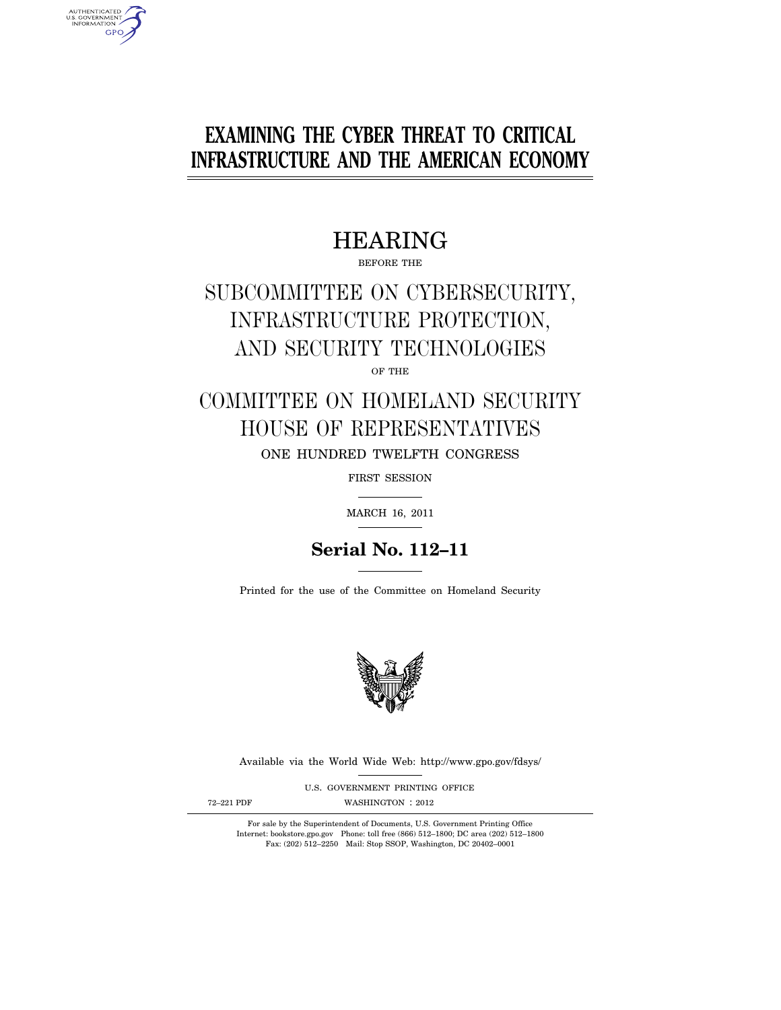# **EXAMINING THE CYBER THREAT TO CRITICAL INFRASTRUCTURE AND THE AMERICAN ECONOMY**

## HEARING

BEFORE THE

# SUBCOMMITTEE ON CYBERSECURITY, INFRASTRUCTURE PROTECTION, AND SECURITY TECHNOLOGIES

OF THE

COMMITTEE ON HOMELAND SECURITY HOUSE OF REPRESENTATIVES ONE HUNDRED TWELFTH CONGRESS

FIRST SESSION

MARCH 16, 2011

## **Serial No. 112–11**

Printed for the use of the Committee on Homeland Security



Available via the World Wide Web: http://www.gpo.gov/fdsys/

U.S. GOVERNMENT PRINTING OFFICE 72-221 PDF WASHINGTON : 2012

AUTHENTICATED<br>U.S. GOVERNMENT<br>INFORMATION **GPO** 

For sale by the Superintendent of Documents, U.S. Government Printing Office

Internet: bookstore.gpo.gov Phone: toll free (866) 512–1800; DC area (202) 512–1800 Fax: (202) 512–2250 Mail: Stop SSOP, Washington, DC 20402–0001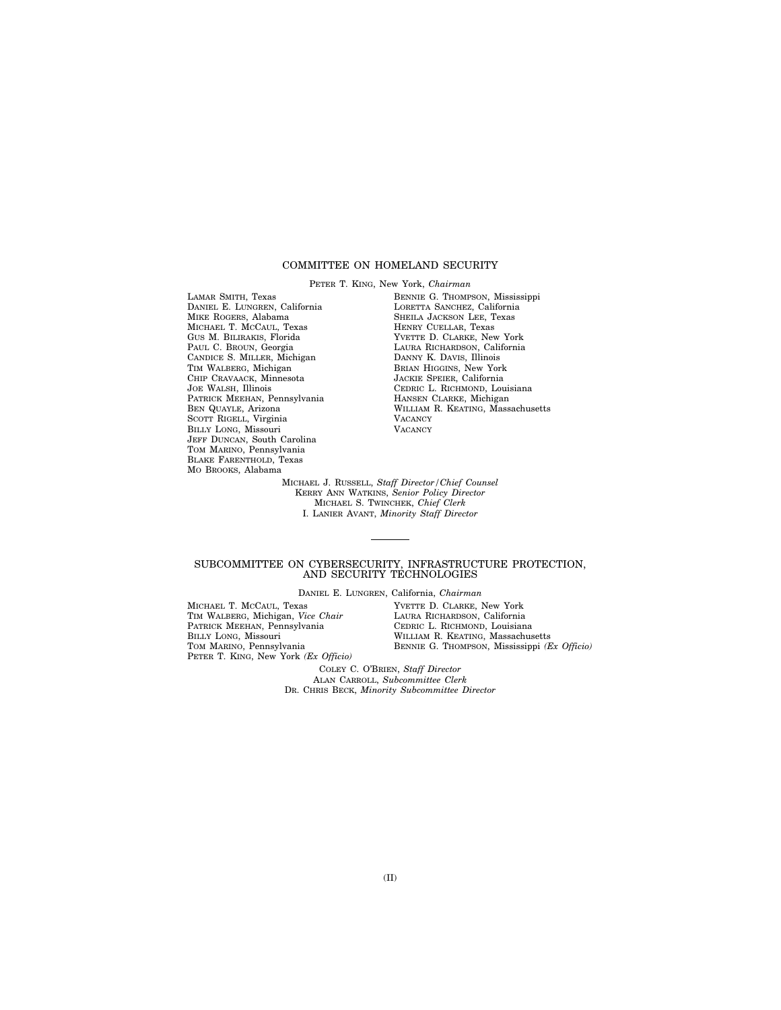## COMMITTEE ON HOMELAND SECURITY

PETER T. KING, New York, *Chairman*  LAMAR SMITH, Texas DANIEL E. LUNGREN, California MIKE ROGERS, Alabama MICHAEL T. MCCAUL, Texas GUS M. BILIRAKIS, Florida PAUL C. BROUN, Georgia CANDICE S. MILLER, Michigan TIM WALBERG, Michigan CHIP CRAVAACK, Minnesota JOE WALSH, Illinois PATRICK MEEHAN, Pennsylvania BEN QUAYLE, Arizona SCOTT RIGELL, Virginia BILLY LONG, Missouri JEFF DUNCAN, South Carolina TOM MARINO, Pennsylvania BLAKE FARENTHOLD, Texas MO BROOKS, Alabama

BENNIE G. THOMPSON, Mississippi LORETTA SANCHEZ, California SHEILA JACKSON LEE, Texas HENRY CUELLAR, Texas YVETTE D. CLARKE, New York LAURA RICHARDSON, California DANNY K. DAVIS, Illinois BRIAN HIGGINS, New York JACKIE SPEIER, California CEDRIC L. RICHMOND, Louisiana HANSEN CLARKE, Michigan WILLIAM R. KEATING, Massachusetts **VACANCY VACANCY** 

MICHAEL J. RUSSELL, *Staff Director/Chief Counsel*  KERRY ANN WATKINS, *Senior Policy Director*  MICHAEL S. TWINCHEK, *Chief Clerk*  I. LANIER AVANT, *Minority Staff Director* 

### SUBCOMMITTEE ON CYBERSECURITY, INFRASTRUCTURE PROTECTION, AND SECURITY TECHNOLOGIES

DANIEL E. LUNGREN, California, *Chairman* 

MICHAEL T. MCCAUL, Texas TIM WALBERG, Michigan, *Vice Chair*  PATRICK MEEHAN, Pennsylvania BILLY LONG, Missouri TOM MARINO, Pennsylvania PETER T. KING, New York *(Ex Officio)* 

YVETTE D. CLARKE, New York LAURA RICHARDSON, California CEDRIC L. RICHMOND, Louisiana WILLIAM R. KEATING, Massachusetts BENNIE G. THOMPSON, Mississippi *(Ex Officio)* 

COLEY C. O'BRIEN, *Staff Director*  ALAN CARROLL, *Subcommittee Clerk*  DR. CHRIS BECK, *Minority Subcommittee Director*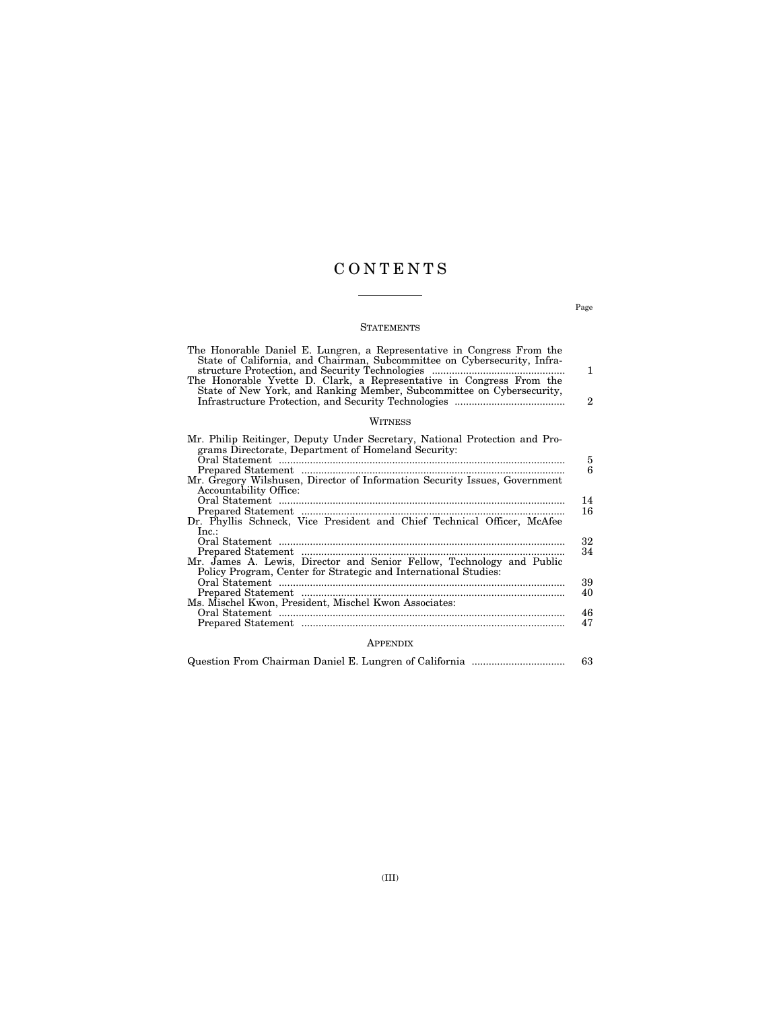## C O N T E N T S

## **STATEMENTS**

| The Honorable Daniel E. Lungren, a Representative in Congress From the<br>State of California, and Chairman, Subcommittee on Cybersecurity, Infra-<br>The Honorable Yvette D. Clark, a Representative in Congress From the<br>State of New York, and Ranking Member, Subcommittee on Cybersecurity, | 1<br>$\mathbf{2}$ |  |  |  |  |  |  |  |  |
|-----------------------------------------------------------------------------------------------------------------------------------------------------------------------------------------------------------------------------------------------------------------------------------------------------|-------------------|--|--|--|--|--|--|--|--|
| WITNESS                                                                                                                                                                                                                                                                                             |                   |  |  |  |  |  |  |  |  |
| Mr. Philip Reitinger, Deputy Under Secretary, National Protection and Pro-<br>grams Directorate, Department of Homeland Security:                                                                                                                                                                   | 5<br>6            |  |  |  |  |  |  |  |  |
| Mr. Gregory Wilshusen, Director of Information Security Issues, Government                                                                                                                                                                                                                          |                   |  |  |  |  |  |  |  |  |
| Accountability Office:<br>Dr. Phyllis Schneck, Vice President and Chief Technical Officer, McAfee<br>Inc.                                                                                                                                                                                           | 14<br>16          |  |  |  |  |  |  |  |  |
| Mr. James A. Lewis, Director and Senior Fellow, Technology and Public<br>Policy Program, Center for Strategic and International Studies:                                                                                                                                                            | 32<br>34          |  |  |  |  |  |  |  |  |
|                                                                                                                                                                                                                                                                                                     | 39<br>40          |  |  |  |  |  |  |  |  |
| Ms. Mischel Kwon, President, Mischel Kwon Associates:                                                                                                                                                                                                                                               | 46<br>47          |  |  |  |  |  |  |  |  |

## APPENDIX

|  |  |  |  |  |  |  |  |  |  | 63 |  |
|--|--|--|--|--|--|--|--|--|--|----|--|
|--|--|--|--|--|--|--|--|--|--|----|--|

Page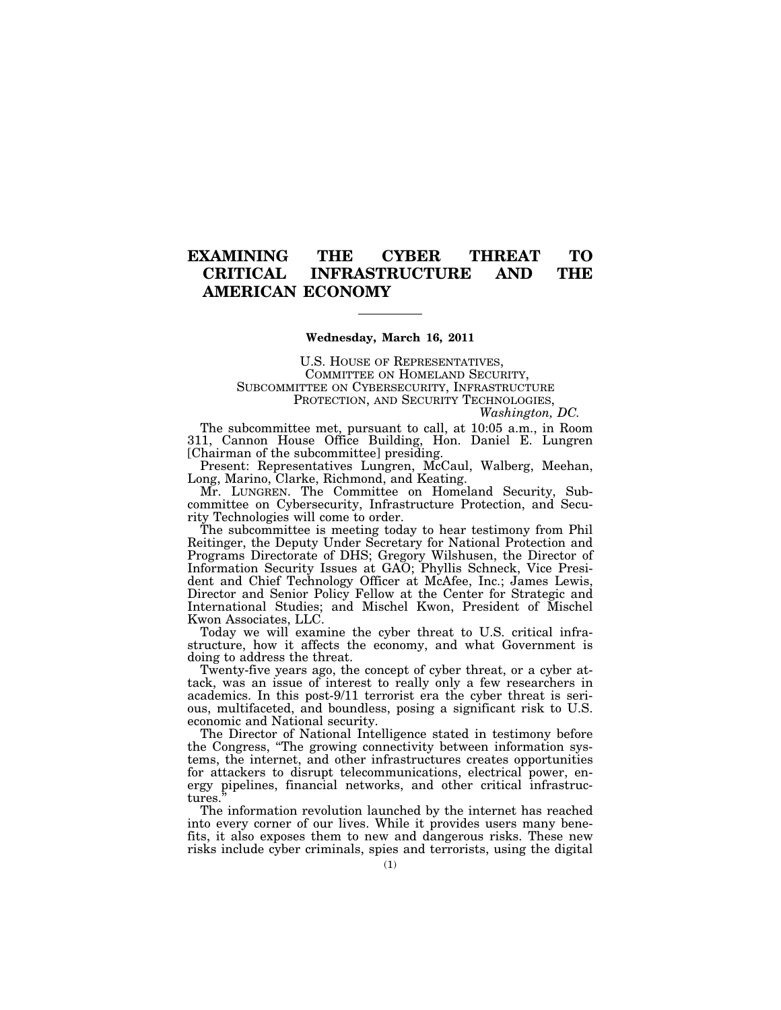## **EXAMINING THE CYBER THREAT TO CRITICAL INFRASTRUCTURE AND THE AMERICAN ECONOMY**

## **Wednesday, March 16, 2011**

U.S. HOUSE OF REPRESENTATIVES, COMMITTEE ON HOMELAND SECURITY, SUBCOMMITTEE ON CYBERSECURITY, INFRASTRUCTURE PROTECTION, AND SECURITY TECHNOLOGIES,

*Washington, DC.* 

The subcommittee met, pursuant to call, at 10:05 a.m., in Room 311, Cannon House Office Building, Hon. Daniel E. Lungren [Chairman of the subcommittee] presiding.

Present: Representatives Lungren, McCaul, Walberg, Meehan, Long, Marino, Clarke, Richmond, and Keating.

Mr. LUNGREN. The Committee on Homeland Security, Subcommittee on Cybersecurity, Infrastructure Protection, and Security Technologies will come to order.

The subcommittee is meeting today to hear testimony from Phil Reitinger, the Deputy Under Secretary for National Protection and Programs Directorate of DHS; Gregory Wilshusen, the Director of Information Security Issues at GAO; Phyllis Schneck, Vice President and Chief Technology Officer at McAfee, Inc.; James Lewis, Director and Senior Policy Fellow at the Center for Strategic and International Studies; and Mischel Kwon, President of Mischel Kwon Associates, LLC.

Today we will examine the cyber threat to U.S. critical infrastructure, how it affects the economy, and what Government is doing to address the threat.

Twenty-five years ago, the concept of cyber threat, or a cyber attack, was an issue of interest to really only a few researchers in academics. In this post-9/11 terrorist era the cyber threat is serious, multifaceted, and boundless, posing a significant risk to U.S. economic and National security.

The Director of National Intelligence stated in testimony before the Congress, ''The growing connectivity between information systems, the internet, and other infrastructures creates opportunities for attackers to disrupt telecommunications, electrical power, energy pipelines, financial networks, and other critical infrastructures.''

The information revolution launched by the internet has reached into every corner of our lives. While it provides users many benefits, it also exposes them to new and dangerous risks. These new risks include cyber criminals, spies and terrorists, using the digital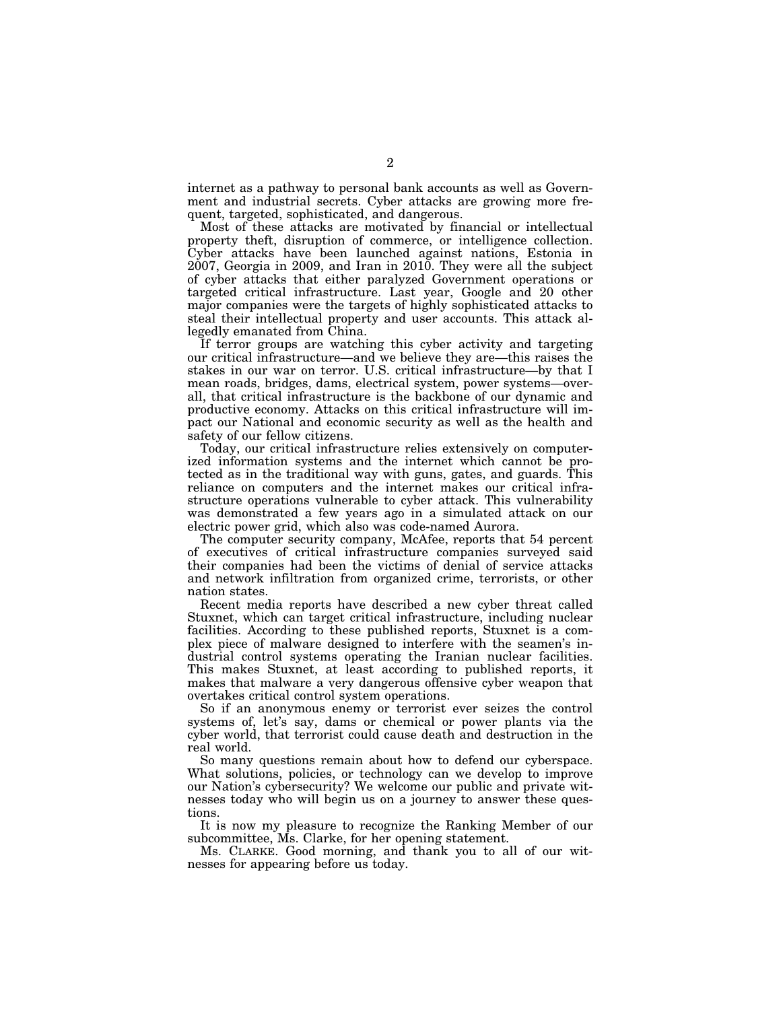internet as a pathway to personal bank accounts as well as Government and industrial secrets. Cyber attacks are growing more frequent, targeted, sophisticated, and dangerous.

Most of these attacks are motivated by financial or intellectual property theft, disruption of commerce, or intelligence collection. Cyber attacks have been launched against nations, Estonia in 2007, Georgia in 2009, and Iran in 2010. They were all the subject of cyber attacks that either paralyzed Government operations or targeted critical infrastructure. Last year, Google and 20 other major companies were the targets of highly sophisticated attacks to steal their intellectual property and user accounts. This attack allegedly emanated from China.

If terror groups are watching this cyber activity and targeting our critical infrastructure—and we believe they are—this raises the stakes in our war on terror. U.S. critical infrastructure—by that I mean roads, bridges, dams, electrical system, power systems—overall, that critical infrastructure is the backbone of our dynamic and productive economy. Attacks on this critical infrastructure will impact our National and economic security as well as the health and safety of our fellow citizens.

Today, our critical infrastructure relies extensively on computerized information systems and the internet which cannot be protected as in the traditional way with guns, gates, and guards. This reliance on computers and the internet makes our critical infrastructure operations vulnerable to cyber attack. This vulnerability was demonstrated a few years ago in a simulated attack on our electric power grid, which also was code-named Aurora.

The computer security company, McAfee, reports that 54 percent of executives of critical infrastructure companies surveyed said their companies had been the victims of denial of service attacks and network infiltration from organized crime, terrorists, or other nation states.

Recent media reports have described a new cyber threat called Stuxnet, which can target critical infrastructure, including nuclear facilities. According to these published reports, Stuxnet is a complex piece of malware designed to interfere with the seamen's industrial control systems operating the Iranian nuclear facilities. This makes Stuxnet, at least according to published reports, it makes that malware a very dangerous offensive cyber weapon that overtakes critical control system operations.

So if an anonymous enemy or terrorist ever seizes the control systems of, let's say, dams or chemical or power plants via the cyber world, that terrorist could cause death and destruction in the real world.

So many questions remain about how to defend our cyberspace. What solutions, policies, or technology can we develop to improve our Nation's cybersecurity? We welcome our public and private witnesses today who will begin us on a journey to answer these questions.

It is now my pleasure to recognize the Ranking Member of our subcommittee, Ms. Clarke, for her opening statement.

Ms. CLARKE. Good morning, and thank you to all of our witnesses for appearing before us today.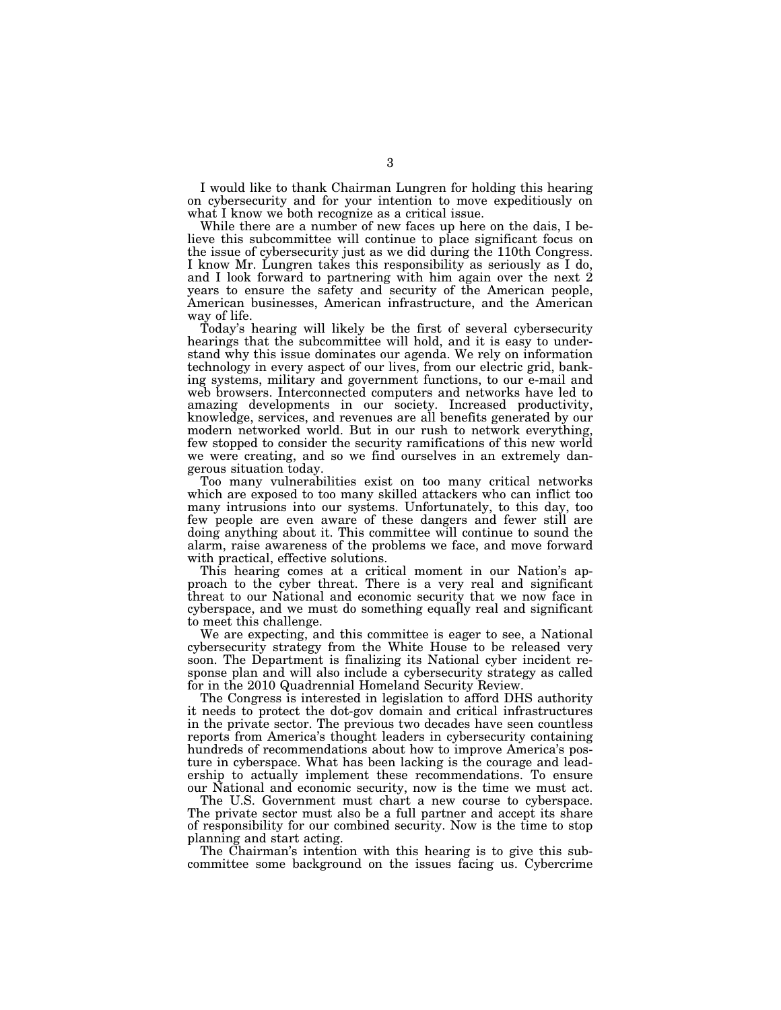I would like to thank Chairman Lungren for holding this hearing on cybersecurity and for your intention to move expeditiously on what I know we both recognize as a critical issue.

While there are a number of new faces up here on the dais, I believe this subcommittee will continue to place significant focus on the issue of cybersecurity just as we did during the 110th Congress. I know Mr. Lungren takes this responsibility as seriously as I do, and I look forward to partnering with him again over the next 2 years to ensure the safety and security of the American people, American businesses, American infrastructure, and the American way of life.

Today's hearing will likely be the first of several cybersecurity hearings that the subcommittee will hold, and it is easy to understand why this issue dominates our agenda. We rely on information technology in every aspect of our lives, from our electric grid, banking systems, military and government functions, to our e-mail and web browsers. Interconnected computers and networks have led to amazing developments in our society. Increased productivity, knowledge, services, and revenues are all benefits generated by our modern networked world. But in our rush to network everything, few stopped to consider the security ramifications of this new world we were creating, and so we find ourselves in an extremely dangerous situation today.

Too many vulnerabilities exist on too many critical networks which are exposed to too many skilled attackers who can inflict too many intrusions into our systems. Unfortunately, to this day, too few people are even aware of these dangers and fewer still are doing anything about it. This committee will continue to sound the alarm, raise awareness of the problems we face, and move forward with practical, effective solutions.

This hearing comes at a critical moment in our Nation's approach to the cyber threat. There is a very real and significant threat to our National and economic security that we now face in cyberspace, and we must do something equally real and significant to meet this challenge.

We are expecting, and this committee is eager to see, a National cybersecurity strategy from the White House to be released very soon. The Department is finalizing its National cyber incident response plan and will also include a cybersecurity strategy as called for in the 2010 Quadrennial Homeland Security Review.

The Congress is interested in legislation to afford DHS authority it needs to protect the dot-gov domain and critical infrastructures in the private sector. The previous two decades have seen countless reports from America's thought leaders in cybersecurity containing hundreds of recommendations about how to improve America's posture in cyberspace. What has been lacking is the courage and leadership to actually implement these recommendations. To ensure our National and economic security, now is the time we must act.

The U.S. Government must chart a new course to cyberspace. The private sector must also be a full partner and accept its share of responsibility for our combined security. Now is the time to stop planning and start acting.

The Chairman's intention with this hearing is to give this subcommittee some background on the issues facing us. Cybercrime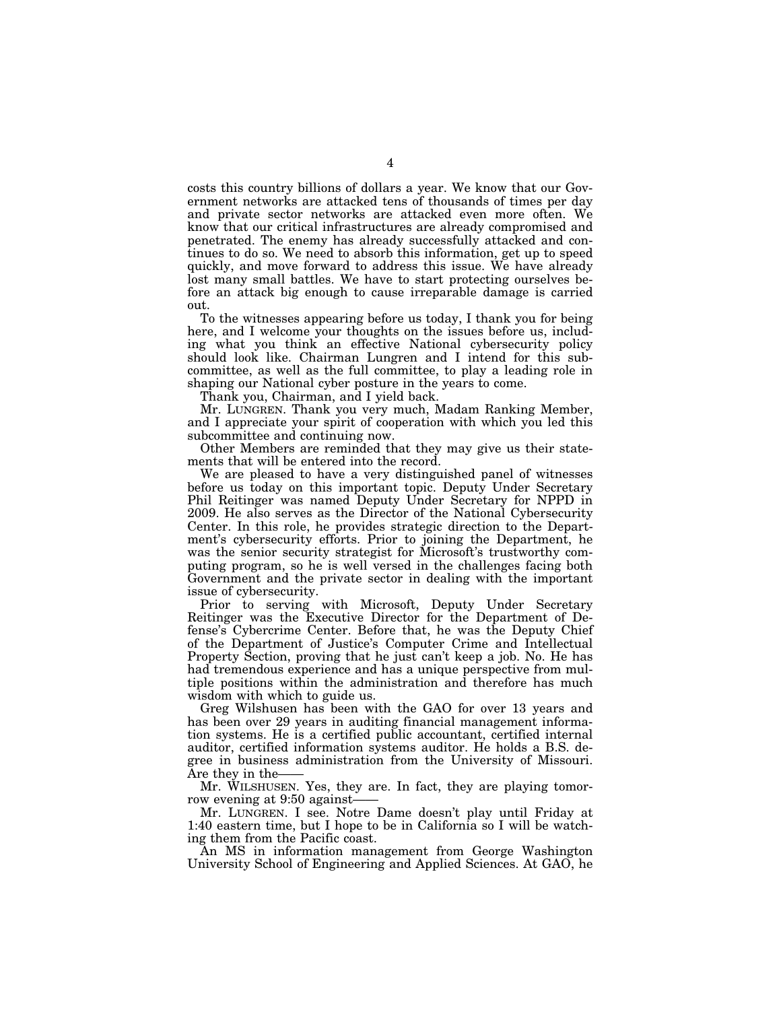costs this country billions of dollars a year. We know that our Government networks are attacked tens of thousands of times per day and private sector networks are attacked even more often. We know that our critical infrastructures are already compromised and penetrated. The enemy has already successfully attacked and continues to do so. We need to absorb this information, get up to speed quickly, and move forward to address this issue. We have already lost many small battles. We have to start protecting ourselves before an attack big enough to cause irreparable damage is carried out.

To the witnesses appearing before us today, I thank you for being here, and I welcome your thoughts on the issues before us, including what you think an effective National cybersecurity policy should look like. Chairman Lungren and I intend for this subcommittee, as well as the full committee, to play a leading role in shaping our National cyber posture in the years to come.

Thank you, Chairman, and I yield back.

Mr. LUNGREN. Thank you very much, Madam Ranking Member, and I appreciate your spirit of cooperation with which you led this subcommittee and continuing now.

Other Members are reminded that they may give us their statements that will be entered into the record.

We are pleased to have a very distinguished panel of witnesses before us today on this important topic. Deputy Under Secretary Phil Reitinger was named Deputy Under Secretary for NPPD in 2009. He also serves as the Director of the National Cybersecurity Center. In this role, he provides strategic direction to the Department's cybersecurity efforts. Prior to joining the Department, he was the senior security strategist for Microsoft's trustworthy computing program, so he is well versed in the challenges facing both Government and the private sector in dealing with the important issue of cybersecurity.

Prior to serving with Microsoft, Deputy Under Secretary Reitinger was the Executive Director for the Department of Defense's Cybercrime Center. Before that, he was the Deputy Chief of the Department of Justice's Computer Crime and Intellectual Property Section, proving that he just can't keep a job. No. He has had tremendous experience and has a unique perspective from multiple positions within the administration and therefore has much wisdom with which to guide us.

Greg Wilshusen has been with the GAO for over 13 years and has been over 29 years in auditing financial management information systems. He is a certified public accountant, certified internal auditor, certified information systems auditor. He holds a B.S. degree in business administration from the University of Missouri. Are they in the-

Mr. WILSHUSEN. Yes, they are. In fact, they are playing tomorrow evening at 9:50 against——

Mr. LUNGREN. I see. Notre Dame doesn't play until Friday at 1:40 eastern time, but I hope to be in California so I will be watching them from the Pacific coast.

An MS in information management from George Washington University School of Engineering and Applied Sciences. At GAO, he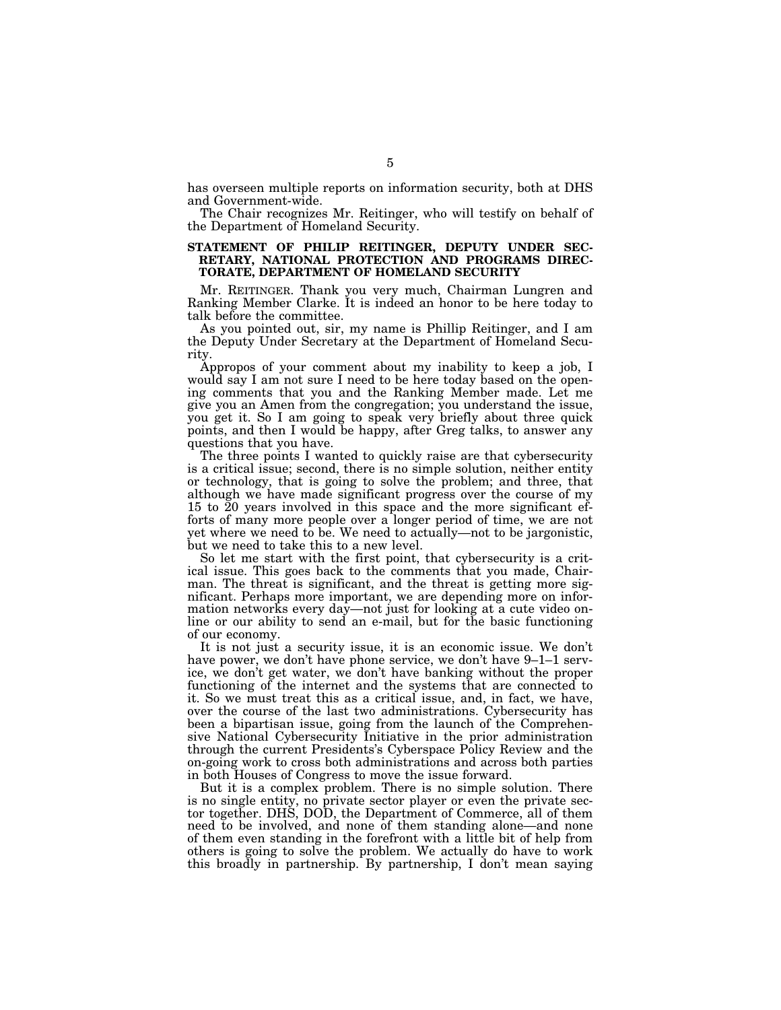has overseen multiple reports on information security, both at DHS and Government-wide.

The Chair recognizes Mr. Reitinger, who will testify on behalf of the Department of Homeland Security.

## **STATEMENT OF PHILIP REITINGER, DEPUTY UNDER SEC-RETARY, NATIONAL PROTECTION AND PROGRAMS DIREC-TORATE, DEPARTMENT OF HOMELAND SECURITY**

Mr. REITINGER. Thank you very much, Chairman Lungren and Ranking Member Clarke. It is indeed an honor to be here today to talk before the committee.

As you pointed out, sir, my name is Phillip Reitinger, and I am the Deputy Under Secretary at the Department of Homeland Security.

Appropos of your comment about my inability to keep a job, I would say I am not sure I need to be here today based on the opening comments that you and the Ranking Member made. Let me give you an Amen from the congregation; you understand the issue, you get it. So I am going to speak very briefly about three quick points, and then I would be happy, after Greg talks, to answer any questions that you have.

The three points I wanted to quickly raise are that cybersecurity is a critical issue; second, there is no simple solution, neither entity or technology, that is going to solve the problem; and three, that although we have made significant progress over the course of my 15 to 20 years involved in this space and the more significant efforts of many more people over a longer period of time, we are not yet where we need to be. We need to actually—not to be jargonistic, but we need to take this to a new level.

So let me start with the first point, that cybersecurity is a critical issue. This goes back to the comments that you made, Chairman. The threat is significant, and the threat is getting more significant. Perhaps more important, we are depending more on information networks every day—not just for looking at a cute video online or our ability to send an e-mail, but for the basic functioning of our economy.

It is not just a security issue, it is an economic issue. We don't have power, we don't have phone service, we don't have 9–1–1 service, we don't get water, we don't have banking without the proper functioning of the internet and the systems that are connected to it. So we must treat this as a critical issue, and, in fact, we have, over the course of the last two administrations. Cybersecurity has been a bipartisan issue, going from the launch of the Comprehensive National Cybersecurity Initiative in the prior administration through the current Presidents's Cyberspace Policy Review and the on-going work to cross both administrations and across both parties in both Houses of Congress to move the issue forward.

But it is a complex problem. There is no simple solution. There is no single entity, no private sector player or even the private sector together. DHS, DOD, the Department of Commerce, all of them need to be involved, and none of them standing alone—and none of them even standing in the forefront with a little bit of help from others is going to solve the problem. We actually do have to work this broadly in partnership. By partnership, I don't mean saying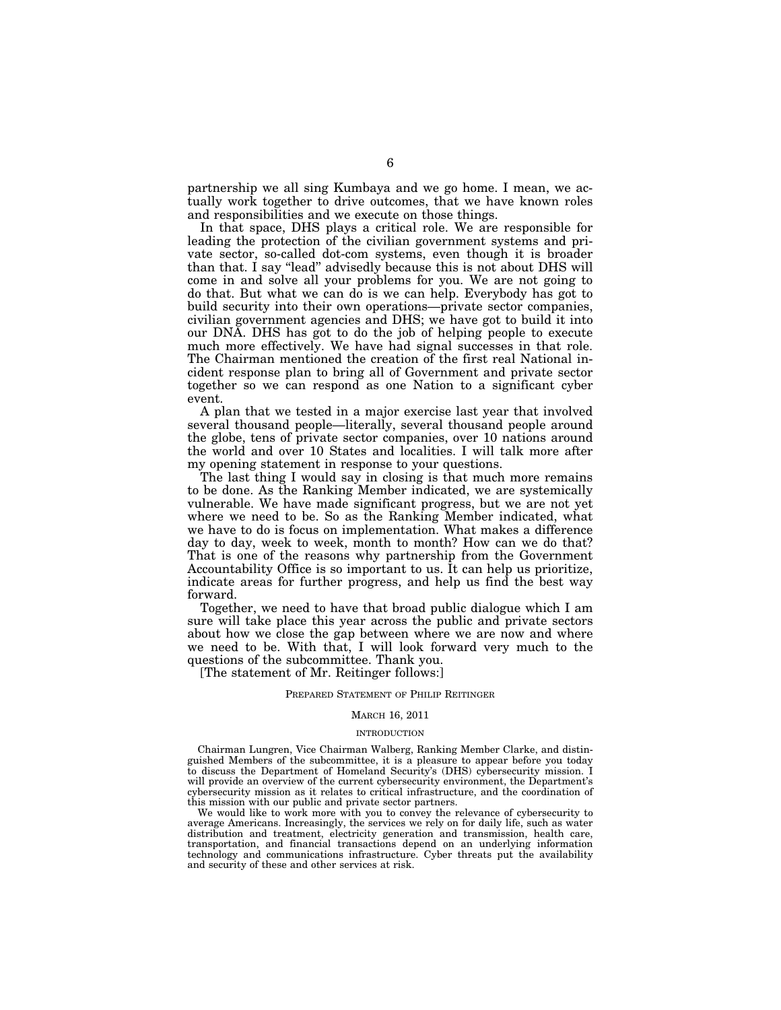partnership we all sing Kumbaya and we go home. I mean, we actually work together to drive outcomes, that we have known roles and responsibilities and we execute on those things.

In that space, DHS plays a critical role. We are responsible for leading the protection of the civilian government systems and private sector, so-called dot-com systems, even though it is broader than that. I say "lead" advisedly because this is not about DHS will come in and solve all your problems for you. We are not going to do that. But what we can do is we can help. Everybody has got to build security into their own operations—private sector companies, civilian government agencies and DHS; we have got to build it into our DNA. DHS has got to do the job of helping people to execute much more effectively. We have had signal successes in that role. The Chairman mentioned the creation of the first real National incident response plan to bring all of Government and private sector together so we can respond as one Nation to a significant cyber event.

A plan that we tested in a major exercise last year that involved several thousand people—literally, several thousand people around the globe, tens of private sector companies, over 10 nations around the world and over 10 States and localities. I will talk more after my opening statement in response to your questions.

The last thing I would say in closing is that much more remains to be done. As the Ranking Member indicated, we are systemically vulnerable. We have made significant progress, but we are not yet where we need to be. So as the Ranking Member indicated, what we have to do is focus on implementation. What makes a difference day to day, week to week, month to month? How can we do that? That is one of the reasons why partnership from the Government Accountability Office is so important to us. It can help us prioritize, indicate areas for further progress, and help us find the best way forward.

Together, we need to have that broad public dialogue which I am sure will take place this year across the public and private sectors about how we close the gap between where we are now and where we need to be. With that, I will look forward very much to the questions of the subcommittee. Thank you.

[The statement of Mr. Reitinger follows:]

## PREPARED STATEMENT OF PHILIP REITINGER

## MARCH 16, 2011

### INTRODUCTION

Chairman Lungren, Vice Chairman Walberg, Ranking Member Clarke, and distinguished Members of the subcommittee, it is a pleasure to appear before you today to discuss the Department of Homeland Security's (DHS) cybersecurity mission. I will provide an overview of the current cybersecurity environment, the Department's cybersecurity mission as it relates to critical infrastructure, and the coordination of this mission with our public and private sector partners.

We would like to work more with you to convey the relevance of cybersecurity to average Americans. Increasingly, the services we rely on for daily life, such as water distribution and treatment, electricity generation and transmission, health care, transportation, and financial transactions depend on an underlying information technology and communications infrastructure. Cyber threats put the availability and security of these and other services at risk.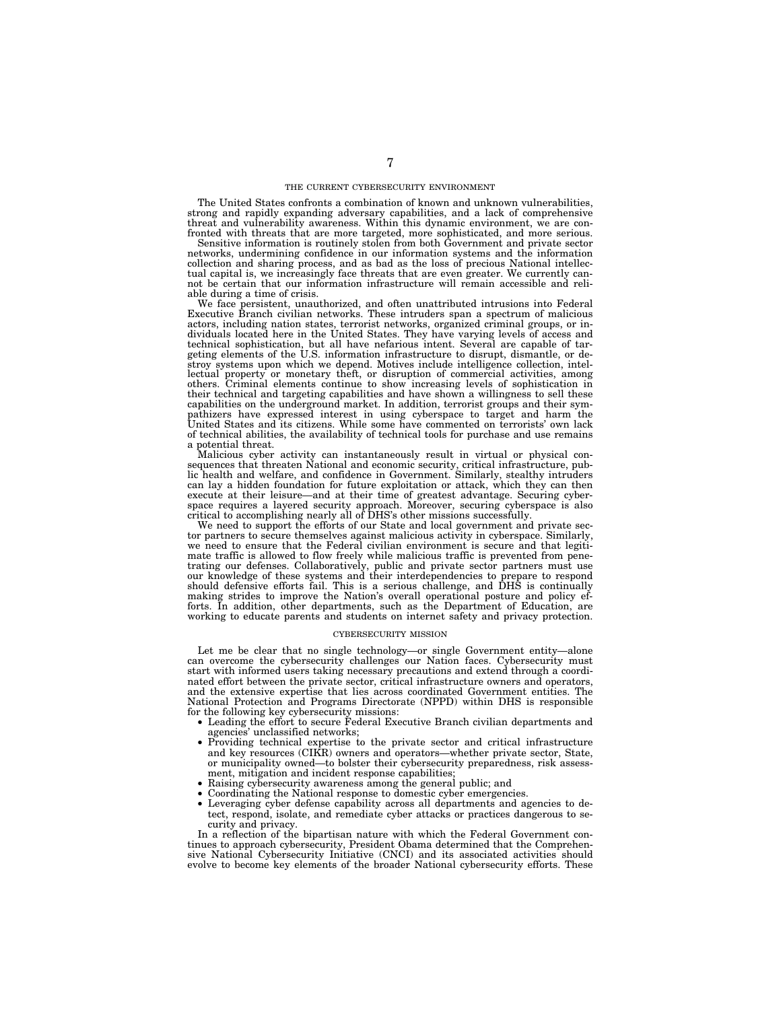#### THE CURRENT CYBERSECURITY ENVIRONMENT

The United States confronts a combination of known and unknown vulnerabilities, strong and rapidly expanding adversary capabilities, and a lack of comprehensive threat and vulnerability awareness. Within this dynamic environment, we are con-fronted with threats that are more targeted, more sophisticated, and more serious.

Sensitive information is routinely stolen from both Government and private sector networks, undermining confidence in our information systems and the information collection and sharing process, and as bad as the loss of precious National intellec-tual capital is, we increasingly face threats that are even greater. We currently cannot be certain that our information infrastructure will remain accessible and reliable during a time of crisis.

We face persistent, unauthorized, and often unattributed intrusions into Federal Executive Branch civilian networks. These intruders span a spectrum of malicious actors, including nation states, terrorist networks, organized criminal groups, or in-<br>dividuals located here in the United States. They have varying levels of access and<br>technical sophistication, but all have nefarious in stroy systems upon which we depend. Motives include intelligence collection, intellectual property or monetary theft, or disruption of commercial activities, among others. Criminal elements continue to show increasing levels of sophistication in their technical and targeting capabilities and have shown capabilities on the underground market. In addition, terrorist groups and their sym-pathizers have expressed interest in using cyberspace to target and harm the United States and its citizens. While some have commented on terrorists' own lack of technical abilities, the availability of technical tools for purchase and use remains

a potential threat. Malicious cyber activity can instantaneously result in virtual or physical consequences that threaten National and economic security, critical infrastructure, pub-lic health and welfare, and confidence in Government. Similarly, stealthy intruders can lay a hidden foundation for future exploitation or attack, which they can then execute at their leisure—and at their time of greatest advantage. Securing cyberspace requires a layered security approach. Moreover, securing cyberspace is also critical to accomplishing nearly all of DHS's other missions successfully.

We need to support the efforts of our State and local government and private sector partners to secure themselves against malicious activity in cyberspace. Similarly, we need to ensure that the Federal civilian environment is secure and that legitimate traffic is allowed to flow freely while malicious traffic is prevented from penetrating our defenses. Collaboratively, public and private sector partners must use<br>our knowledge of these systems and their interdependencies to prepare to respond<br>should defensive efforts fail. This is a serious challenge making strides to improve the Nation's overall operational posture and policy efforts. In addition, other departments, such as the Department of Education, are working to educate parents and students on internet safety and privacy protection.

#### CYBERSECURITY MISSION

Let me be clear that no single technology—or single Government entity—alone can overcome the cybersecurity challenges our Nation faces. Cybersecurity must start with informed users taking necessary precautions and extend through a coordinated effort between the private sector, critical infrastructure owners and operators, and the extensive expertise that lies across coordinated Government entities. The National Protection and Programs Directorate (NPPD) within DHS is responsible for the following key cybersecurity missions:

- Leading the effort to secure Federal Executive Branch civilian departments and agencies' unclassified networks;
- Providing technical expertise to the private sector and critical infrastructure and key resources (CIKR) owners and operators—whether private sector, State, or municipality owned—to bolster their cybersecurity preparedness, risk assessment, mitigation and incident response capabilities;
- Raising cybersecurity awareness among the general public; and
- Coordinating the National response to domestic cyber emergencies.
- Leveraging cyber defense capability across all departments and agencies to detect, respond, isolate, and remediate cyber attacks or practices dangerous to security and privacy.

In a reflection of the bipartisan nature with which the Federal Government continues to approach cybersecurity, President Obama determined that the Comprehensive National Cybersecurity Initiative (CNCI) and its associated activities should evolve to become key elements of the broader National cybersecurity efforts. These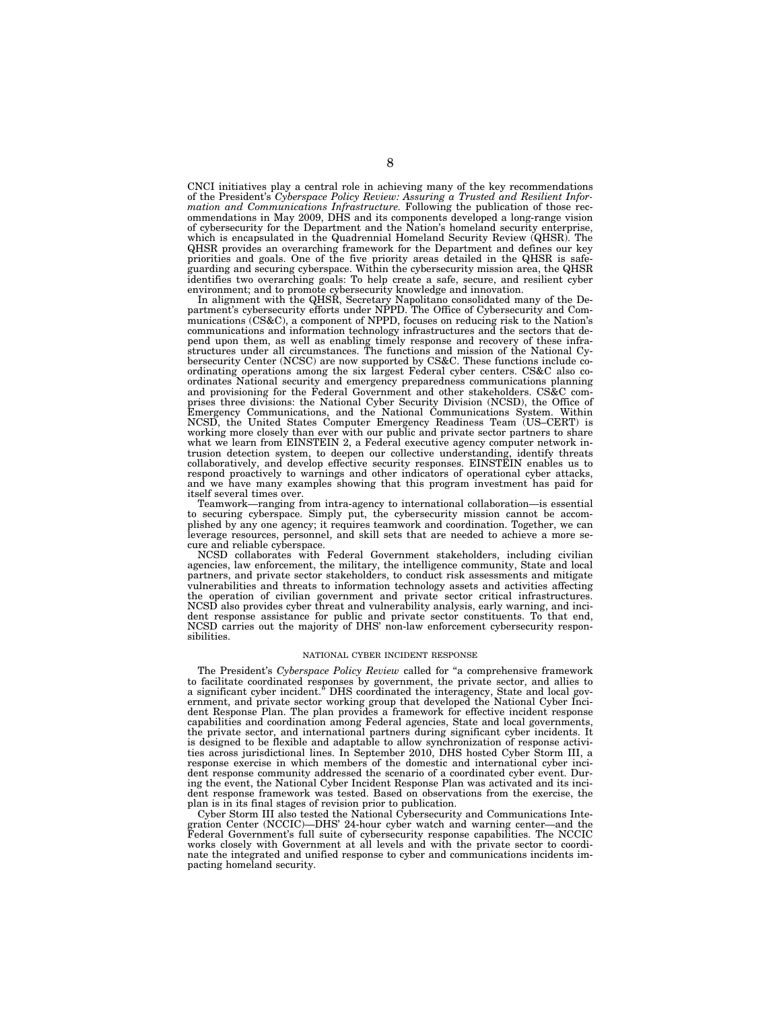CNCI initiatives play a central role in achieving many of the key recommendations of the President's *Cyberspace Policy Review: Assuring a Trusted and Resilient Information and Communications Infrastructure.* Following the publication of those recommendations in May 2009, DHS and its components developed a long-range vision of cybersecurity for the Department and the Nation's homeland security enterprise, which is encapsulated in the Quadrennial Homeland Security Review (QHSR). The QHSR provides an overarching framework for the Department and defines our key priorities and goals. One of the five priority areas detailed in the QHSR is safeguarding and securing cyberspace. Within the cybersecurity mission area, the QHSR identifies two overarching goals: To help create a safe, secure, and resilient cyber environment; and to promote cybersecurity knowledge and innovation.

In alignment with the QHSR, Secretary Napolitano consolidated many of the Department's cybersecurity efforts under NPPD. The Office of Cybersecurity and Communications (CS&C), a component of NPPD, focuses on reducing risk to the Nation's communications and information technology infrastructures and the sectors that depend upon them, as well as enabling timely response and recovery of these infrastructures under all circumstances. The functions and mission of the National Cybersecurity Center (NCSC) are now supported by CS&C. These functions include coordinating operations among the six largest Federal cyber centers. CS&C also coordinates National security and emergency preparedness communications planning and provisioning for the Federal Government and other stakeholders. CS&C comprises three divisions: the National Cyber Security Division (NCSD), the Office of Emergency Communications, and the National Communications System. Within NCSD, the United States Computer Emergency Readiness Team (US–CERT) is working more closely than ever with our public and private sector partners to share what we learn from EINSTEIN 2, a Federal executive agency computer network intrusion detection system, to deepen our collective understanding, identify threats collaboratively, and develop effective security responses. EINSTEIN enables us to respond proactively to warnings and other indicators of operational cyber attacks, and we have many examples showing that this program investment has paid for itself several times over.

Teamwork—ranging from intra-agency to international collaboration—is essential to securing cyberspace. Simply put, the cybersecurity mission cannot be accomplished by any one agency; it requires teamwork and coordination. Together, we can leverage resources, personnel, and skill sets that are needed to achieve a more secure and reliable cyberspace.

NCSD collaborates with Federal Government stakeholders, including civilian agencies, law enforcement, the military, the intelligence community, State and local partners, and private sector stakeholders, to conduct risk assessments and mitigate vulnerabilities and threats to information technology assets and activities affecting the operation of civilian government and private sector critical infrastructures. NCSD also provides cyber threat and vulnerability analysis, early warning, and incident response assistance for public and private sector constituents. To that end, NCSD carries out the majority of DHS' non-law enforcement cybersecurity responsibilities.

#### NATIONAL CYBER INCIDENT RESPONSE

The President's *Cyberspace Policy Review* called for ''a comprehensive framework to facilitate coordinated responses by government, the private sector, and allies to a significant cyber incident.'' DHS coordinated the interagency, State and local government, and private sector working group that developed the National Cyber Incident Response Plan. The plan provides a framework for effective incident response capabilities and coordination among Federal agencies, State and local governments, the private sector, and international partners during significant cyber incidents. It is designed to be flexible and adaptable to allow synchronization of response activities across jurisdictional lines. In September 2010, DHS hosted Cyber Storm III, a response exercise in which members of the domestic and international cyber incident response community addressed the scenario of a coordinated cyber event. During the event, the National Cyber Incident Response Plan was activated and its incident response framework was tested. Based on observations from the exercise, the plan is in its final stages of revision prior to publication.

Cyber Storm III also tested the National Cybersecurity and Communications Integration Center (NCCIC)—DHS' 24-hour cyber watch and warning center—and the Federal Government's full suite of cybersecurity response capabilities. The NCCIC works closely with Government at all levels and with the private sector to coordinate the integrated and unified response to cyber and communications incidents impacting homeland security.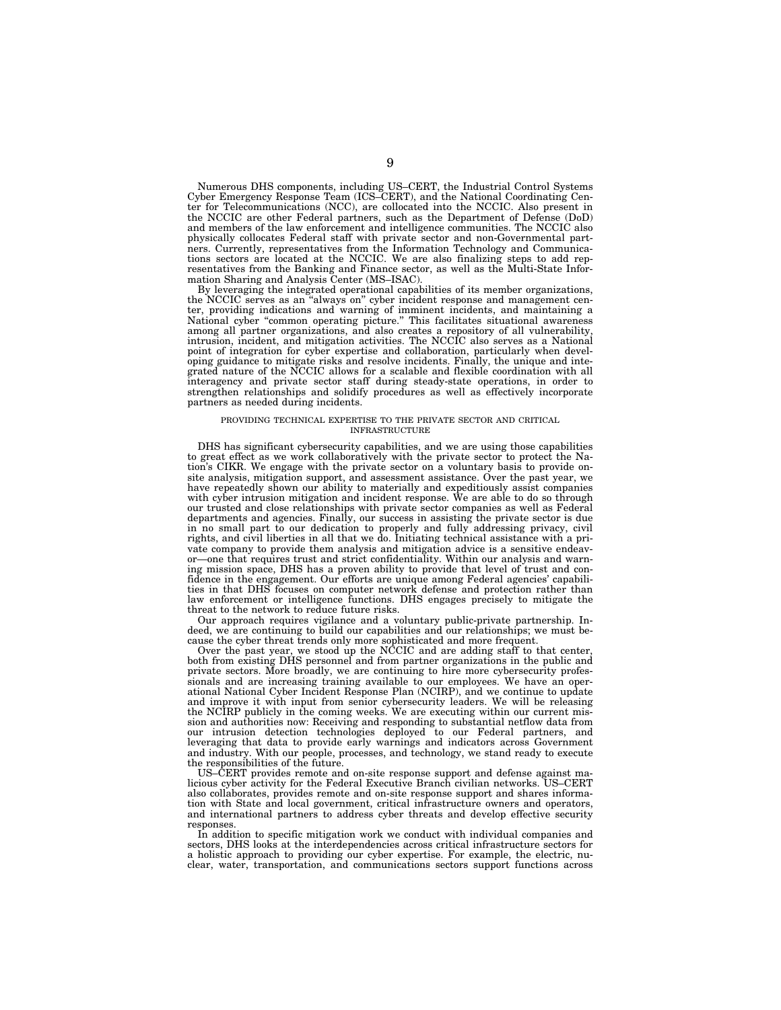Numerous DHS components, including US–CERT, the Industrial Control Systems Cyber Emergency Response Team (ICS–CERT), and the National Coordinating Center for Telecommunications (NCC), are collocated into the NCCIC. Also present in the NCCIC are other Federal partners, such as the Department of Defense (DoD) and members of the law enforcement and intelligence communities. The NCCIC also physically collocates Federal staff with private sector and non-Governmental partners. Currently, representatives from the Information Technology and Communications sectors are located at the NCCIC. We are also finalizing steps to add representatives from the Banking and Finance sector, as well as the Multi-State Information Sharing and Analysis Center (MS–ISAC).

By leveraging the integrated operational capabilities of its member organizations, the NCCIC serves as an ''always on'' cyber incident response and management center, providing indications and warning of imminent incidents, and maintaining a National cyber ''common operating picture.'' This facilitates situational awareness among all partner organizations, and also creates a repository of all vulnerability, intrusion, incident, and mitigation activities. The NCCIC also serves as a National point of integration for cyber expertise and collaboration, particularly when developing guidance to mitigate risks and resolve incidents. Finally, the unique and integrated nature of the NCCIC allows for a scalable and flexible coordination with all interagency and private sector staff during steady-state operations, in order to strengthen relationships and solidify procedures as well as effectively incorporate partners as needed during incidents.

#### PROVIDING TECHNICAL EXPERTISE TO THE PRIVATE SECTOR AND CRITICAL INFRASTRUCTURE

DHS has significant cybersecurity capabilities, and we are using those capabilities to great effect as we work collaboratively with the private sector to protect the Nation's CIKR. We engage with the private sector on a voluntary basis to provide onsite analysis, mitigation support, and assessment assistance. Over the past year, we have repeatedly shown our ability to materially and expeditiously assist companies with cyber intrusion mitigation and incident response. We are able to do so through our trusted and close relationships with private sector companies as well as Federal departments and agencies. Finally, our success in assisting the private sector is due in no small part to our dedication to properly and fully addressing privacy, civil rights, and civil liberties in all that we do. Initiating technical assistance with a private company to provide them analysis and mitigation advice is a sensitive endeavor—one that requires trust and strict confidentiality. Within our analysis and warning mission space, DHS has a proven ability to provide that level of trust and confidence in the engagement. Our efforts are unique among Federal agencies' capabilities in that DHS focuses on computer network defense and protection rather than law enforcement or intelligence functions. DHS engages precisely to mitigate the threat to the network to reduce future risks.

Our approach requires vigilance and a voluntary public-private partnership. Indeed, we are continuing to build our capabilities and our relationships; we must because the cyber threat trends only more sophisticated and more frequent.

Over the past year, we stood up the NCCIC and are adding staff to that center, both from existing DHS personnel and from partner organizations in the public and private sectors. More broadly, we are continuing to hire more cybersecurity professionals and are increasing training available to our employees. We have an operational National Cyber Incident Response Plan (NCIRP), and we continue to update and improve it with input from senior cybersecurity leaders. We will be releasing the NCIRP publicly in the coming weeks. We are executing within our current mission and authorities now: Receiving and responding to substantial netflow data from our intrusion detection technologies deployed to our Federal partners, and leveraging that data to provide early warnings and indicators across Government and industry. With our people, processes, and technology, we stand ready to execute the responsibilities of the future.

US–CERT provides remote and on-site response support and defense against malicious cyber activity for the Federal Executive Branch civilian networks. US–CERT also collaborates, provides remote and on-site response support and shares information with State and local government, critical infrastructure owners and operators, and international partners to address cyber threats and develop effective security responses.

In addition to specific mitigation work we conduct with individual companies and sectors, DHS looks at the interdependencies across critical infrastructure sectors for a holistic approach to providing our cyber expertise. For example, the electric, nuclear, water, transportation, and communications sectors support functions across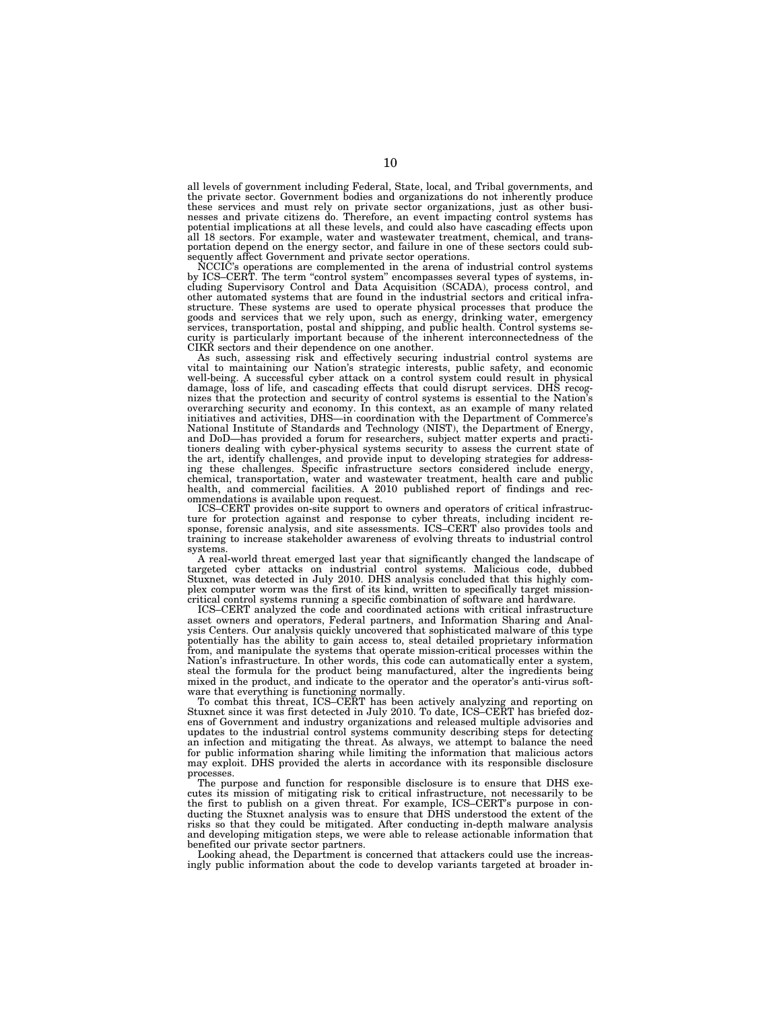all levels of government including Federal, State, local, and Tribal governments, and the private sector. Government bodies and organizations do not inherently produce these services and must rely on private sector organizations, just as other busi-nesses and private citizens do. Therefore, an event impacting control systems has potential implications at all these levels, and could also have cascading effects upon all 18 sectors. For example, water and wastewater treatment, chemical, and transportation depend on the energy sector, and failure in one of these sectors could subsequently affect Government and private sector operations.

NCCIC's operations are complemented in the arena of industrial control systems<br>by ICS–CERT. The term "control system" encompasses several types of systems, in-<br>cluding Supervisory Control and Data Acquisition (SCADA), proc other automated systems that are found in the industrial sectors and critical infrastructure. These systems are used to operate physical processes that produce the goods and services that we rely upon, such as energy, drinking water, emergency services, transportation, postal and shipping, and public health. Control systems security is particularly important because of the inherent interconnectedness of the CIKR sectors and their dependence on one another.

As such, assessing risk and effectively securing industrial control systems are vital to maintaining our Nation's strategic interests, public safety, and economic well-being. A successful cyber attack on a control system could result in physical damage, loss of life, and cascading effects that could disrupt services. DHS recognizes that the protection and security of control systems is essential to the Nation's overarching security and economy. In this context, as an example of many related initiatives and activities, DHS—in coordination with the Department of Commerce's National Institute of Standards and Technology (NIST), the Department of Energy, and DoD—has provided a forum for researchers, subject matter experts and practitioners dealing with cyber-physical systems security to assess the current state of the art, identify challenges, and provide input to developing strategies for addressing these challenges. Specific infrastructure sectors considered include energy, chemical, transportation, water and wastewater treatment, health care and public health, and commercial facilities. A 2010 published report of findings and recommendations is available upon request.

ICS–CERT provides on-site support to owners and operators of critical infrastructure for protection against and response to cyber threats, including incident re-sponse, forensic analysis, and site assessments. ICS–CERT also provides tools and training to increase stakeholder awareness of evolving threats to industrial control systems.

A real-world threat emerged last year that significantly changed the landscape of targeted cyber attacks on industrial control systems. Malicious code, dubbed Stuxnet, was detected in July 2010. DHS analysis concluded that this highly complex computer worm was the first of its kind, written to specifically target missioncritical control systems running a specific combination of software and hardware.

ICS–CERT analyzed the code and coordinated actions with critical infrastructure asset owners and operators, Federal partners, and Information Sharing and Analysis Centers. Our analysis quickly uncovered that sophisticated malware of this type potentially has the ability to gain access to, steal detailed proprietary information from, and manipulate the systems that operate mission-critical processes within the Nation's infrastructure. In other words, this code can automatically enter a system, steal the formula for the product being manufactured, alter the ingredients being mixed in the product, and indicate to the operator and the operator's anti-virus software that everything is functioning normally.

To combat this threat, ICS–CERT has been actively analyzing and reporting on Stuxnet since it was first detected in July 2010. To date, ICS–CERT has briefed dozens of Government and industry organizations and released multiple advisories and updates to the industrial control systems community describing steps for detecting an infection and mitigating the threat. As always, we attempt to balance the need for public information sharing while limiting the information that malicious actors may exploit. DHS provided the alerts in accordance with its responsible disclosure processes.

The purpose and function for responsible disclosure is to ensure that DHS executes its mission of mitigating risk to critical infrastructure, not necessarily to be the first to publish on a given threat. For example, ICS–CERT's purpose in conducting the Stuxnet analysis was to ensure that DHS understood the extent of the risks so that they could be mitigated. After conducting in-depth malware analysis and developing mitigation steps, we were able to release actionable information that benefited our private sector partners.

Looking ahead, the Department is concerned that attackers could use the increasingly public information about the code to develop variants targeted at broader in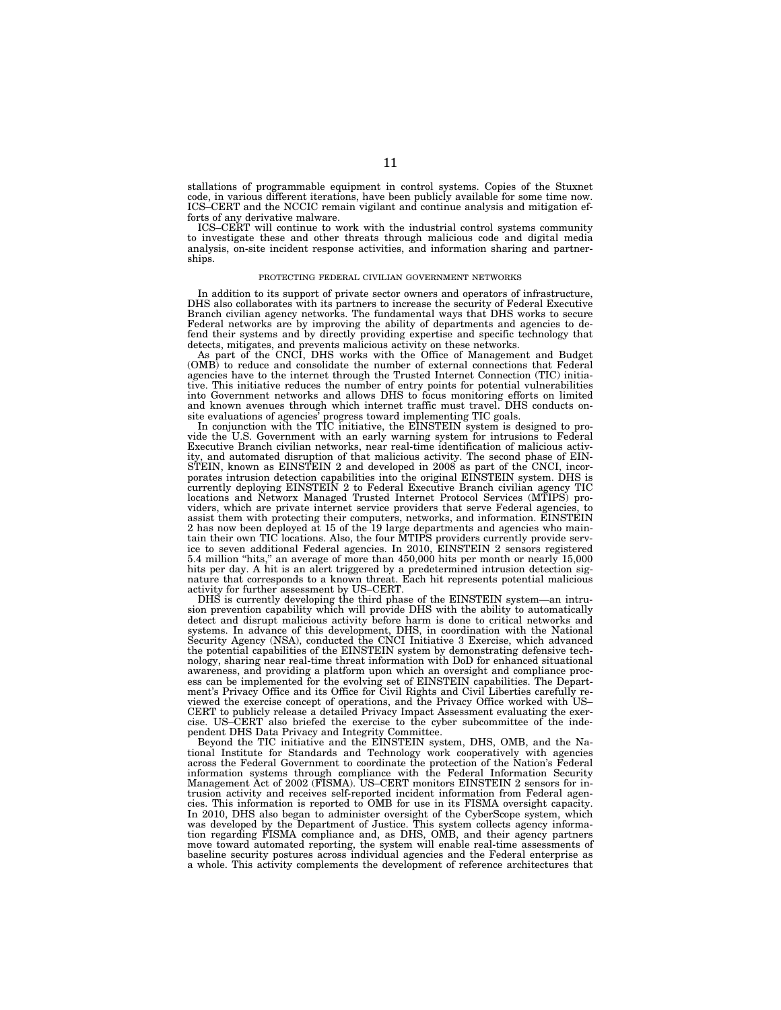stallations of programmable equipment in control systems. Copies of the Stuxnet code, in various different iterations, have been publicly available for some time now. ICS–CERT and the NCCIC remain vigilant and continue analysis and mitigation efforts of any derivative malware.

ICS–CERT will continue to work with the industrial control systems community to investigate these and other threats through malicious code and digital media analysis, on-site incident response activities, and information sharing and partnerships.

#### PROTECTING FEDERAL CIVILIAN GOVERNMENT NETWORKS

In addition to its support of private sector owners and operators of infrastructure, DHS also collaborates with its partners to increase the security of Federal Executive Branch civilian agency networks. The fundamental ways that DHS works to secure Federal networks are by improving the ability of departments and agencies to defend their systems and by directly providing expertise and specific technology that detects, mitigates, and prevents malicious activity on these networks.

As part of the CNCI, DHS works with the Office of Management and Budget (OMB) to reduce and consolidate the number of external connections that Federal agencies have to the internet through the Trusted Internet Connection (TIC) initiative. This initiative reduces the number of entry points for potential vulnerabilities into Government networks and allows DHS to focus monitoring efforts on limited and known avenues through which internet traffic must travel. DHS conducts onsite evaluations of agencies' progress toward implementing TIC goals.

In conjunction with the TIC initiative, the EINSTEIN system is designed to provide the U.S. Government with an early warning system for intrusions to Federal Executive Branch civilian networks, near real-time identification of malicious activity, and automated disruption of that malicious activity. The second phase of EIN-STEIN, known as EINSTEIN 2 and developed in 2008 as part of the CNCI, incorporates intrusion detection capabilities into the original EINSTEIN system. DHS is currently deploying EINSTEIN 2 to Federal Executive Branch civilian agency TIC locations and Networx Managed Trusted Internet Protocol Services (MTIPS) providers, which are private internet service providers that serve Federal agencies, to assist them with protecting their computers, networks, and information. EINSTEIN 2 has now been deployed at 15 of the 19 large departments and agencies who maintain their own TIC locations. Also, the four MTIPS providers currently provide service to seven additional Federal agencies. In 2010, EINSTEIN 2 sensors registered 5.4 million ''hits,'' an average of more than 450,000 hits per month or nearly 15,000 hits per day. A hit is an alert triggered by a predetermined intrusion detection signature that corresponds to a known threat. Each hit represents potential malicious activity for further assessment by US–CERT.

DHS is currently developing the third phase of the EINSTEIN system—an intrusion prevention capability which will provide DHS with the ability to automatically detect and disrupt malicious activity before harm is done to critical networks and systems. In advance of this development, DHS, in coordination with the National Security Agency (NSA), conducted the CNCI Initiative 3 Exercise, which advanced the potential capabilities of the EINSTEIN system by demonstrating defensive technology, sharing near real-time threat information with DoD for enhanced situational awareness, and providing a platform upon which an oversight and compliance process can be implemented for the evolving set of EINSTEIN capabilities. The Department's Privacy Office and its Office for Civil Rights and Civil Liberties carefully reviewed the exercise concept of operations, and the Privacy Office worked with US– CERT to publicly release a detailed Privacy Impact Assessment evaluating the exercise. US–CERT also briefed the exercise to the cyber subcommittee of the independent DHS Data Privacy and Integrity Committee.

Beyond the TIC initiative and the EINSTEIN system, DHS, OMB, and the National Institute for Standards and Technology work cooperatively with agencies across the Federal Government to coordinate the protection of the Nation's Federal information systems through compliance with the Federal Information Security Management Act of 2002 (FISMA). US–CERT monitors EINSTEIN 2 sensors for intrusion activity and receives self-reported incident information from Federal agencies. This information is reported to OMB for use in its FISMA oversight capacity. In 2010, DHS also began to administer oversight of the CyberScope system, which was developed by the Department of Justice. This system collects agency information regarding FISMA compliance and, as DHS, OMB, and their agency partners move toward automated reporting, the system will enable real-time assessments of baseline security postures across individual agencies and the Federal enterprise as a whole. This activity complements the development of reference architectures that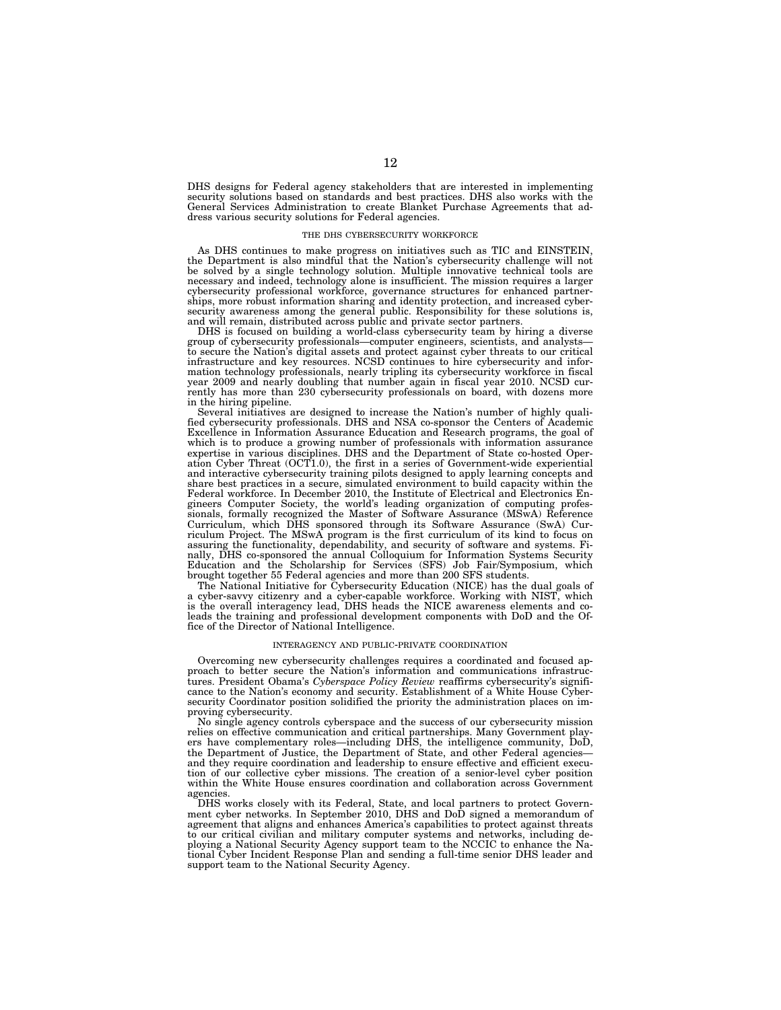DHS designs for Federal agency stakeholders that are interested in implementing security solutions based on standards and best practices. DHS also works with the General Services Administration to create Blanket Purchase Agreements that address various security solutions for Federal agencies.

#### THE DHS CYBERSECURITY WORKFORCE

As DHS continues to make progress on initiatives such as TIC and EINSTEIN, the Department is also mindful that the Nation's cybersecurity challenge will not be solved by a single technology solution. Multiple innovative technical tools are necessary and indeed, technology alone is insufficient. The mission requires a larger cybersecurity professional workforce, governance structures for enhanced partnerships, more robust information sharing and identity protection, and increased cyber-security awareness among the general public. Responsibility for these solutions is, and will remain, distributed across public and private sector partners.

DHS is focused on building a world-class cybersecurity team by hiring a diverse group of cybersecurity professionals—computer engineers, scientists, and analysts to secure the Nation's digital assets and protect against cyber threats to our critical infrastructure and key resources. NCSD continues to hire cybersecurity and information technology professionals, nearly tripling its cybersecurity workforce in fiscal year 2009 and nearly doubling that number again in fiscal year 2010. NCSD currently has more than 230 cybersecurity professionals on board, with dozens more in the hiring pipeline.

Several initiatives are designed to increase the Nation's number of highly qualified cybersecurity professionals. DHS and NSA co-sponsor the Centers of Academic Excellence in Information Assurance Education and Research programs, the goal of which is to produce a growing number of professionals with information assurance expertise in various disciplines. DHS and the Department of State co-hosted Operation Cyber Threat (OCT1.0), the first in a series of Government-wide experiential and interactive cybersecurity training pilots designed to apply learning concepts and share best practices in a secure, simulated environment to build capacity within the Federal workforce. In December 2010, the Institute of Electrical and Electronics Engineers Computer Society, the world's leading organization of computing professionals, formally recognized the Master of Software Assurance (MSwA) Reference Curriculum, which DHS sponsored through its Software Assurance (SwA) Curriculum Project. The MSwA program is the first curriculum of its kind to focus on assuring the functionality, dependability, and security of software and systems. Finally, DHS co-sponsored the annual Colloquium for Information Systems Security Education and the Scholarship for Services (SFS) Job Fair/Symposium, which brought together 55 Federal agencies and more than 200 SFS students.

The National Initiative for Cybersecurity Education (NICE) has the dual goals of a cyber-savvy citizenry and a cyber-capable workforce. Working with NIST, which is the overall interagency lead, DHS heads the NICE awareness elements and coleads the training and professional development components with DoD and the Office of the Director of National Intelligence.

## INTERAGENCY AND PUBLIC-PRIVATE COORDINATION

Overcoming new cybersecurity challenges requires a coordinated and focused approach to better secure the Nation's information and communications infrastructures. President Obama's *Cyberspace Policy Review* reaffirms cybersecurity's significance to the Nation's economy and security. Establishment of a White House Cybersecurity Coordinator position solidified the priority the administration places on improving cybersecurity.

No single agency controls cyberspace and the success of our cybersecurity mission relies on effective communication and critical partnerships. Many Government players have complementary roles—including DHS, the intelligence community, DoD, the Department of Justice, the Department of State, and other Federal agencies and they require coordination and leadership to ensure effective and efficient execution of our collective cyber missions. The creation of a senior-level cyber position within the White House ensures coordination and collaboration across Government agencies.

DHS works closely with its Federal, State, and local partners to protect Government cyber networks. In September 2010, DHS and DoD signed a memorandum of agreement that aligns and enhances America's capabilities to protect against threats to our critical civilian and military computer systems and networks, including deploying a National Security Agency support team to the NCCIC to enhance the Na-tional Cyber Incident Response Plan and sending a full-time senior DHS leader and support team to the National Security Agency.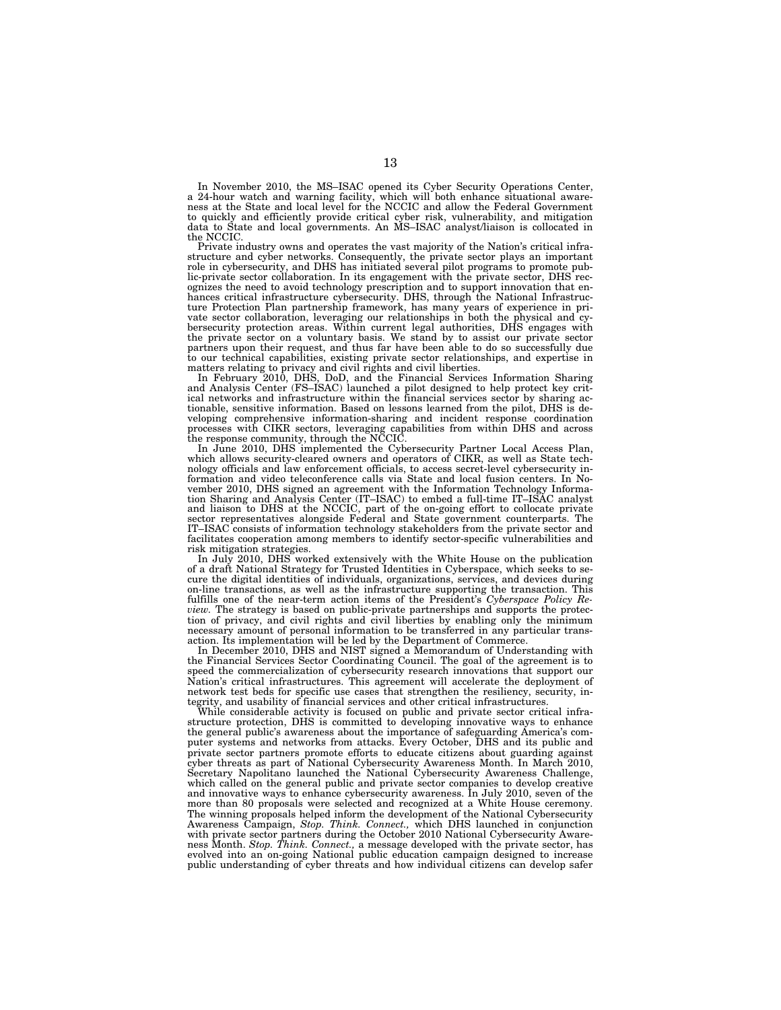In November 2010, the MS–ISAC opened its Cyber Security Operations Center,<br>a 24-hour watch and warning facility, which will both enhance situational aware-<br>ness at the State and local level for the NCCIC and allow the Fede to quickly and efficiently provide critical cyber risk, vulnerability, and mitigation data to State and local governments. An MS–ISAC analyst/liaison is collocated in the NCCIC.

Private industry owns and operates the vast majority of the Nation's critical infrastructure and cyber networks. Consequently, the private sector plays an important role in cybersecurity, and DHS has initiated several pilot programs to promote public-private sector collaboration. In its engagement with the private sector, DHS recognizes the need to avoid technology prescription and to support innovation that enhances critical infrastructure cybersecurity. DHS, through the National Infrastruc-ture Protection Plan partnership framework, has many years of experience in private sector collaboration, leveraging our relationships in both the physical and cy-bersecurity protection areas. Within current legal authorities, DHS engages with the private sector on a voluntary basis. We stand by to assist our private sector partners upon their request, and thus far have been able to do so successfully due

to our technical capabilities, existing private sector relationships, and expertise in matters relating to privacy and civil rights and civil liberties.<br>In February 2010, DHS, DoD, and the Financial Services Information Sh ical networks and infrastructure within the financial services sector by sharing ac-tionable, sensitive information. Based on lessons learned from the pilot, DHS is developing comprehensive information-sharing and incident response coordination processes with CIKR sectors, leveraging capabilities from within DHS and across the response community, through the NCCIC.

In June 2010, DHS implemented the Cybersecurity Partner Local Access Plan, which allows security-cleared owners and operators of CIKR, as well as State technology officials and law enforcement officials, to access secret-l tion Sharing and Analysis Center (IT–ISAC) to embed a full-time IT–ISAC analyst and liaison to DHS at the NCCIC, part of the on-going effort to collocate private<br>sector representatives alongside Federal and State government counterparts. The<br>IT–ISAC consists of information technology stakeholders from facilitates cooperation among members to identify sector-specific vulnerabilities and risk mitigation strategies.

In July 2010, DHS worked extensively with the White House on the publication of a draft National Strategy for Trusted Identities in Cyberspace, which seeks to secure the digital identities of individuals, organizations, services, and devices during on-line transactions, as well as the infrastructure supporting the transaction. This fulfills one of the near-term action items of the President's *Cyberspace Policy Review.* The strategy is based on public-private partnerships and supports the protection of privacy, and civil rights and civil liberties by enabling only the minimum necessary amount of personal information to be transferred in any particular transaction. Its implementation will be led by the Department of Commerce.

In December 2010, DHS and NIST signed a Memorandum of Understanding with the Financial Services Sector Coordinating Council. The goal of the agreement is to speed the commercialization of cybersecurity research innovations that support our Nation's critical infrastructures. This agreement will accelerate the deployment of network test beds for specific use cases that strengthen the resiliency, security, integrity, and usability of financial services and other critical infrastructures.

While considerable activity is focused on public and private sector critical infrastructure protection, DHS is committed to developing innovative ways to enhance the general public's awareness about the importance of safeguarding America's computer systems and networks from attacks. Every October, DHS and its public and private sector partners promote efforts to educate citizens about guarding against cyber threats as part of National Cybersecurity Awareness Month. In March 2010, Secretary Napolitano launched the National Cybersecurity Awareness Challenge, which called on the general public and private sector companies to develop creative and innovative ways to enhance cybersecurity awareness. In July 2010, seven of the more than 80 proposals were selected and recognized at a White House ceremony. The winning proposals helped inform the development of the National Cybersecurity Awareness Campaign, *Stop. Think. Connect.,* which DHS launched in conjunction with private sector partners during the October 2010 National Cybersecurity Awareness Month. *Stop. Think. Connect.,* a message developed with the private sector, has evolved into an on-going National public education campaign designed to increase public understanding of cyber threats and how individual citizens can develop safer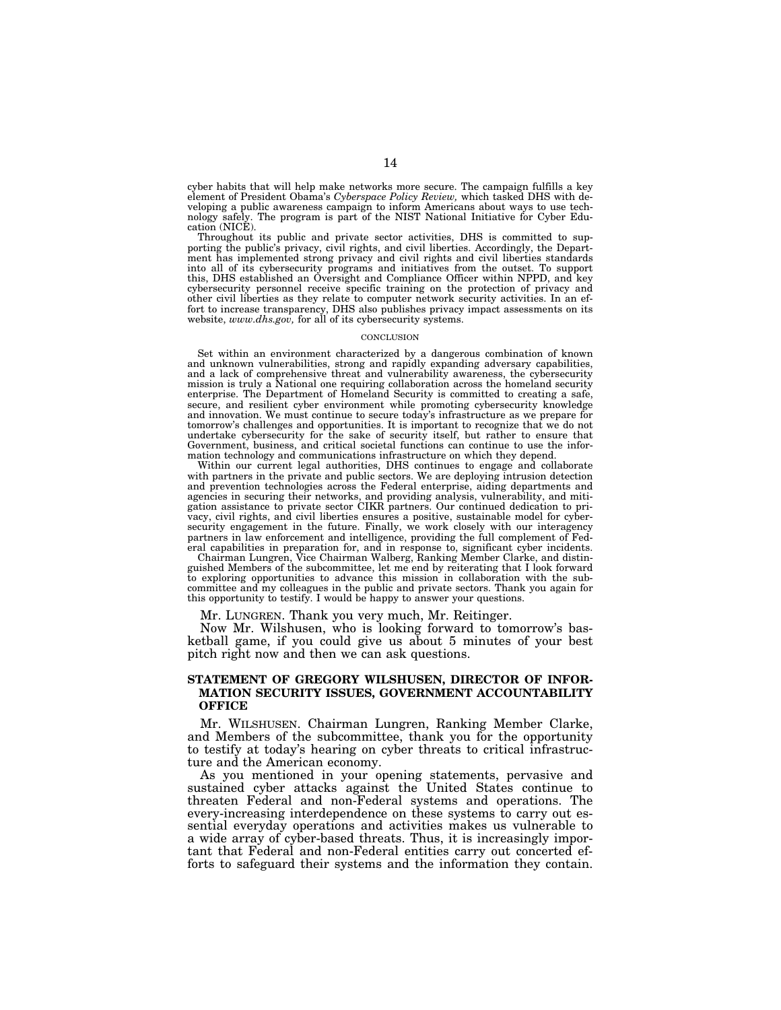cyber habits that will help make networks more secure. The campaign fulfills a key element of President Obama's *Cyberspace Policy Review,* which tasked DHS with developing a public awareness campaign to inform Americans about ways to use technology safely. The program is part of the NIST National Initiative for Cyber Education (NICE).

Throughout its public and private sector activities, DHS is committed to supporting the public's privacy, civil rights, and civil liberties. Accordingly, the Department has implemented strong privacy and civil rights and civil liberties standards into all of its cybersecurity programs and initiatives from the outset. To support this, DHS established an Oversight and Compliance Officer within NPPD, and key cybersecurity personnel receive specific training on the protection of privacy and other civil liberties as they relate to computer network security activities. In an effort to increase transparency, DHS also publishes privacy impact assessments on its website, *www.dhs.gov,* for all of its cybersecurity systems.

#### **CONCLUSION**

Set within an environment characterized by a dangerous combination of known and unknown vulnerabilities, strong and rapidly expanding adversary capabilities, and a lack of comprehensive threat and vulnerability awareness, the cybersecurity mission is truly a National one requiring collaboration across the homeland security enterprise. The Department of Homeland Security is committed to creating a safe, secure, and resilient cyber environment while promoting cybersecurity knowledge and innovation. We must continue to secure today's infrastructure as we prepare for tomorrow's challenges and opportunities. It is important to recognize that we do not undertake cybersecurity for the sake of security itself, but rather to ensure that Government, business, and critical societal functions can continue to use the information technology and communications infrastructure on which they depend.

Within our current legal authorities, DHS continues to engage and collaborate with partners in the private and public sectors. We are deploying intrusion detection and prevention technologies across the Federal enterprise, aiding departments and agencies in securing their networks, and providing analysis, vulnerability, and mitigation assistance to private sector CIKR partners. Our continued dedication to privacy, civil rights, and civil liberties ensures a positive, sustainable model for cybersecurity engagement in the future. Finally, we work closely with our interagency partners in law enforcement and intelligence, providing the full complement of Federal capabilities in preparation for, and in response to, significant cyber incidents.

Chairman Lungren, Vice Chairman Walberg, Ranking Member Clarke, and distinguished Members of the subcommittee, let me end by reiterating that I look forward to exploring opportunities to advance this mission in collaboration with the subcommittee and my colleagues in the public and private sectors. Thank you again for this opportunity to testify. I would be happy to answer your questions.

Mr. LUNGREN. Thank you very much, Mr. Reitinger.

Now Mr. Wilshusen, who is looking forward to tomorrow's basketball game, if you could give us about 5 minutes of your best pitch right now and then we can ask questions.

## **STATEMENT OF GREGORY WILSHUSEN, DIRECTOR OF INFOR-MATION SECURITY ISSUES, GOVERNMENT ACCOUNTABILITY OFFICE**

Mr. WILSHUSEN. Chairman Lungren, Ranking Member Clarke, and Members of the subcommittee, thank you for the opportunity to testify at today's hearing on cyber threats to critical infrastructure and the American economy.

As you mentioned in your opening statements, pervasive and sustained cyber attacks against the United States continue to threaten Federal and non-Federal systems and operations. The every-increasing interdependence on these systems to carry out essential everyday operations and activities makes us vulnerable to a wide array of cyber-based threats. Thus, it is increasingly important that Federal and non-Federal entities carry out concerted efforts to safeguard their systems and the information they contain.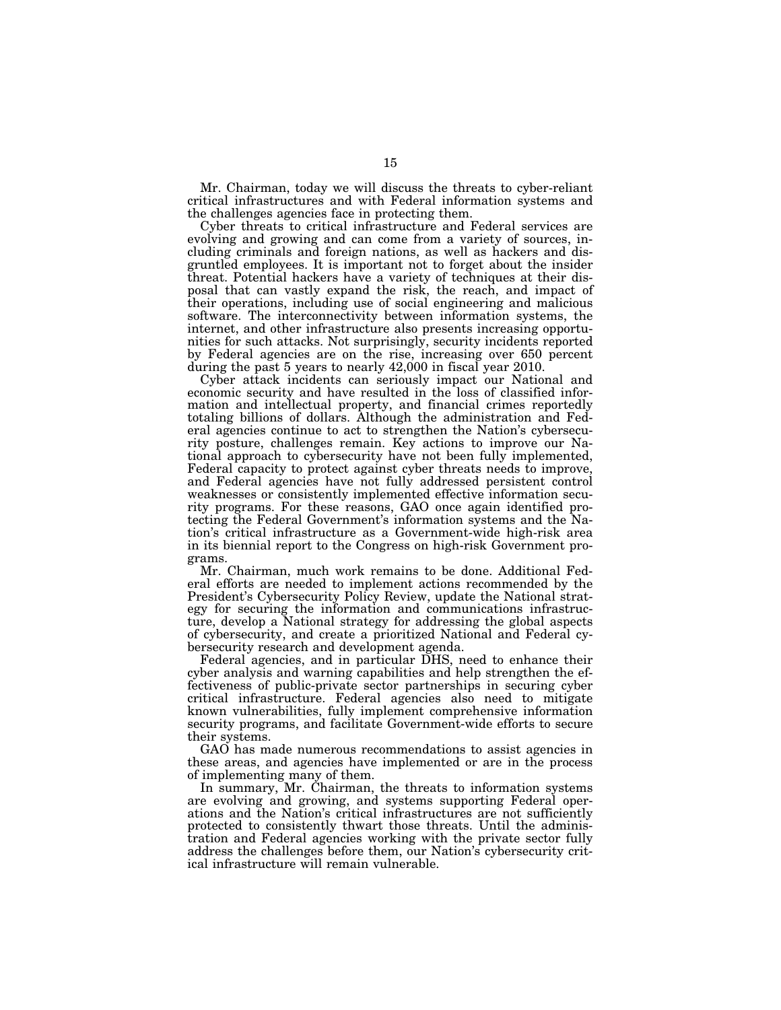Mr. Chairman, today we will discuss the threats to cyber-reliant critical infrastructures and with Federal information systems and the challenges agencies face in protecting them.

Cyber threats to critical infrastructure and Federal services are evolving and growing and can come from a variety of sources, including criminals and foreign nations, as well as hackers and disgruntled employees. It is important not to forget about the insider threat. Potential hackers have a variety of techniques at their disposal that can vastly expand the risk, the reach, and impact of their operations, including use of social engineering and malicious software. The interconnectivity between information systems, the internet, and other infrastructure also presents increasing opportunities for such attacks. Not surprisingly, security incidents reported by Federal agencies are on the rise, increasing over 650 percent during the past 5 years to nearly 42,000 in fiscal year 2010.

Cyber attack incidents can seriously impact our National and economic security and have resulted in the loss of classified information and intellectual property, and financial crimes reportedly totaling billions of dollars. Although the administration and Federal agencies continue to act to strengthen the Nation's cybersecurity posture, challenges remain. Key actions to improve our National approach to cybersecurity have not been fully implemented, Federal capacity to protect against cyber threats needs to improve, and Federal agencies have not fully addressed persistent control weaknesses or consistently implemented effective information security programs. For these reasons, GAO once again identified protecting the Federal Government's information systems and the Nation's critical infrastructure as a Government-wide high-risk area in its biennial report to the Congress on high-risk Government programs.

Mr. Chairman, much work remains to be done. Additional Federal efforts are needed to implement actions recommended by the President's Cybersecurity Policy Review, update the National strategy for securing the information and communications infrastructure, develop a National strategy for addressing the global aspects of cybersecurity, and create a prioritized National and Federal cybersecurity research and development agenda.

Federal agencies, and in particular DHS, need to enhance their cyber analysis and warning capabilities and help strengthen the effectiveness of public-private sector partnerships in securing cyber critical infrastructure. Federal agencies also need to mitigate known vulnerabilities, fully implement comprehensive information security programs, and facilitate Government-wide efforts to secure their systems.

GAO has made numerous recommendations to assist agencies in these areas, and agencies have implemented or are in the process of implementing many of them.

In summary, Mr. Chairman, the threats to information systems are evolving and growing, and systems supporting Federal operations and the Nation's critical infrastructures are not sufficiently protected to consistently thwart those threats. Until the administration and Federal agencies working with the private sector fully address the challenges before them, our Nation's cybersecurity critical infrastructure will remain vulnerable.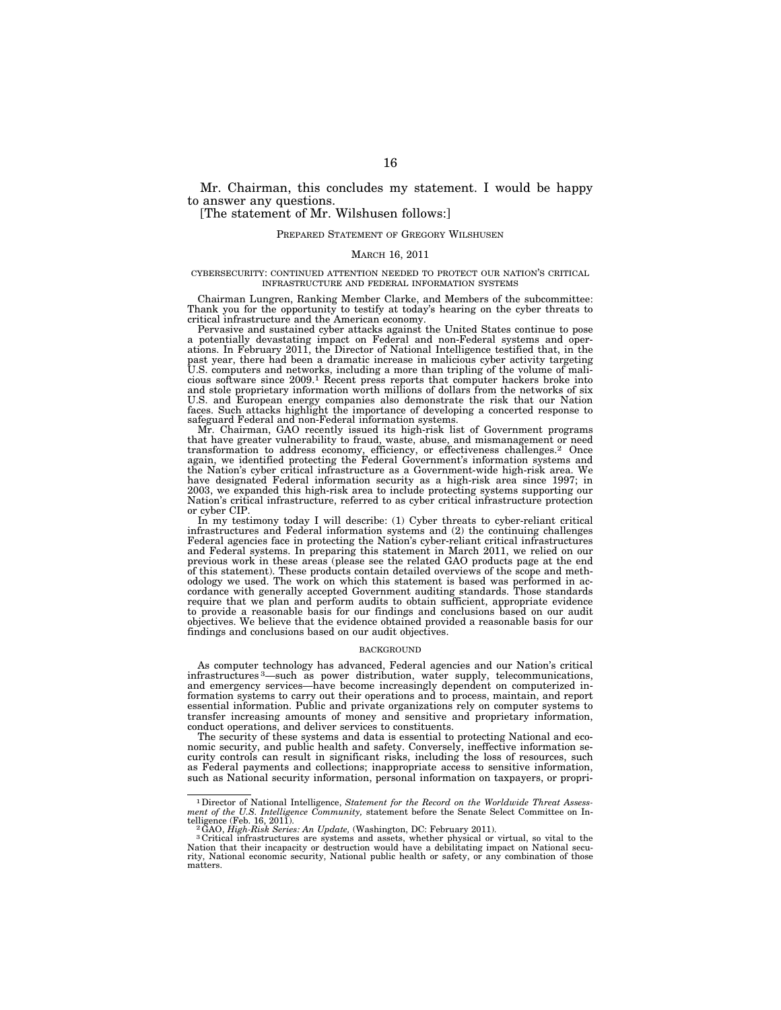Mr. Chairman, this concludes my statement. I would be happy to answer any questions.

## [The statement of Mr. Wilshusen follows:]

#### PREPARED STATEMENT OF GREGORY WILSHUSEN

#### MARCH 16, 2011

#### CYBERSECURITY: CONTINUED ATTENTION NEEDED TO PROTECT OUR NATION'S CRITICAL INFRASTRUCTURE AND FEDERAL INFORMATION SYSTEMS

Chairman Lungren, Ranking Member Clarke, and Members of the subcommittee: Thank you for the opportunity to testify at today's hearing on the cyber threats to critical infrastructure and the American economy.

Pervasive and sustained cyber attacks against the United States continue to pose a potentially devastating impact on Federal and non-Federal systems and oper-ations. In February 2011, the Director of National Intelligence testified that, in the past year, there had been a dramatic increase in malicious cyber activity targeting U.S. computers and networks, including a more than tripling of the volume of malicious software since 2009.1 Recent press reports that computer hackers broke into and stole proprietary information worth millions of dollars from the networks of six U.S. and European energy companies also demonstrate the risk that our Nation faces. Such attacks highlight the importance of developing a concerted response to safeguard Federal and non-Federal information systems.

Mr. Chairman, GAO recently issued its high-risk list of Government programs that have greater vulnerability to fraud, waste, abuse, and mismanagement or need transformation to address economy, efficiency, or effectiveness challenges.2 Once again, we identified protecting the Federal Government's information systems and the Nation's cyber critical infrastructure as a Government-wide high-risk area. We have designated Federal information security as a high-risk area since 1997; in 2003, we expanded this high-risk area to include protecting systems supporting our Nation's critical infrastructure, referred to as cyber critical infrastructure protection or cyber CIP.

In my testimony today I will describe: (1) Cyber threats to cyber-reliant critical infrastructures and Federal information systems and (2) the continuing challenges Federal agencies face in protecting the Nation's cyber-reliant critical infrastructures and Federal systems. In preparing this statement in March 2011, we relied on our previous work in these areas (please see the related GAO products page at the end of this statement). These products contain detailed overviews of the scope and methodology we used. The work on which this statement is based was performed in accordance with generally accepted Government auditing standard require that we plan and perform audits to obtain sufficient, appropriate evidence to provide a reasonable basis for our findings and conclusions based on our audit objectives. We believe that the evidence obtained provided a reasonable basis for our findings and conclusions based on our audit objectives.

### BACKGROUND

As computer technology has advanced, Federal agencies and our Nation's critical infrastructures 3—such as power distribution, water supply, telecommunications, and emergency services—have become increasingly dependent on computerized information systems to carry out their operations and to process, maintain, and report essential information. Public and private organizations rely on computer systems to transfer increasing amounts of money and sensitive and proprietary information, conduct operations, and deliver services to constituents.

The security of these systems and data is essential to protecting National and economic security, and public health and safety. Conversely, ineffective information security controls can result in significant risks, including the loss of resources, such as Federal payments and collections; inappropriate access to sensitive information, such as National security information, personal information on taxpayers, or propri-

<sup>1</sup>Director of National Intelligence, *Statement for the Record on the Worldwide Threat Assess-ment of the U.S. Intelligence Community,* statement before the Senate Select Committee on In-

telligence (Feb. 16, 2011).<br><sup>2</sup> GAO, *High-Risk Series: An Update,* (Washington, DC: February 2011).<br><sup>3</sup> Critical infrastructures are systems and assets, whether physical or virtual, so vital to the<br>Nation that their incap rity, National economic security, National public health or safety, or any combination of those matters.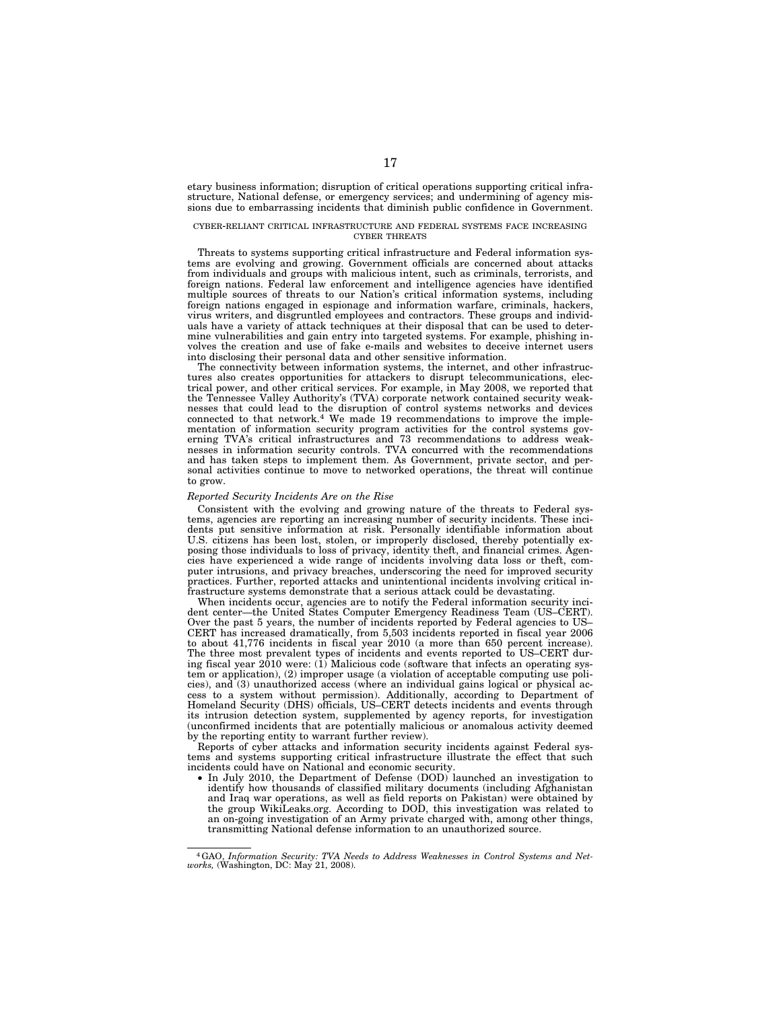etary business information; disruption of critical operations supporting critical infrastructure, National defense, or emergency services; and undermining of agency missions due to embarrassing incidents that diminish public confidence in Government.

#### CYBER-RELIANT CRITICAL INFRASTRUCTURE AND FEDERAL SYSTEMS FACE INCREASING CYBER THREATS

Threats to systems supporting critical infrastructure and Federal information systems are evolving and growing. Government officials are concerned about attacks from individuals and groups with malicious intent, such as criminals, terrorists, and foreign nations. Federal law enforcement and intelligence agencies have identified multiple sources of threats to our Nation's critical information systems, including foreign nations engaged in espionage and information warfare, criminals, hackers, virus writers, and disgruntled employees and contractors. These groups and individuals have a variety of attack techniques at their disposal that can be used to determine vulnerabilities and gain entry into targeted systems. For example, phishing involves the creation and use of fake e-mails and websites to deceive internet users into disclosing their personal data and other sensitive information.

The connectivity between information systems, the internet, and other infrastructures also creates opportunities for attackers to disrupt telecommunications, electrical power, and other critical services. For example, in May 2008, we reported that the Tennessee Valley Authority's (TVA) corporate network contained security weaknesses that could lead to the disruption of control systems networks and devices connected to that network.<sup>4</sup> We made 19 recommendations to improve the implementation of information security program activities for the control systems governing TVA's critical infrastructures and 73 recommendations to address weaknesses in information security controls. TVA concurred with the recommendations and has taken steps to implement them. As Government, private sector, and personal activities continue to move to networked operations, the threat will continue to grow.

#### *Reported Security Incidents Are on the Rise*

Consistent with the evolving and growing nature of the threats to Federal systems, agencies are reporting an increasing number of security incidents. These incidents put sensitive information at risk. Personally identifiable information about U.S. citizens has been lost, stolen, or improperly disclosed, thereby potentially exposing those individuals to loss of privacy, identity theft, and financial crimes. Agencies have experienced a wide range of incidents involving data loss or theft, computer intrusions, and privacy breaches, underscoring the need for improved security practices. Further, reported attacks and unintentional incidents involving critical infrastructure systems demonstrate that a serious attack could be devastating.

When incidents occur, agencies are to notify the Federal information security incident center—the United States Computer Emergency Readiness Team (US–CERT). Over the past 5 years, the number of incidents reported by Federal agencies to US– CERT has increased dramatically, from 5,503 incidents reported in fiscal year 2006 to about 41,776 incidents in fiscal year 2010 (a more than 650 percent increase). The three most prevalent types of incidents and events reported to US–CERT during fiscal year 2010 were: (1) Malicious code (software that infects an operating system or application), (2) improper usage (a violation of acceptable computing use policies), and (3) unauthorized access (where an individual gains logical or physical access to a system without permission). Additionally, according to Department of Homeland Security (DHS) officials, US–CERT detects incidents and events through its intrusion detection system, supplemented by agency reports, for investigation (unconfirmed incidents that are potentially malicious or anomalous activity deemed by the reporting entity to warrant further review).

Reports of cyber attacks and information security incidents against Federal systems and systems supporting critical infrastructure illustrate the effect that such incidents could have on National and economic security.

• In July 2010, the Department of Defense (DOD) launched an investigation to identify how thousands of classified military documents (including Afghanistan and Iraq war operations, as well as field reports on Pakistan) were obtained by the group WikiLeaks.org. According to DOD, this investigation was related to an on-going investigation of an Army private charged with, among other things, transmitting National defense information to an unauthorized source.

<sup>4</sup>GAO, *Information Security: TVA Needs to Address Weaknesses in Control Systems and Networks,* (Washington, DC: May 21, 2008).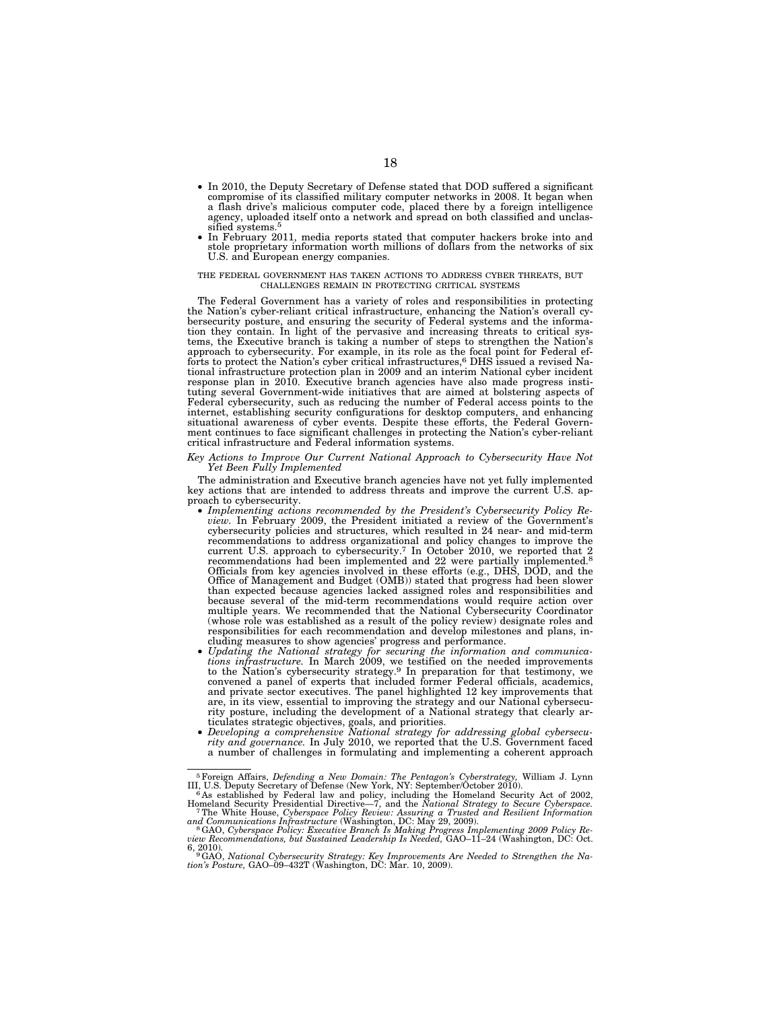- In 2010, the Deputy Secretary of Defense stated that DOD suffered a significant compromise of its classified military computer networks in 2008. It began when a flash drive's malicious computer code, placed there by a foreign intelligence agency, uploaded itself onto a network and spread on both classified and unclassified systems.5
- In February 2011, media reports stated that computer hackers broke into and stole proprietary information worth millions of dollars from the networks of six U.S. and European energy companies.

#### THE FEDERAL GOVERNMENT HAS TAKEN ACTIONS TO ADDRESS CYBER THREATS, BUT CHALLENGES REMAIN IN PROTECTING CRITICAL SYSTEMS

The Federal Government has a variety of roles and responsibilities in protecting the Nation's cyber-reliant critical infrastructure, enhancing the Nation's overall cybersecurity posture, and ensuring the security of Federal systems and the information they contain. In light of the pervasive and increasing threats to critical systems, the Executive branch is taking a number of steps to strengthen the Nation's approach to cybersecurity. For example, in its role as the focal point for Federal ef-forts to protect the Nation's cyber critical infrastructures,6 DHS issued a revised National infrastructure protection plan in 2009 and an interim National cyber incident response plan in 2010. Executive branch agencies have also made progress instituting several Government-wide initiatives that are aimed at bolstering aspects of Federal cybersecurity, such as reducing the number of Federal access points to the internet, establishing security configurations for desktop computers, and enhancing situational awareness of cyber events. Despite these efforts, the Federal Government continues to face significant challenges in protecting the Nation's cyber-reliant critical infrastructure and Federal information systems.

#### *Key Actions to Improve Our Current National Approach to Cybersecurity Have Not Yet Been Fully Implemented*

The administration and Executive branch agencies have not yet fully implemented key actions that are intended to address threats and improve the current U.S. approach to cybersecurity.

- Implementing actions recommended by the President's Cybersecurity Policy Re*view.* In February 2009, the President initiated a review of the Government's cybersecurity policies and structures, which resulted in 24 near- and mid-term recommendations to address organizational and policy changes to improve the current U.S. approach to cybersecurity.7 In October 2010, we reported that 2 recommendations had been implemented and 22 were partially implemented.8 Officials from key agencies involved in these efforts (e.g., DHS, DOD, and the Office of Management and Budget (OMB)) stated that progress had been slower than expected because agencies lacked assigned roles and responsibilities and because several of the mid-term recommendations would require action over multiple years. We recommended that the National Cybersecurity Coordinator (whose role was established as a result of the policy review) designate roles and responsibilities for each recommendation and develop milestones and plans, in-
- cluding measures to show agencies' progress and performance.<br>• Updating the National strategy for securing the information and communications infrastructure. In March 2009, we testified on the needed improvements to the Na and private sector executives. The panel highlighted 12 key improvements that are, in its view, essential to improving the strategy and our National cybersecurity posture, including the development of a National strategy that clearly articulates strategic objectives, goals, and priorities. • *Developing a comprehensive National strategy for addressing global cybersecu-*
- *rity and governance.* In July 2010, we reported that the U.S. Government faced a number of challenges in formulating and implementing a coherent approach

<sup>&</sup>lt;sup>5</sup> Foreign Affairs, *Defending a New Domain: The Pentagon's Cyberstrategy*, William J. Lynn III, U.S. Deputy Secretary of Defense (New York, NY: September/October 2010).<br><sup>6</sup> As established by Federal law and policy, incl

Homeland Security Presidential Directive—7, and the *National Strategy to Secure Cyberspace.* 7The White House, *Cyberspace Policy Review: Assuring a Trusted and Resilient Information* 

and Communications Infrastructure (Washington, DC: May 29, 2009).<br><sup>8</sup> GAO, Cyberspace Policy: Executive Branch Is Making Progress Implementing 2009 Policy Re-<br>view Recommendations, but Sustained Leadership Is Needed, GAO–1

<sup>6, 2010). 9</sup>GAO, *National Cybersecurity Strategy: Key Improvements Are Needed to Strengthen the Na-tion's Posture,* GAO–09–432T (Washington, DC: Mar. 10, 2009).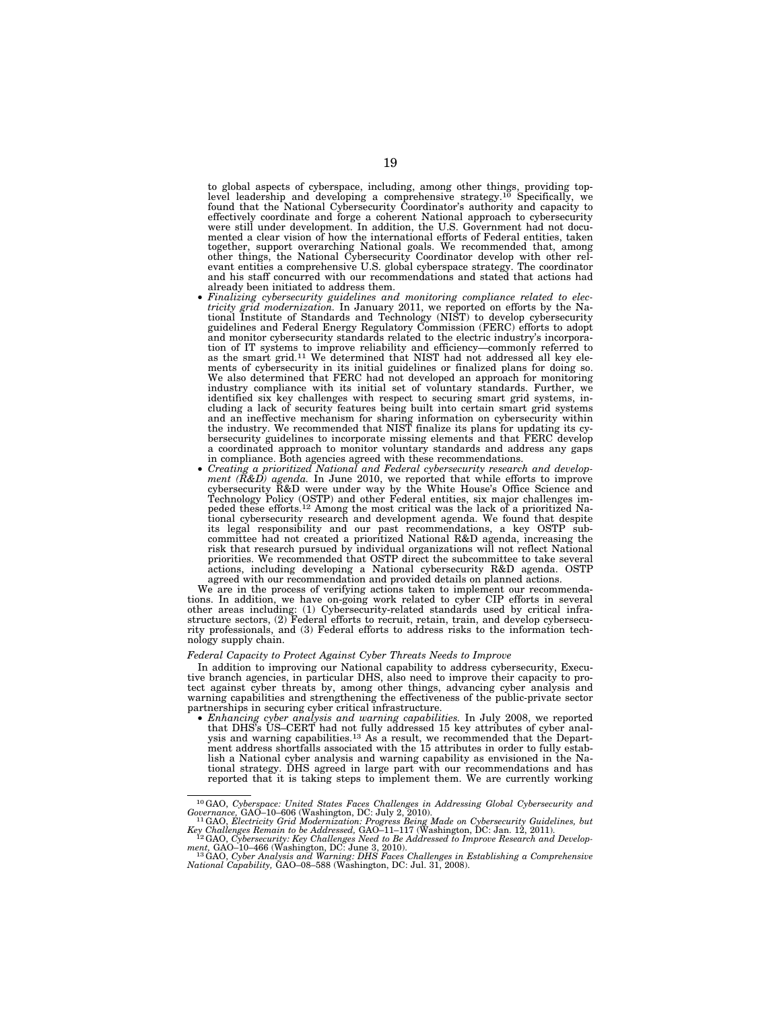to global aspects of cyberspace, including, among other things, providing top-<br>level leadership and developing a comprehensive strategy.<sup>10</sup> Specifically, we<br>found that the National Cybersecurity Coordinator's authority an effectively coordinate and forge a coherent National approach to cybersecurity were still under development. In addition, the U.S. Government had not documented a clear vision of how the international efforts of Federal entities, taken<br>together, support overarching National goals. We recommended that, among<br>other things, the National Cybersecurity Coordinator develop with o

- already been initiated to address them. *Finalizing cybersecurity guidelines and monitoring compliance related to elec-tricity grid modernization.* In January 2011, we reported on efforts by the National Institute of Standards and Technology (NIST) to develop cybersecurity guidelines and Federal Energy Regulatory Commission (FERC) efforts to adopt and monitor cybersecurity standards related to the electric industry's incorpora-tion of IT systems to improve reliability and efficiency—commonly referred to as the smart grid.11 We determined that NIST had not addressed all key elements of cybersecurity in its initial guidelines or finalized plans for doing so. We also determined that FERC had not developed an approach for monitoring industry compliance with its initial set of voluntary standards. Further, we identified six key challenges with respect to securing smart grid systems, in-cluding a lack of security features being built into certain smart grid systems and an ineffective mechanism for sharing information on cybersecurity within the industry. We recommended that NIST finalize its plans for updating its cybersecurity guidelines to incorporate missing elements and that FERC develop a coordinated approach to monitor voluntary standards and address any gaps
- Creating a prioritized National and Federal cybersecurity research and development (R&D) agenda. In June 2010, we reported that while efforts to improve cybersecurity R&D were under way by the White House's Office Science and Technology Policy (OSTP) and other Federal entities, six major challenges risk that research pursued by individual organizations will not reflect National priorities. We recommended that OSTP direct the subcommittee to take several actions, including developing a National cybersecurity R&D agenda. OSTP agreed with our recommendation and provided details on planned actions.

We are in the process of verifying actions taken to implement our recommendations. In addition, we have on-going work related to cyber CIP efforts in several other areas including: (1) Cybersecurity-related standards used by critical infrastructure sectors, (2) Federal efforts to recruit, retain, train, and develop cybersecurity professionals, and (3) Federal efforts to address risks to the information technology supply chain.

#### *Federal Capacity to Protect Against Cyber Threats Needs to Improve*

In addition to improving our National capability to address cybersecurity, Execu-tive branch agencies, in particular DHS, also need to improve their capacity to protect against cyber threats by, among other things, advancing cyber analysis and warning capabilities and strengthening the effectiveness of the public-private sector partnerships in securing cyber critical infrastructure. • *Enhancing cyber analysis and warning capabilities.* In July 2008, we reported

that DHS's US–CERT had not fully addressed 15 key attributes of cyber analysis and warning capabilities.<sup>13</sup> As a result, we recommended that the Department address shortfalls associated with the 15 attributes in order to fully establish a National cyber analysis and warning capability as envisioned in the National strategy. DHS agreed in large part with our recommendations and has reported that it is taking steps to implement them. We are currently working

<sup>&</sup>lt;sup>10</sup>GAO, Cyberspace: United States Faces Challenges in Addressing Global Cybersecurity and Governance, GAO-10-606 (Washington, DC: July 2, 2010).<br><sup>11</sup>GAO, Electricity Grid Modernization: Progress Being Made on Cybersecuri

*Key Challenges Remain to be Addressed,* GAO–11–117 (Washington, DC: Jan. 12, 2011). 12GAO, *Cybersecurity: Key Challenges Need to Be Addressed to Improve Research and Develop-*

ment, GAO–10–466 (Washington, DC: June 3, 2010).<br><sup>13</sup>GAO, Cyber Analysis and Warning: DHS Faces Challenges in Establishing a Comprehensive<br>National Capability, GAO–08–588 (Washington, DC: Jul. 31, 2008).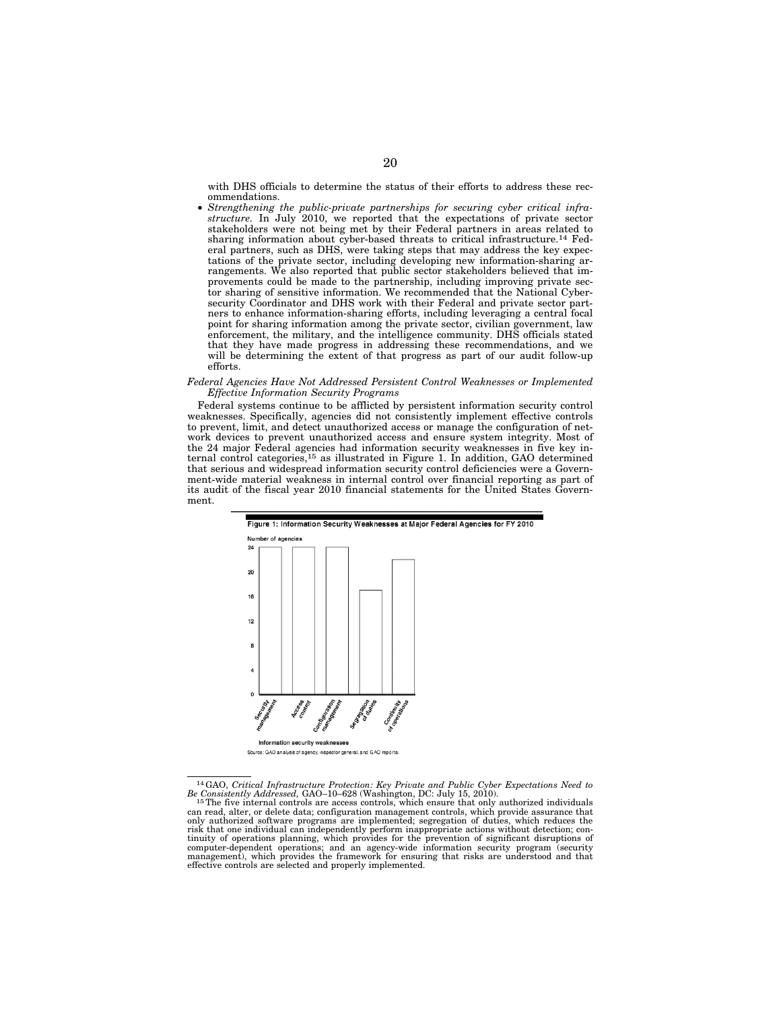with DHS officials to determine the status of their efforts to address these recommendations.

• *Strengthening the public-private partnerships for securing cyber critical infrastructure.* In July 2010, we reported that the expectations of private sector stakeholders were not being met by their Federal partners in areas related to sharing information about cyber-based threats to critical infrastructure.14 Federal partners, such as DHS, were taking steps that may address the key expectations of the private sector, including developing new information-sharing arrangements. We also reported that public sector stakeholders believed that improvements could be made to the partnership, including improving private sector sharing of sensitive information. We recommended that the National Cybersecurity Coordinator and DHS work with their Federal and private sector partners to enhance information-sharing efforts, including leveraging a central focal point for sharing information among the private sector, civilian government, law enforcement, the military, and the intelligence community. DHS officials stated that they have made progress in addressing these recommendations, and we will be determining the extent of that progress as part of our audit follow-up efforts.

### *Federal Agencies Have Not Addressed Persistent Control Weaknesses or Implemented Effective Information Security Programs*

Federal systems continue to be afflicted by persistent information security control weaknesses. Specifically, agencies did not consistently implement effective controls to prevent, limit, and detect unauthorized access or manage the configuration of network devices to prevent unauthorized access and ensure system integrity. Most of the 24 major Federal agencies had information security weaknesses in five key internal control categories,15 as illustrated in Figure 1. In addition, GAO determined that serious and widespread information security control deficiencies were a Government-wide material weakness in internal control over financial reporting as part of its audit of the fiscal year 2010 financial statements for the United States Government.



<sup>&</sup>lt;sup>14</sup>GAO, *Critical Infrastructure Protection: Key Private and Public Cyber Expectations Need to*<br>*Be Consistently Addressed*, GAO–10–628 (Washington, DC: July 15, 2010).<br><sup>15</sup>The five internal controls are access controls, risk that one individual can independently perform inappropriate actions without detection; con-<br>tinuity of operations planning, which provides for the prevention of significant disruptions of<br>computer-dependent operations management), which provides the framework for ensuring that risks are understood and that effective controls are selected and properly implemented.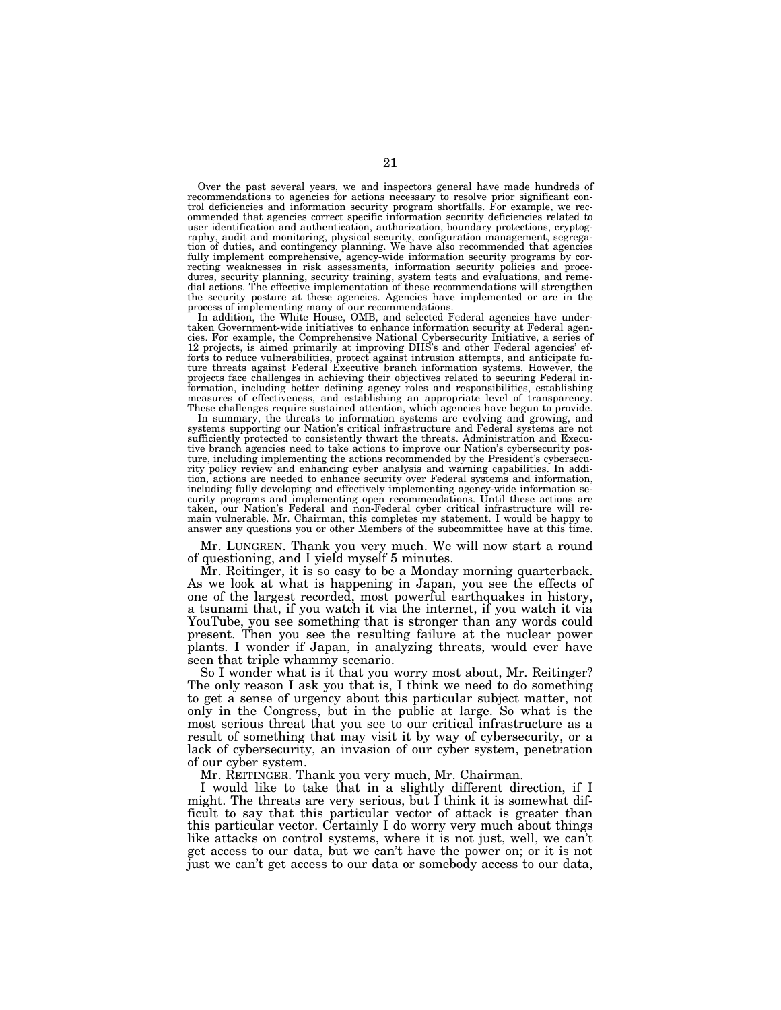Over the past several years, we and inspectors general have made hundreds of recommendations to agencies for actions necessary to resolve prior significant control deficiencies and information security program shortfalls. ommended that agencies correct specific information security deficiencies related to user identification and authentication, authorization, boundary protections, cryptography, audit and monitoring, physical security, configuration management, segregation of duties, and contingency planning. We have also recommended that agencies fully implement comprehensive, agency-wide information security programs by correcting weaknesses in risk assessments, information security policies and procedures, security planning, security training, system tests and evaluations, and remedial actions. The effective implementation of these recommendations will strengthen the security posture at these agencies. Agencies have implemented or are in the process of implementing many of our recommendations.

In addition, the White House, OMB, and selected Federal agencies have undertaken Government-wide initiatives to enhance information security at Federal agencies. For example, the Comprehensive National Cybersecurity Initiative, a series of 12 projects, is aimed primarily at improving DHS's and other Federal agencies' efforts to reduce vulnerabilities, protect against intrusion attempts, and anticipate fu-ture threats against Federal Executive branch information systems. However, the projects face challenges in achieving their objectives related to securing Federal in-formation, including better defining agency roles and responsibilities, establishing measures of effectiveness, and establishing an appropriate level of transparency. These challenges require sustained attention, which agencies have begun to provide.

In summary, the threats to information systems are evolving and growing, and systems supporting our Nation's critical infrastructure and Federal systems are not sufficiently protected to consistently thwart the threats. Administration and Executive branch agencies need to take actions to improve our Nation's cybersecurity posture, including implementing the actions recommended by the President's cybersecurity policy review and enhancing cyber analysis and warning capabilities. In addition, actions are needed to enhance security over Federal systems and information, including fully developing and effectively implementing agency-wide information se-curity programs and implementing open recommendations. Until these actions are taken, our Nation's Federal and non-Federal cyber critical infrastructure will remain vulnerable. Mr. Chairman, this completes my statement. I would be happy to answer any questions you or other Members of the subcommittee have at this time.

Mr. LUNGREN. Thank you very much. We will now start a round of questioning, and I yield myself 5 minutes.

Mr. Reitinger, it is so easy to be a Monday morning quarterback. As we look at what is happening in Japan, you see the effects of one of the largest recorded, most powerful earthquakes in history, a tsunami that, if you watch it via the internet, if you watch it via YouTube, you see something that is stronger than any words could present. Then you see the resulting failure at the nuclear power plants. I wonder if Japan, in analyzing threats, would ever have seen that triple whammy scenario.

So I wonder what is it that you worry most about, Mr. Reitinger? The only reason I ask you that is, I think we need to do something to get a sense of urgency about this particular subject matter, not only in the Congress, but in the public at large. So what is the most serious threat that you see to our critical infrastructure as a result of something that may visit it by way of cybersecurity, or a lack of cybersecurity, an invasion of our cyber system, penetration of our cyber system.

Mr. REITINGER. Thank you very much, Mr. Chairman.

I would like to take that in a slightly different direction, if I might. The threats are very serious, but I think it is somewhat difficult to say that this particular vector of attack is greater than this particular vector. Certainly I do worry very much about things like attacks on control systems, where it is not just, well, we can't get access to our data, but we can't have the power on; or it is not just we can't get access to our data or somebody access to our data,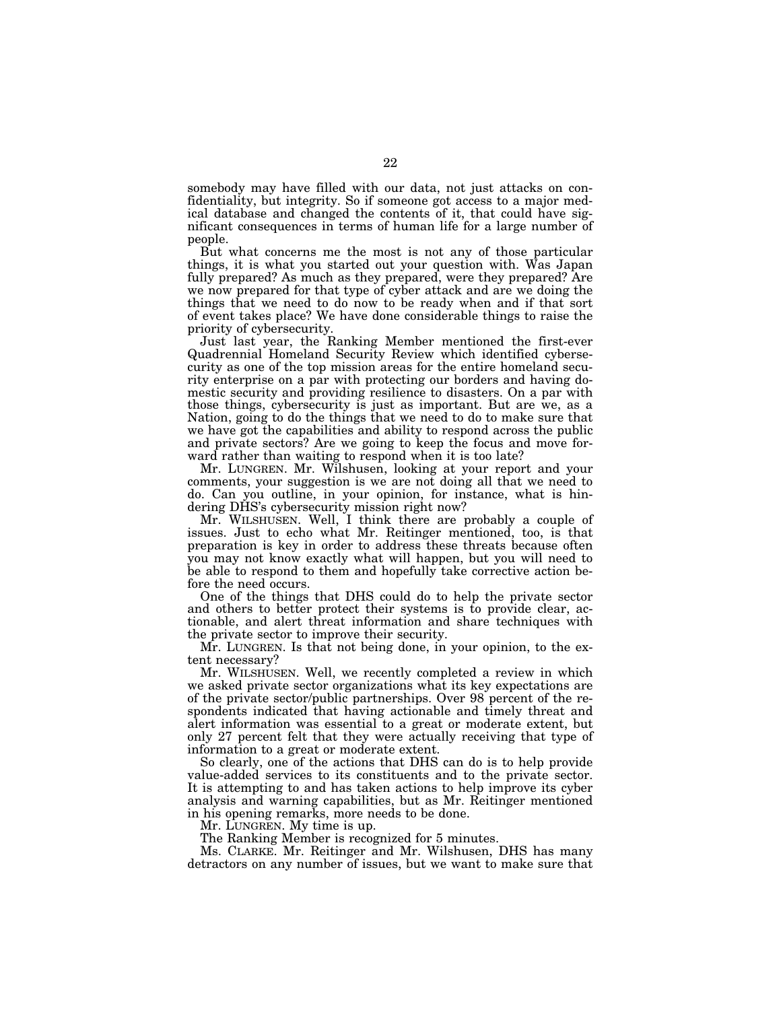somebody may have filled with our data, not just attacks on confidentiality, but integrity. So if someone got access to a major medical database and changed the contents of it, that could have significant consequences in terms of human life for a large number of people.

But what concerns me the most is not any of those particular things, it is what you started out your question with. Was Japan fully prepared? As much as they prepared, were they prepared? Are we now prepared for that type of cyber attack and are we doing the things that we need to do now to be ready when and if that sort of event takes place? We have done considerable things to raise the priority of cybersecurity.

Just last year, the Ranking Member mentioned the first-ever Quadrennial Homeland Security Review which identified cybersecurity as one of the top mission areas for the entire homeland security enterprise on a par with protecting our borders and having domestic security and providing resilience to disasters. On a par with those things, cybersecurity is just as important. But are we, as a Nation, going to do the things that we need to do to make sure that we have got the capabilities and ability to respond across the public and private sectors? Are we going to keep the focus and move forward rather than waiting to respond when it is too late?

Mr. LUNGREN. Mr. Wilshusen, looking at your report and your comments, your suggestion is we are not doing all that we need to do. Can you outline, in your opinion, for instance, what is hindering DHS's cybersecurity mission right now?

Mr. WILSHUSEN. Well, I think there are probably a couple of issues. Just to echo what Mr. Reitinger mentioned, too, is that preparation is key in order to address these threats because often you may not know exactly what will happen, but you will need to be able to respond to them and hopefully take corrective action before the need occurs.

One of the things that DHS could do to help the private sector and others to better protect their systems is to provide clear, actionable, and alert threat information and share techniques with the private sector to improve their security.

Mr. LUNGREN. Is that not being done, in your opinion, to the extent necessary?

Mr. WILSHUSEN. Well, we recently completed a review in which we asked private sector organizations what its key expectations are of the private sector/public partnerships. Over 98 percent of the respondents indicated that having actionable and timely threat and alert information was essential to a great or moderate extent, but only 27 percent felt that they were actually receiving that type of information to a great or moderate extent.

So clearly, one of the actions that DHS can do is to help provide value-added services to its constituents and to the private sector. It is attempting to and has taken actions to help improve its cyber analysis and warning capabilities, but as Mr. Reitinger mentioned in his opening remarks, more needs to be done.

Mr. LUNGREN. My time is up.

The Ranking Member is recognized for 5 minutes.

Ms. CLARKE. Mr. Reitinger and Mr. Wilshusen, DHS has many detractors on any number of issues, but we want to make sure that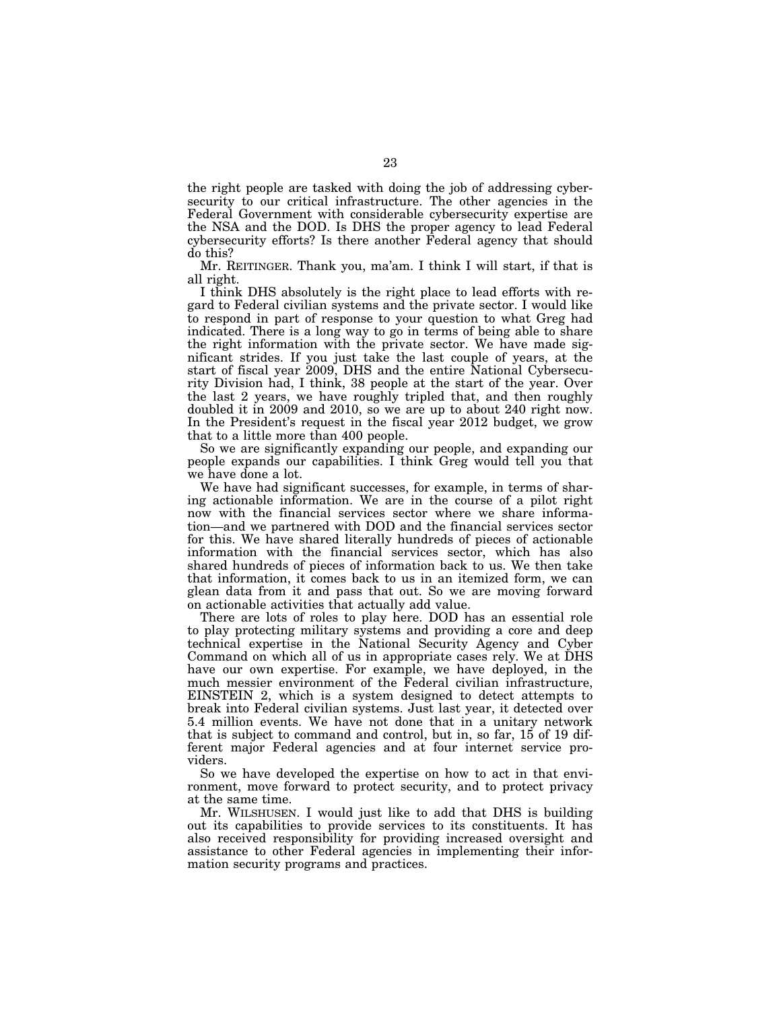the right people are tasked with doing the job of addressing cybersecurity to our critical infrastructure. The other agencies in the Federal Government with considerable cybersecurity expertise are the NSA and the DOD. Is DHS the proper agency to lead Federal cybersecurity efforts? Is there another Federal agency that should do this?

Mr. REITINGER. Thank you, ma'am. I think I will start, if that is all right.

I think DHS absolutely is the right place to lead efforts with regard to Federal civilian systems and the private sector. I would like to respond in part of response to your question to what Greg had indicated. There is a long way to go in terms of being able to share the right information with the private sector. We have made significant strides. If you just take the last couple of years, at the start of fiscal year 2009, DHS and the entire National Cybersecurity Division had, I think, 38 people at the start of the year. Over the last 2 years, we have roughly tripled that, and then roughly doubled it in 2009 and 2010, so we are up to about 240 right now. In the President's request in the fiscal year 2012 budget, we grow that to a little more than 400 people.

So we are significantly expanding our people, and expanding our people expands our capabilities. I think Greg would tell you that we have done a lot.

We have had significant successes, for example, in terms of sharing actionable information. We are in the course of a pilot right now with the financial services sector where we share information—and we partnered with DOD and the financial services sector for this. We have shared literally hundreds of pieces of actionable information with the financial services sector, which has also shared hundreds of pieces of information back to us. We then take that information, it comes back to us in an itemized form, we can glean data from it and pass that out. So we are moving forward on actionable activities that actually add value.

There are lots of roles to play here. DOD has an essential role to play protecting military systems and providing a core and deep technical expertise in the National Security Agency and Cyber Command on which all of us in appropriate cases rely. We at DHS have our own expertise. For example, we have deployed, in the much messier environment of the Federal civilian infrastructure, EINSTEIN 2, which is a system designed to detect attempts to break into Federal civilian systems. Just last year, it detected over 5.4 million events. We have not done that in a unitary network that is subject to command and control, but in, so far, 15 of 19 different major Federal agencies and at four internet service providers.

So we have developed the expertise on how to act in that environment, move forward to protect security, and to protect privacy at the same time.

Mr. WILSHUSEN. I would just like to add that DHS is building out its capabilities to provide services to its constituents. It has also received responsibility for providing increased oversight and assistance to other Federal agencies in implementing their information security programs and practices.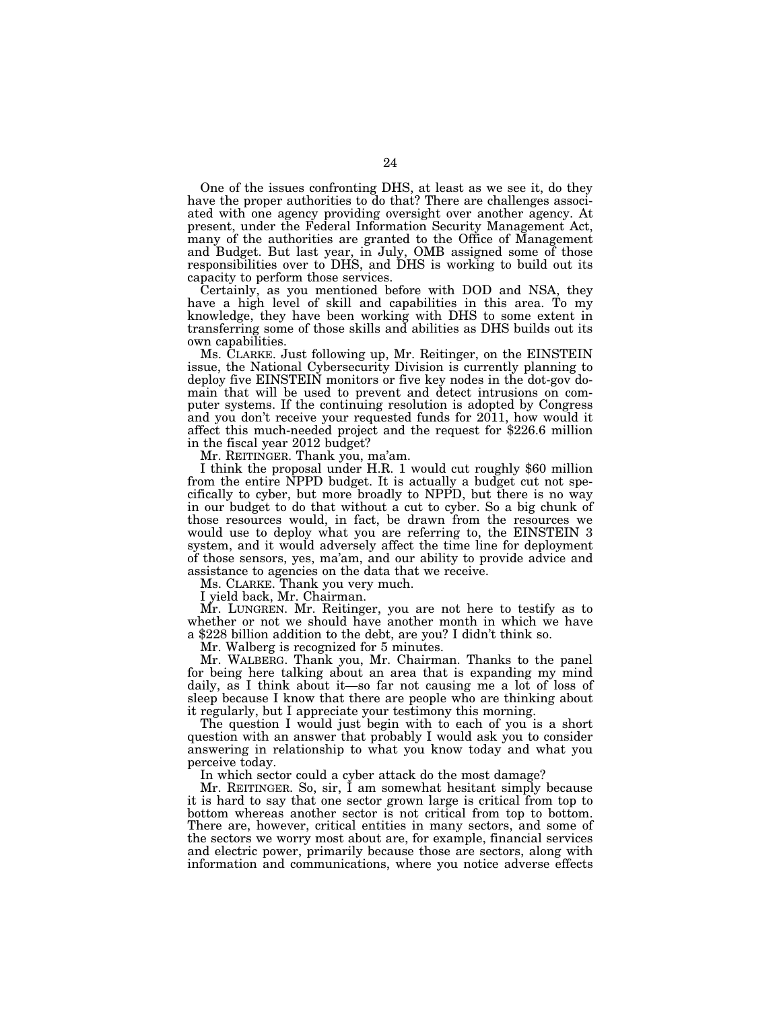One of the issues confronting DHS, at least as we see it, do they have the proper authorities to do that? There are challenges associated with one agency providing oversight over another agency. At present, under the Federal Information Security Management Act, many of the authorities are granted to the Office of Management and Budget. But last year, in July, OMB assigned some of those responsibilities over to DHS, and DHS is working to build out its capacity to perform those services.

Certainly, as you mentioned before with DOD and NSA, they have a high level of skill and capabilities in this area. To my knowledge, they have been working with DHS to some extent in transferring some of those skills and abilities as DHS builds out its own capabilities.

Ms. CLARKE. Just following up, Mr. Reitinger, on the EINSTEIN issue, the National Cybersecurity Division is currently planning to deploy five EINSTEIN monitors or five key nodes in the dot-gov domain that will be used to prevent and detect intrusions on computer systems. If the continuing resolution is adopted by Congress and you don't receive your requested funds for 2011, how would it affect this much-needed project and the request for \$226.6 million in the fiscal year 2012 budget?

I think the proposal under H.R. 1 would cut roughly \$60 million from the entire NPPD budget. It is actually a budget cut not specifically to cyber, but more broadly to NPPD, but there is no way in our budget to do that without a cut to cyber. So a big chunk of those resources would, in fact, be drawn from the resources we would use to deploy what you are referring to, the EINSTEIN 3 system, and it would adversely affect the time line for deployment of those sensors, yes, ma'am, and our ability to provide advice and assistance to agencies on the data that we receive.

Ms. CLARKE. Thank you very much.

I yield back, Mr. Chairman.

Mr. LUNGREN. Mr. Reitinger, you are not here to testify as to whether or not we should have another month in which we have a \$228 billion addition to the debt, are you? I didn't think so.

Mr. Walberg is recognized for 5 minutes.

Mr. WALBERG. Thank you, Mr. Chairman. Thanks to the panel for being here talking about an area that is expanding my mind daily, as I think about it—so far not causing me a lot of loss of sleep because I know that there are people who are thinking about it regularly, but I appreciate your testimony this morning.

The question I would just begin with to each of you is a short question with an answer that probably I would ask you to consider answering in relationship to what you know today and what you perceive today.

In which sector could a cyber attack do the most damage?

Mr. REITINGER. So, sir, I am somewhat hesitant simply because it is hard to say that one sector grown large is critical from top to bottom whereas another sector is not critical from top to bottom. There are, however, critical entities in many sectors, and some of the sectors we worry most about are, for example, financial services and electric power, primarily because those are sectors, along with information and communications, where you notice adverse effects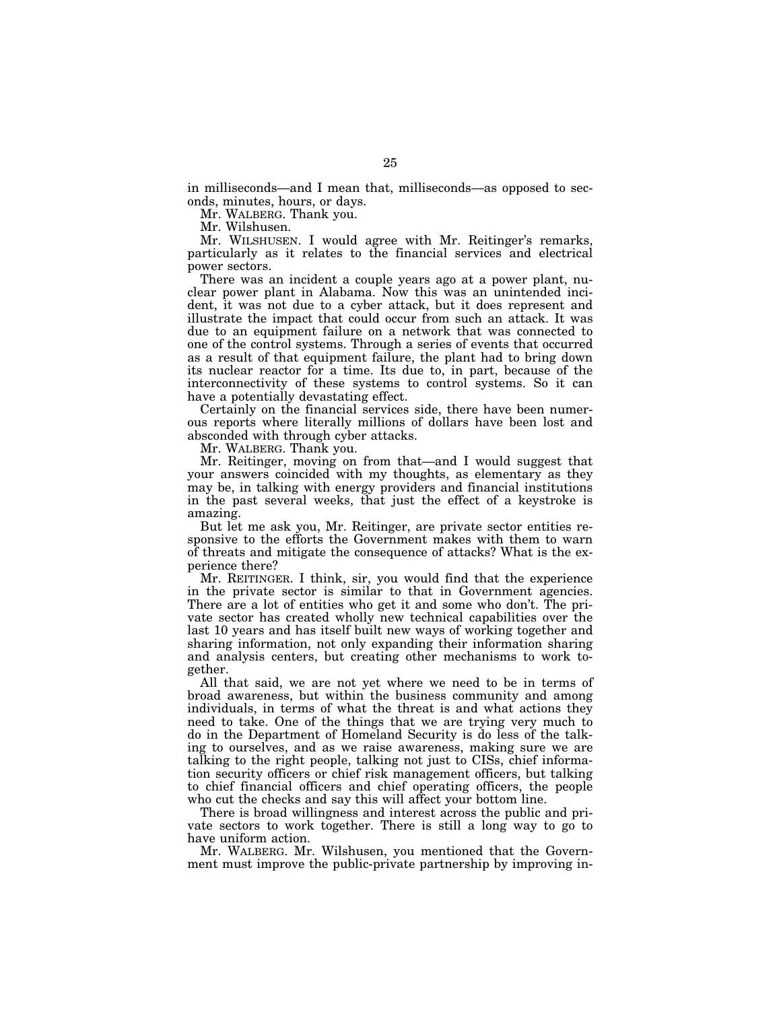in milliseconds—and I mean that, milliseconds—as opposed to seconds, minutes, hours, or days.

Mr. WALBERG. Thank you.

Mr. Wilshusen.

Mr. WILSHUSEN. I would agree with Mr. Reitinger's remarks, particularly as it relates to the financial services and electrical power sectors.

There was an incident a couple years ago at a power plant, nuclear power plant in Alabama. Now this was an unintended incident, it was not due to a cyber attack, but it does represent and illustrate the impact that could occur from such an attack. It was due to an equipment failure on a network that was connected to one of the control systems. Through a series of events that occurred as a result of that equipment failure, the plant had to bring down its nuclear reactor for a time. Its due to, in part, because of the interconnectivity of these systems to control systems. So it can have a potentially devastating effect.

Certainly on the financial services side, there have been numerous reports where literally millions of dollars have been lost and absconded with through cyber attacks.

Mr. WALBERG. Thank you.

Mr. Reitinger, moving on from that—and I would suggest that your answers coincided with my thoughts, as elementary as they may be, in talking with energy providers and financial institutions in the past several weeks, that just the effect of a keystroke is amazing.

But let me ask you, Mr. Reitinger, are private sector entities responsive to the efforts the Government makes with them to warn of threats and mitigate the consequence of attacks? What is the experience there?

Mr. REITINGER. I think, sir, you would find that the experience in the private sector is similar to that in Government agencies. There are a lot of entities who get it and some who don't. The private sector has created wholly new technical capabilities over the last 10 years and has itself built new ways of working together and sharing information, not only expanding their information sharing and analysis centers, but creating other mechanisms to work together.

All that said, we are not yet where we need to be in terms of broad awareness, but within the business community and among individuals, in terms of what the threat is and what actions they need to take. One of the things that we are trying very much to do in the Department of Homeland Security is do less of the talking to ourselves, and as we raise awareness, making sure we are talking to the right people, talking not just to CISs, chief information security officers or chief risk management officers, but talking to chief financial officers and chief operating officers, the people who cut the checks and say this will affect your bottom line.

There is broad willingness and interest across the public and private sectors to work together. There is still a long way to go to have uniform action.

Mr. WALBERG. Mr. Wilshusen, you mentioned that the Government must improve the public-private partnership by improving in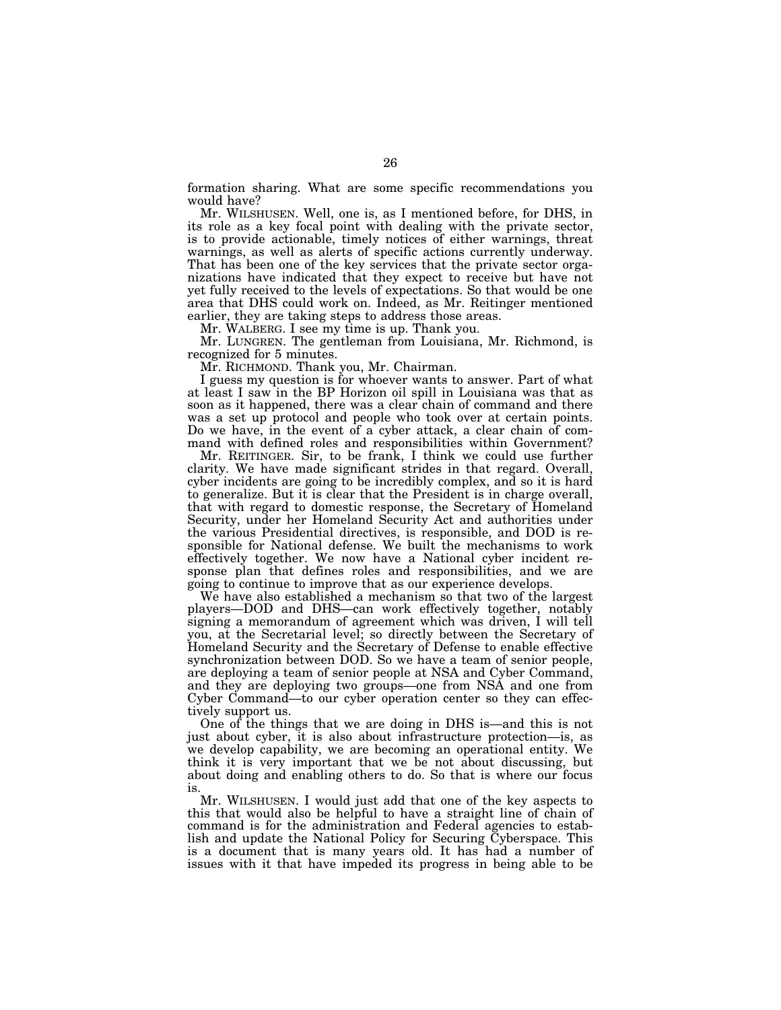formation sharing. What are some specific recommendations you would have?

Mr. WILSHUSEN. Well, one is, as I mentioned before, for DHS, in its role as a key focal point with dealing with the private sector, is to provide actionable, timely notices of either warnings, threat warnings, as well as alerts of specific actions currently underway. That has been one of the key services that the private sector organizations have indicated that they expect to receive but have not yet fully received to the levels of expectations. So that would be one area that DHS could work on. Indeed, as Mr. Reitinger mentioned earlier, they are taking steps to address those areas.

Mr. WALBERG. I see my time is up. Thank you.

Mr. LUNGREN. The gentleman from Louisiana, Mr. Richmond, is recognized for 5 minutes.

Mr. RICHMOND. Thank you, Mr. Chairman.

I guess my question is for whoever wants to answer. Part of what at least I saw in the BP Horizon oil spill in Louisiana was that as soon as it happened, there was a clear chain of command and there was a set up protocol and people who took over at certain points. Do we have, in the event of a cyber attack, a clear chain of command with defined roles and responsibilities within Government?

Mr. REITINGER. Sir, to be frank, I think we could use further clarity. We have made significant strides in that regard. Overall, cyber incidents are going to be incredibly complex, and so it is hard to generalize. But it is clear that the President is in charge overall, that with regard to domestic response, the Secretary of Homeland Security, under her Homeland Security Act and authorities under the various Presidential directives, is responsible, and DOD is responsible for National defense. We built the mechanisms to work effectively together. We now have a National cyber incident response plan that defines roles and responsibilities, and we are going to continue to improve that as our experience develops.

We have also established a mechanism so that two of the largest players—DOD and DHS—can work effectively together, notably signing a memorandum of agreement which was driven, I will tell you, at the Secretarial level; so directly between the Secretary of Homeland Security and the Secretary of Defense to enable effective synchronization between DOD. So we have a team of senior people, are deploying a team of senior people at NSA and Cyber Command, and they are deploying two groups—one from NSA and one from Cyber Command—to our cyber operation center so they can effectively support us.

One of the things that we are doing in DHS is—and this is not just about cyber, it is also about infrastructure protection—is, as we develop capability, we are becoming an operational entity. We think it is very important that we be not about discussing, but about doing and enabling others to do. So that is where our focus is.

Mr. WILSHUSEN. I would just add that one of the key aspects to this that would also be helpful to have a straight line of chain of command is for the administration and Federal agencies to establish and update the National Policy for Securing Cyberspace. This is a document that is many years old. It has had a number of issues with it that have impeded its progress in being able to be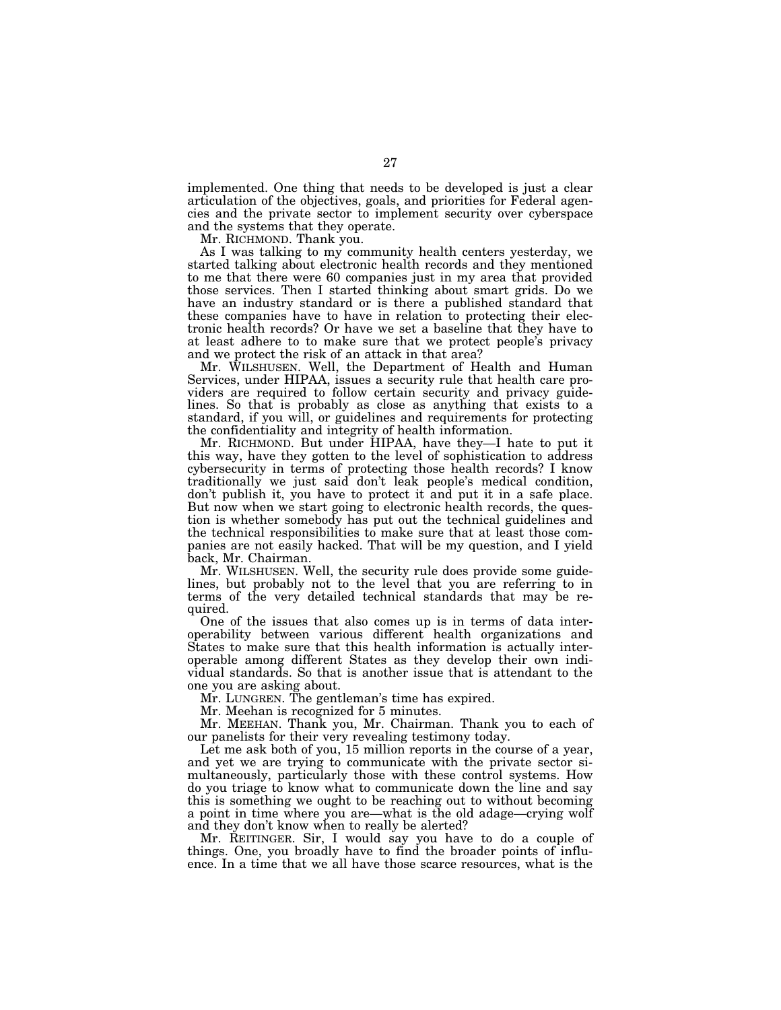implemented. One thing that needs to be developed is just a clear articulation of the objectives, goals, and priorities for Federal agencies and the private sector to implement security over cyberspace and the systems that they operate.

Mr. RICHMOND. Thank you.

As I was talking to my community health centers yesterday, we started talking about electronic health records and they mentioned to me that there were 60 companies just in my area that provided those services. Then I started thinking about smart grids. Do we have an industry standard or is there a published standard that these companies have to have in relation to protecting their electronic health records? Or have we set a baseline that they have to at least adhere to to make sure that we protect people's privacy and we protect the risk of an attack in that area?

Mr. WILSHUSEN. Well, the Department of Health and Human Services, under HIPAA, issues a security rule that health care providers are required to follow certain security and privacy guidelines. So that is probably as close as anything that exists to a standard, if you will, or guidelines and requirements for protecting the confidentiality and integrity of health information.

Mr. RICHMOND. But under HIPAA, have they—I hate to put it this way, have they gotten to the level of sophistication to address cybersecurity in terms of protecting those health records? I know traditionally we just said don't leak people's medical condition, don't publish it, you have to protect it and put it in a safe place. But now when we start going to electronic health records, the question is whether somebody has put out the technical guidelines and the technical responsibilities to make sure that at least those companies are not easily hacked. That will be my question, and I yield back, Mr. Chairman.

Mr. WILSHUSEN. Well, the security rule does provide some guidelines, but probably not to the level that you are referring to in terms of the very detailed technical standards that may be required.

One of the issues that also comes up is in terms of data interoperability between various different health organizations and States to make sure that this health information is actually interoperable among different States as they develop their own individual standards. So that is another issue that is attendant to the one you are asking about.

Mr. LUNGREN. The gentleman's time has expired.

Mr. Meehan is recognized for 5 minutes.

Mr. MEEHAN. Thank you, Mr. Chairman. Thank you to each of our panelists for their very revealing testimony today.

Let me ask both of you, 15 million reports in the course of a year, and yet we are trying to communicate with the private sector simultaneously, particularly those with these control systems. How do you triage to know what to communicate down the line and say this is something we ought to be reaching out to without becoming a point in time where you are—what is the old adage—crying wolf and they don't know when to really be alerted?

Mr. REITINGER. Sir, I would say you have to do a couple of things. One, you broadly have to find the broader points of influence. In a time that we all have those scarce resources, what is the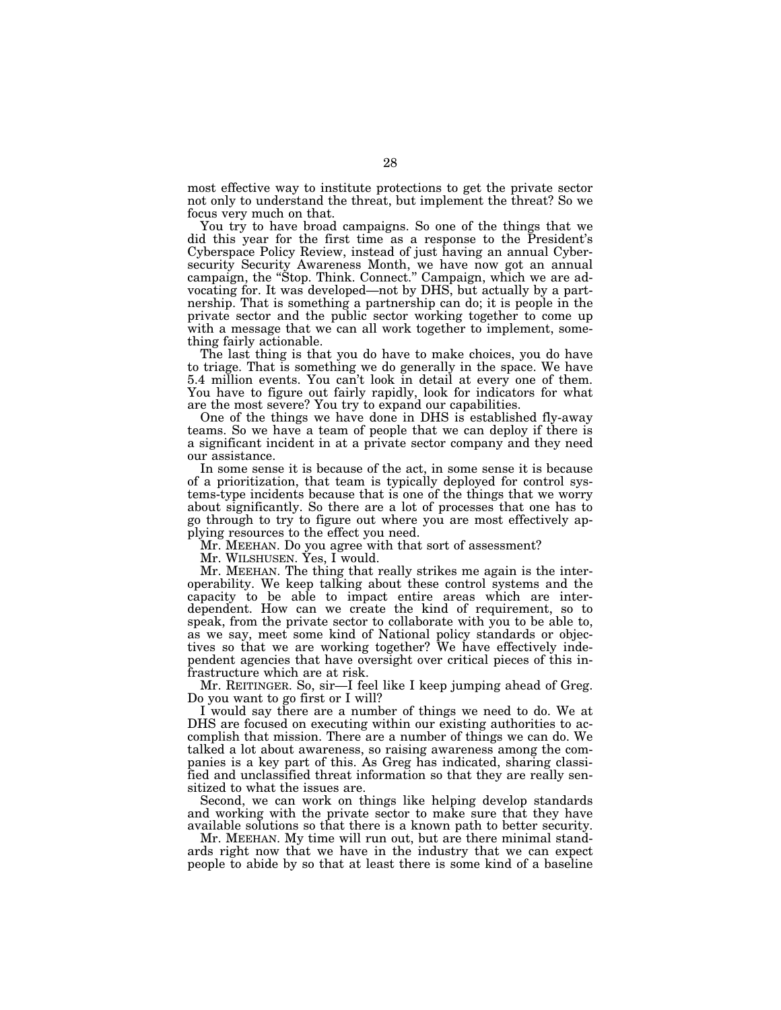most effective way to institute protections to get the private sector not only to understand the threat, but implement the threat? So we focus very much on that.

You try to have broad campaigns. So one of the things that we did this year for the first time as a response to the President's Cyberspace Policy Review, instead of just having an annual Cybersecurity Security Awareness Month, we have now got an annual campaign, the "Stop. Think. Connect." Campaign, which we are advocating for. It was developed—not by DHS, but actually by a partnership. That is something a partnership can do; it is people in the private sector and the public sector working together to come up with a message that we can all work together to implement, something fairly actionable.

The last thing is that you do have to make choices, you do have to triage. That is something we do generally in the space. We have 5.4 million events. You can't look in detail at every one of them. You have to figure out fairly rapidly, look for indicators for what are the most severe? You try to expand our capabilities.

One of the things we have done in DHS is established fly-away teams. So we have a team of people that we can deploy if there is a significant incident in at a private sector company and they need our assistance.

In some sense it is because of the act, in some sense it is because of a prioritization, that team is typically deployed for control systems-type incidents because that is one of the things that we worry about significantly. So there are a lot of processes that one has to go through to try to figure out where you are most effectively applying resources to the effect you need.

Mr. MEEHAN. Do you agree with that sort of assessment?

Mr. WILSHUSEN. Yes, I would.

Mr. MEEHAN. The thing that really strikes me again is the interoperability. We keep talking about these control systems and the capacity to be able to impact entire areas which are interdependent. How can we create the kind of requirement, so to speak, from the private sector to collaborate with you to be able to, as we say, meet some kind of National policy standards or objectives so that we are working together? We have effectively independent agencies that have oversight over critical pieces of this infrastructure which are at risk.

Mr. REITINGER. So, sir—I feel like I keep jumping ahead of Greg. Do you want to go first or I will?

I would say there are a number of things we need to do. We at DHS are focused on executing within our existing authorities to accomplish that mission. There are a number of things we can do. We talked a lot about awareness, so raising awareness among the companies is a key part of this. As Greg has indicated, sharing classified and unclassified threat information so that they are really sensitized to what the issues are.

Second, we can work on things like helping develop standards and working with the private sector to make sure that they have available solutions so that there is a known path to better security.

Mr. MEEHAN. My time will run out, but are there minimal standards right now that we have in the industry that we can expect people to abide by so that at least there is some kind of a baseline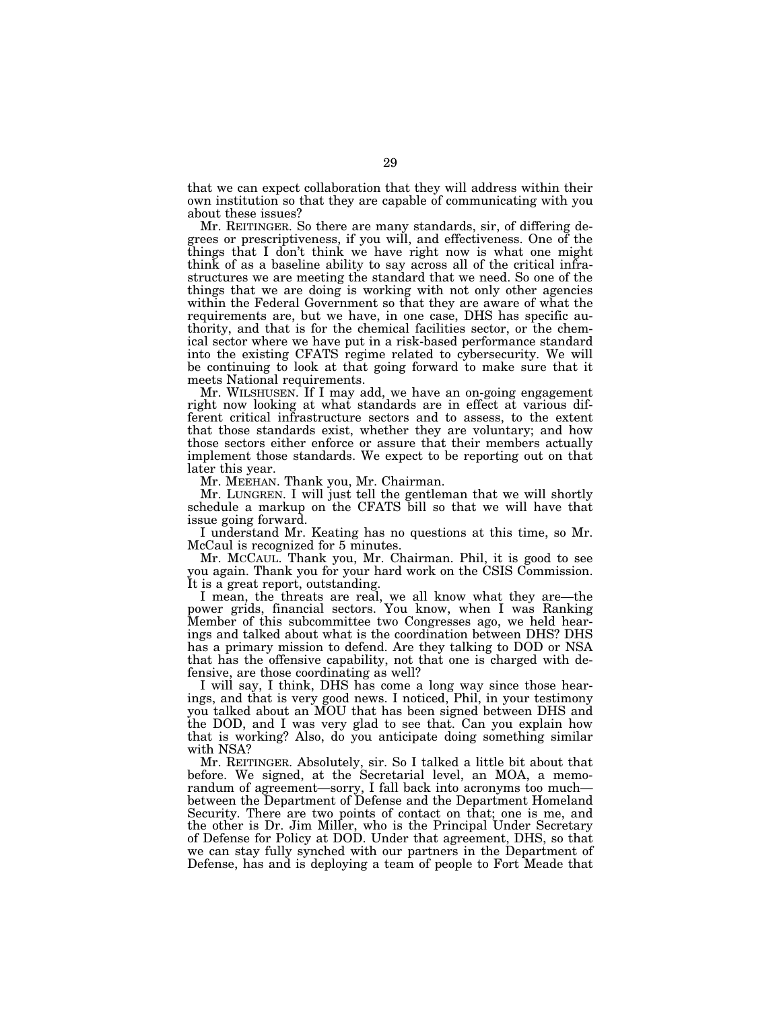that we can expect collaboration that they will address within their own institution so that they are capable of communicating with you about these issues?

Mr. REITINGER. So there are many standards, sir, of differing degrees or prescriptiveness, if you will, and effectiveness. One of the things that I don't think we have right now is what one might think of as a baseline ability to say across all of the critical infrastructures we are meeting the standard that we need. So one of the things that we are doing is working with not only other agencies within the Federal Government so that they are aware of what the requirements are, but we have, in one case, DHS has specific authority, and that is for the chemical facilities sector, or the chemical sector where we have put in a risk-based performance standard into the existing CFATS regime related to cybersecurity. We will be continuing to look at that going forward to make sure that it meets National requirements.

Mr. WILSHUSEN. If I may add, we have an on-going engagement right now looking at what standards are in effect at various different critical infrastructure sectors and to assess, to the extent that those standards exist, whether they are voluntary; and how those sectors either enforce or assure that their members actually implement those standards. We expect to be reporting out on that later this year.

Mr. MEEHAN. Thank you, Mr. Chairman.

Mr. LUNGREN. I will just tell the gentleman that we will shortly schedule a markup on the CFATS bill so that we will have that issue going forward.

I understand Mr. Keating has no questions at this time, so Mr. McCaul is recognized for 5 minutes.

Mr. MCCAUL. Thank you, Mr. Chairman. Phil, it is good to see you again. Thank you for your hard work on the CSIS Commission. It is a great report, outstanding.

I mean, the threats are real, we all know what they are—the power grids, financial sectors. You know, when I was Ranking Member of this subcommittee two Congresses ago, we held hearings and talked about what is the coordination between DHS? DHS has a primary mission to defend. Are they talking to DOD or NSA that has the offensive capability, not that one is charged with defensive, are those coordinating as well?

I will say, I think, DHS has come a long way since those hearings, and that is very good news. I noticed, Phil, in your testimony you talked about an MOU that has been signed between DHS and the DOD, and I was very glad to see that. Can you explain how that is working? Also, do you anticipate doing something similar with NSA?

Mr. REITINGER. Absolutely, sir. So I talked a little bit about that before. We signed, at the Secretarial level, an MOA, a memorandum of agreement—sorry, I fall back into acronyms too much between the Department of Defense and the Department Homeland Security. There are two points of contact on that; one is me, and the other is Dr. Jim Miller, who is the Principal Under Secretary of Defense for Policy at DOD. Under that agreement, DHS, so that we can stay fully synched with our partners in the Department of Defense, has and is deploying a team of people to Fort Meade that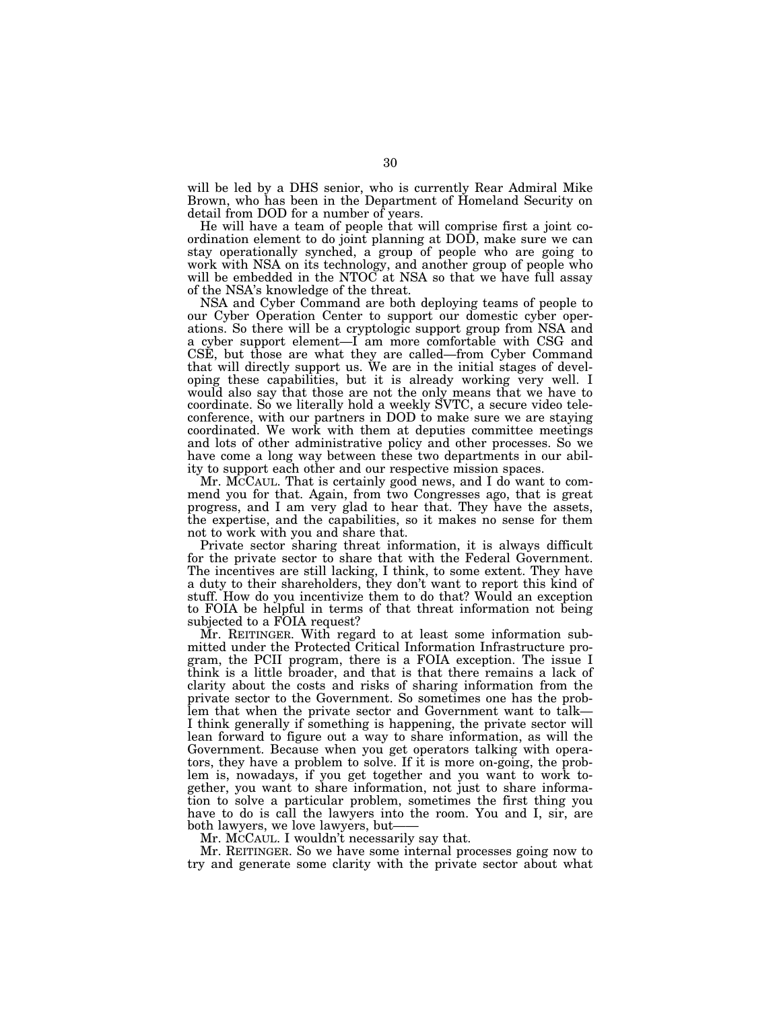will be led by a DHS senior, who is currently Rear Admiral Mike Brown, who has been in the Department of Homeland Security on detail from DOD for a number of years.

He will have a team of people that will comprise first a joint coordination element to do joint planning at DOD, make sure we can stay operationally synched, a group of people who are going to work with NSA on its technology, and another group of people who will be embedded in the NTOC at NSA so that we have full assay of the NSA's knowledge of the threat.

NSA and Cyber Command are both deploying teams of people to our Cyber Operation Center to support our domestic cyber operations. So there will be a cryptologic support group from NSA and a cyber support element—I am more comfortable with CSG and CSE, but those are what they are called—from Cyber Command that will directly support us. We are in the initial stages of developing these capabilities, but it is already working very well. I would also say that those are not the only means that we have to coordinate. So we literally hold a weekly SVTC, a secure video teleconference, with our partners in DOD to make sure we are staying coordinated. We work with them at deputies committee meetings and lots of other administrative policy and other processes. So we have come a long way between these two departments in our ability to support each other and our respective mission spaces.

Mr. MCCAUL. That is certainly good news, and I do want to commend you for that. Again, from two Congresses ago, that is great progress, and I am very glad to hear that. They have the assets, the expertise, and the capabilities, so it makes no sense for them not to work with you and share that.

Private sector sharing threat information, it is always difficult for the private sector to share that with the Federal Government. The incentives are still lacking, I think, to some extent. They have a duty to their shareholders, they don't want to report this kind of stuff. How do you incentivize them to do that? Would an exception to FOIA be helpful in terms of that threat information not being subjected to a FOIA request?

Mr. REITINGER. With regard to at least some information submitted under the Protected Critical Information Infrastructure program, the PCII program, there is a FOIA exception. The issue I think is a little broader, and that is that there remains a lack of clarity about the costs and risks of sharing information from the private sector to the Government. So sometimes one has the problem that when the private sector and Government want to talk— I think generally if something is happening, the private sector will lean forward to figure out a way to share information, as will the Government. Because when you get operators talking with operators, they have a problem to solve. If it is more on-going, the problem is, nowadays, if you get together and you want to work together, you want to share information, not just to share information to solve a particular problem, sometimes the first thing you have to do is call the lawyers into the room. You and I, sir, are both lawyers, we love lawyers, but-

Mr. MCCAUL. I wouldn't necessarily say that.

Mr. REITINGER. So we have some internal processes going now to try and generate some clarity with the private sector about what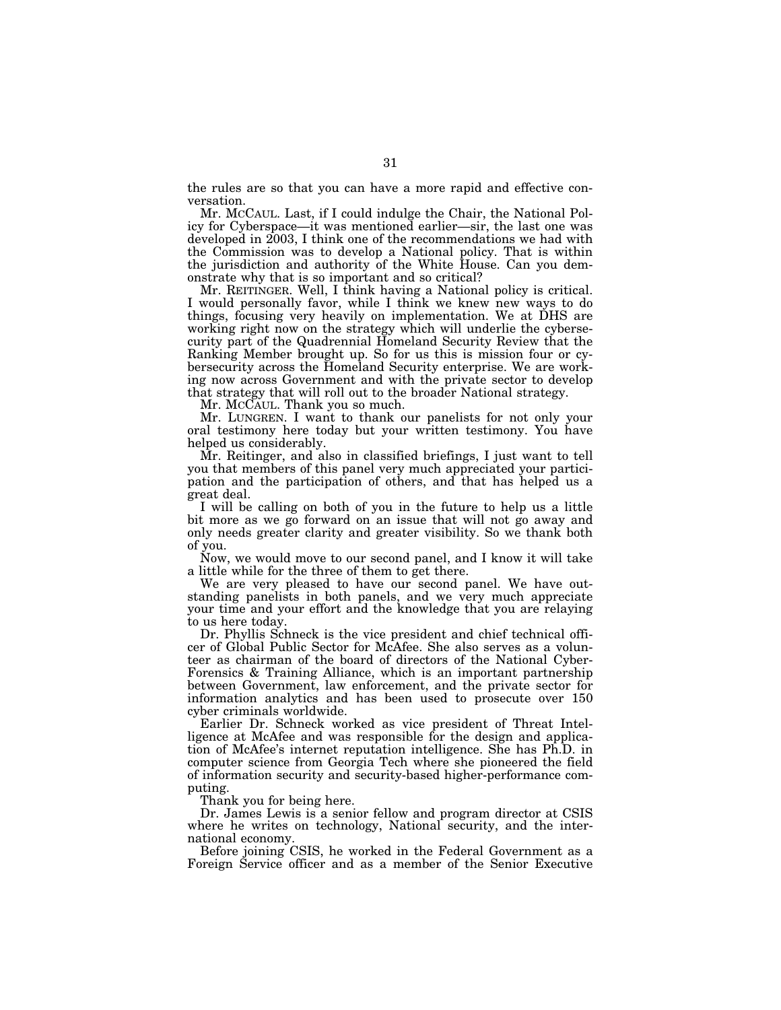the rules are so that you can have a more rapid and effective conversation.

Mr. MCCAUL. Last, if I could indulge the Chair, the National Policy for Cyberspace—it was mentioned earlier—sir, the last one was developed in 2003, I think one of the recommendations we had with the Commission was to develop a National policy. That is within the jurisdiction and authority of the White House. Can you demonstrate why that is so important and so critical?

Mr. REITINGER. Well, I think having a National policy is critical. I would personally favor, while I think we knew new ways to do things, focusing very heavily on implementation. We at DHS are working right now on the strategy which will underlie the cybersecurity part of the Quadrennial Homeland Security Review that the Ranking Member brought up. So for us this is mission four or cybersecurity across the Homeland Security enterprise. We are working now across Government and with the private sector to develop that strategy that will roll out to the broader National strategy.

Mr. MCCAUL. Thank you so much.

Mr. LUNGREN. I want to thank our panelists for not only your oral testimony here today but your written testimony. You have helped us considerably.

Mr. Reitinger, and also in classified briefings, I just want to tell you that members of this panel very much appreciated your participation and the participation of others, and that has helped us a great deal.

I will be calling on both of you in the future to help us a little bit more as we go forward on an issue that will not go away and only needs greater clarity and greater visibility. So we thank both of you.

Now, we would move to our second panel, and I know it will take a little while for the three of them to get there.

We are very pleased to have our second panel. We have outstanding panelists in both panels, and we very much appreciate your time and your effort and the knowledge that you are relaying to us here today.

Dr. Phyllis Schneck is the vice president and chief technical officer of Global Public Sector for McAfee. She also serves as a volunteer as chairman of the board of directors of the National Cyber-Forensics & Training Alliance, which is an important partnership between Government, law enforcement, and the private sector for information analytics and has been used to prosecute over 150 cyber criminals worldwide.

Earlier Dr. Schneck worked as vice president of Threat Intelligence at McAfee and was responsible for the design and application of McAfee's internet reputation intelligence. She has Ph.D. in computer science from Georgia Tech where she pioneered the field of information security and security-based higher-performance computing.

Thank you for being here.

Dr. James Lewis is a senior fellow and program director at CSIS where he writes on technology, National security, and the international economy.

Before joining CSIS, he worked in the Federal Government as a Foreign Service officer and as a member of the Senior Executive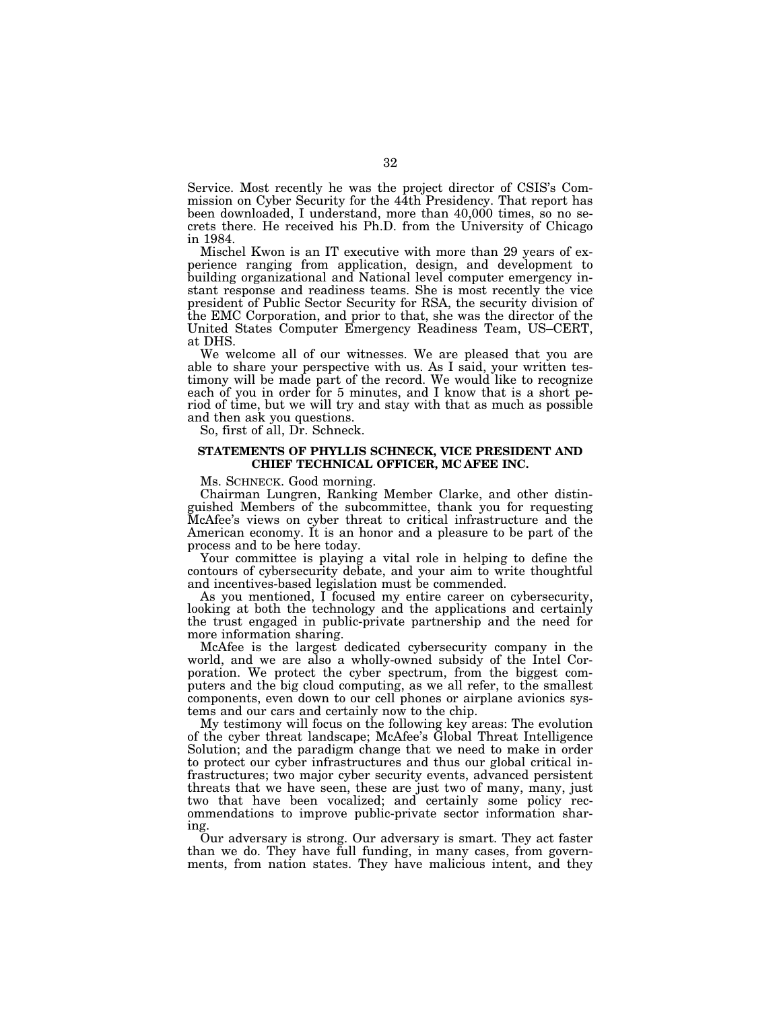Service. Most recently he was the project director of CSIS's Commission on Cyber Security for the 44th Presidency. That report has been downloaded, I understand, more than 40,000 times, so no secrets there. He received his Ph.D. from the University of Chicago in 1984.

Mischel Kwon is an IT executive with more than 29 years of experience ranging from application, design, and development to building organizational and National level computer emergency instant response and readiness teams. She is most recently the vice president of Public Sector Security for RSA, the security division of the EMC Corporation, and prior to that, she was the director of the United States Computer Emergency Readiness Team, US–CERT, at DHS.

We welcome all of our witnesses. We are pleased that you are able to share your perspective with us. As I said, your written testimony will be made part of the record. We would like to recognize each of you in order for 5 minutes, and I know that is a short period of time, but we will try and stay with that as much as possible and then ask you questions.

So, first of all, Dr. Schneck.

## **STATEMENTS OF PHYLLIS SCHNECK, VICE PRESIDENT AND CHIEF TECHNICAL OFFICER, MC AFEE INC.**

Ms. SCHNECK. Good morning.

Chairman Lungren, Ranking Member Clarke, and other distinguished Members of the subcommittee, thank you for requesting McAfee's views on cyber threat to critical infrastructure and the American economy. It is an honor and a pleasure to be part of the process and to be here today.

Your committee is playing a vital role in helping to define the contours of cybersecurity debate, and your aim to write thoughtful and incentives-based legislation must be commended.

As you mentioned, I focused my entire career on cybersecurity, looking at both the technology and the applications and certainly the trust engaged in public-private partnership and the need for more information sharing.

McAfee is the largest dedicated cybersecurity company in the world, and we are also a wholly-owned subsidy of the Intel Corporation. We protect the cyber spectrum, from the biggest computers and the big cloud computing, as we all refer, to the smallest components, even down to our cell phones or airplane avionics systems and our cars and certainly now to the chip.

My testimony will focus on the following key areas: The evolution of the cyber threat landscape; McAfee's Global Threat Intelligence Solution; and the paradigm change that we need to make in order to protect our cyber infrastructures and thus our global critical infrastructures; two major cyber security events, advanced persistent threats that we have seen, these are just two of many, many, just two that have been vocalized; and certainly some policy recommendations to improve public-private sector information sharing.

Our adversary is strong. Our adversary is smart. They act faster than we do. They have full funding, in many cases, from governments, from nation states. They have malicious intent, and they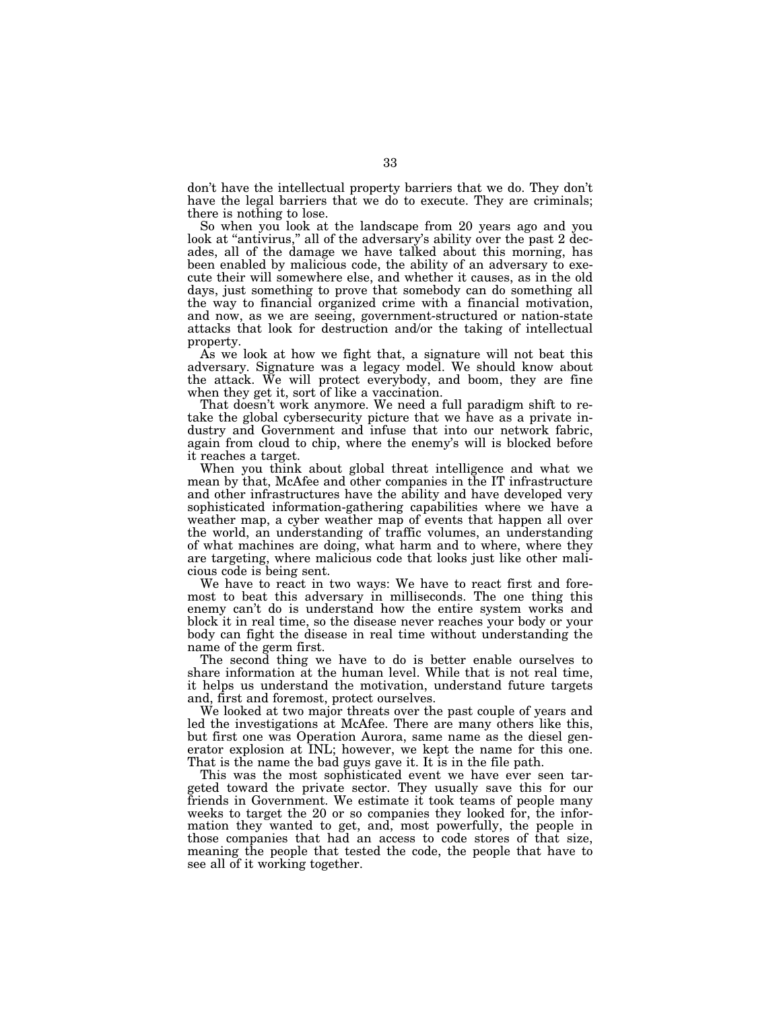don't have the intellectual property barriers that we do. They don't have the legal barriers that we do to execute. They are criminals; there is nothing to lose.

So when you look at the landscape from 20 years ago and you look at "antivirus," all of the adversary's ability over the past 2 decades, all of the damage we have talked about this morning, has been enabled by malicious code, the ability of an adversary to execute their will somewhere else, and whether it causes, as in the old days, just something to prove that somebody can do something all the way to financial organized crime with a financial motivation, and now, as we are seeing, government-structured or nation-state attacks that look for destruction and/or the taking of intellectual property.

As we look at how we fight that, a signature will not beat this adversary. Signature was a legacy model. We should know about the attack. We will protect everybody, and boom, they are fine when they get it, sort of like a vaccination.

That doesn't work anymore. We need a full paradigm shift to retake the global cybersecurity picture that we have as a private industry and Government and infuse that into our network fabric, again from cloud to chip, where the enemy's will is blocked before it reaches a target.

When you think about global threat intelligence and what we mean by that, McAfee and other companies in the IT infrastructure and other infrastructures have the ability and have developed very sophisticated information-gathering capabilities where we have a weather map, a cyber weather map of events that happen all over the world, an understanding of traffic volumes, an understanding of what machines are doing, what harm and to where, where they are targeting, where malicious code that looks just like other malicious code is being sent.

We have to react in two ways: We have to react first and foremost to beat this adversary in milliseconds. The one thing this enemy can't do is understand how the entire system works and block it in real time, so the disease never reaches your body or your body can fight the disease in real time without understanding the name of the germ first.

The second thing we have to do is better enable ourselves to share information at the human level. While that is not real time, it helps us understand the motivation, understand future targets and, first and foremost, protect ourselves.

We looked at two major threats over the past couple of years and led the investigations at McAfee. There are many others like this, but first one was Operation Aurora, same name as the diesel generator explosion at INL; however, we kept the name for this one. That is the name the bad guys gave it. It is in the file path.

This was the most sophisticated event we have ever seen targeted toward the private sector. They usually save this for our friends in Government. We estimate it took teams of people many weeks to target the 20 or so companies they looked for, the information they wanted to get, and, most powerfully, the people in those companies that had an access to code stores of that size, meaning the people that tested the code, the people that have to see all of it working together.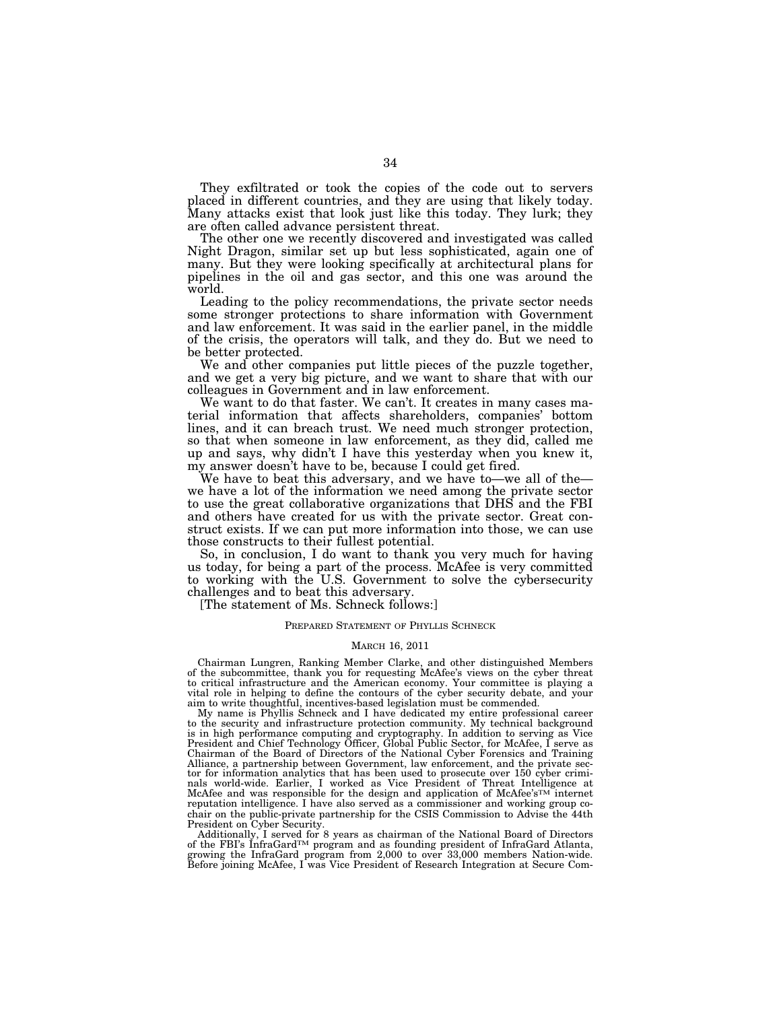They exfiltrated or took the copies of the code out to servers placed in different countries, and they are using that likely today. Many attacks exist that look just like this today. They lurk; they are often called advance persistent threat.

The other one we recently discovered and investigated was called Night Dragon, similar set up but less sophisticated, again one of many. But they were looking specifically at architectural plans for pipelines in the oil and gas sector, and this one was around the world.

Leading to the policy recommendations, the private sector needs some stronger protections to share information with Government and law enforcement. It was said in the earlier panel, in the middle of the crisis, the operators will talk, and they do. But we need to be better protected.

We and other companies put little pieces of the puzzle together, and we get a very big picture, and we want to share that with our colleagues in Government and in law enforcement.

We want to do that faster. We can't. It creates in many cases material information that affects shareholders, companies' bottom lines, and it can breach trust. We need much stronger protection, so that when someone in law enforcement, as they did, called me up and says, why didn't I have this yesterday when you knew it, my answer doesn't have to be, because I could get fired.

We have to beat this adversary, and we have to—we all of the we have a lot of the information we need among the private sector to use the great collaborative organizations that DHS and the FBI and others have created for us with the private sector. Great construct exists. If we can put more information into those, we can use those constructs to their fullest potential.

So, in conclusion, I do want to thank you very much for having us today, for being a part of the process. McAfee is very committed to working with the U.S. Government to solve the cybersecurity challenges and to beat this adversary.

[The statement of Ms. Schneck follows:]

# PREPARED STATEMENT OF PHYLLIS SCHNECK

# MARCH 16, 2011

Chairman Lungren, Ranking Member Clarke, and other distinguished Members of the subcommittee, thank you for requesting McAfee's views on the cyber threat to critical infrastructure and the American economy. Your committee is playing a vital role in helping to define the contours of the cyber security debate, and your aim to write thoughtful, incentives-based legislation must be commended.

My name is Phyllis Schneck and I have dedicated my entire professional career to the security and infrastructure protection community. My technical background is in high performance computing and cryptography. In addition to serving as Vice President and Chief Technology Officer, Global Public Sector, for McAfee, I serve as Chairman of the Board of Directors of the National Cyber Forensics and Training Alliance, a partnership between Government, law enforcement, and the private sector for information analytics that has been used to prosecute over 150 cyber criminals world-wide. Earlier, I worked as Vice President of Threat Intelligence at McAfee and was responsible for the design and application of McAfee's<sup>TM</sup> internet reputation intelligence. I have also served as a commissioner and working group cochair on the public-private partnership for the CSIS Commission to Advise the 44th President on Cyber Security.

Additionally, I served for 8 years as chairman of the National Board of Directors of the FBI's InfraGardTM program and as founding president of InfraGard Atlanta, growing the InfraGard program from 2,000 to over 33,000 members Nation-wide. Before joining McAfee, I was Vice President of Research Integration at Secure Com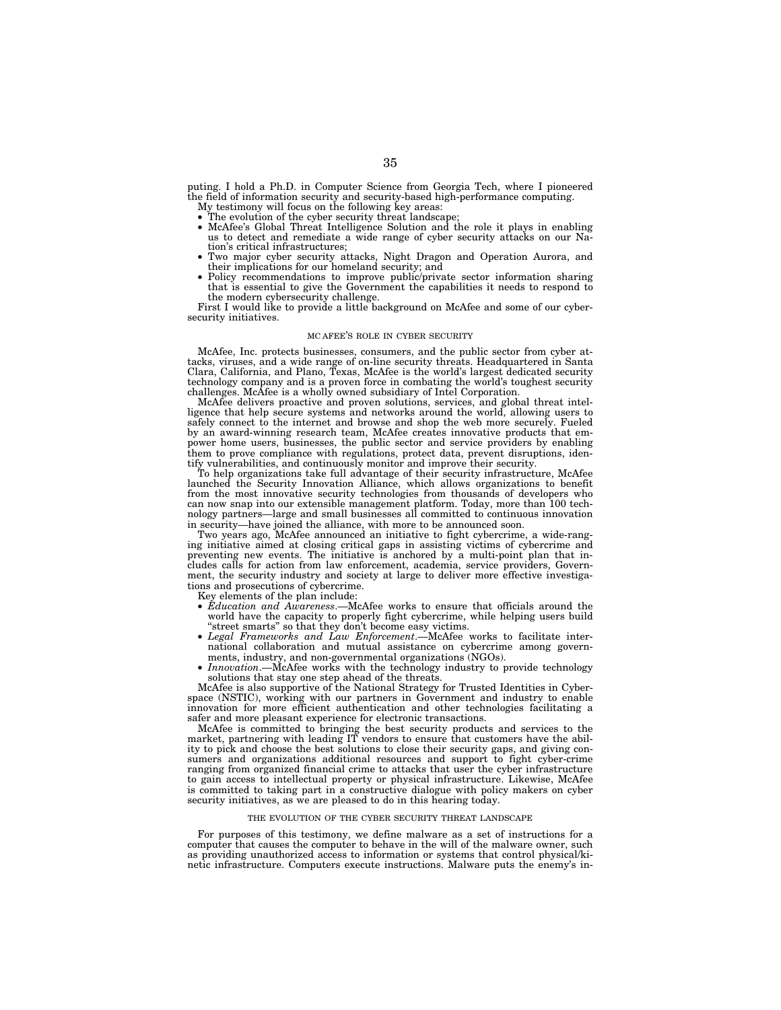puting. I hold a Ph.D. in Computer Science from Georgia Tech, where I pioneered the field of information security and security-based high-performance computing.

- My testimony will focus on the following key areas:
- 
- The evolution of the cyber security threat landscape; McAfee's Global Threat Intelligence Solution and the role it plays in enabling us to detect and remediate a wide range of cyber security attacks on our Na-
- tion's critical infrastructures;<br>• Two major cyber security attacks, Night Dragon and Operation Aurora, and<br>their implications for our homeland security; and
- Policy recommendations to improve public/private sector information sharing that is essential to give the Government the capabilities it needs to respond to

the modern cybersecurity challenge. First I would like to provide a little background on McAfee and some of our cybersecurity initiatives.

## MC AFEE'S ROLE IN CYBER SECURITY

McAfee, Inc. protects businesses, consumers, and the public sector from cyber attacks, viruses, and a wide range of on-line security threats. Headquartered in Santa Clara, California, and Plano, Texas, McAfee is the world's largest dedicated security technology company and is a proven force in combating the world's toughest security challenges. McAfee is a wholly owned subsidiary of Intel Corporation.

McAfee delivers proactive and proven solutions, services, and global threat intelligence that help secure systems and networks around the world, allowing users to safely connect to the internet and browse and shop the web more securely. Fueled by an award-winning research team, McAfee creates innovative products that empower home users, businesses, the public sector and service providers by enabling them to prove compliance with regulations, protect data, prevent disruptions, identify vulnerabilities, and continuously monitor and improve their security.

To help organizations take full advantage of their security infrastructure, McAfee launched the Security Innovation Alliance, which allows organizations to benefit from the most innovative security technologies from thousands of developers who can now snap into our extensible management platform. Today, more than 100 technology partners—large and small businesses all committed to continuous innovation in security—have joined the alliance, with more to be announced soon.

Two years ago, McAfee announced an initiative to fight cybercrime, a wide-ranging initiative aimed at closing critical gaps in assisting victims of cybercrime and preventing new events. The initiative is anchored by a multi-point plan that includes calls for action from law enforcement, academia, service providers, Government, the security industry and society at large to deliver more effective investigations and prosecutions of cybercrime.

Key elements of the plan include:

- *Education and Awareness*.—McAfee works to ensure that officials around the world have the capacity to properly fight cybercrime, while helping users build "street smarts" so that they don't become easy victims.
- *Legal Frameworks and Law Enforcement*.—McAfee works to facilitate international collaboration and mutual assistance on cybercrime among governments, industry, and non-governmental organizations (NGOs).
- *Innovation*.—McAfee works with the technology industry to provide technology solutions that stay one step ahead of the threats.

McAfee is also supportive of the National Strategy for Trusted Identities in Cyberspace (NSTIC), working with our partners in Government and industry to enable innovation for more efficient authentication and other technologies facilitating a safer and more pleasant experience for electronic transactions.

McAfee is committed to bringing the best security products and services to the market, partnering with leading IT vendors to ensure that customers have the ability to pick and choose the best solutions to close their security gaps, and giving consumers and organizations additional resources and support to fight cyber-crime ranging from organized financial crime to attacks that user the cyber infrastructure to gain access to intellectual property or physical infrastructure. Likewise, McAfee is committed to taking part in a constructive dialogue with policy makers on cyber security initiatives, as we are pleased to do in this hearing today.

# THE EVOLUTION OF THE CYBER SECURITY THREAT LANDSCAPE

For purposes of this testimony, we define malware as a set of instructions for a computer that causes the computer to behave in the will of the malware owner, such as providing unauthorized access to information or systems that control physical/kinetic infrastructure. Computers execute instructions. Malware puts the enemy's in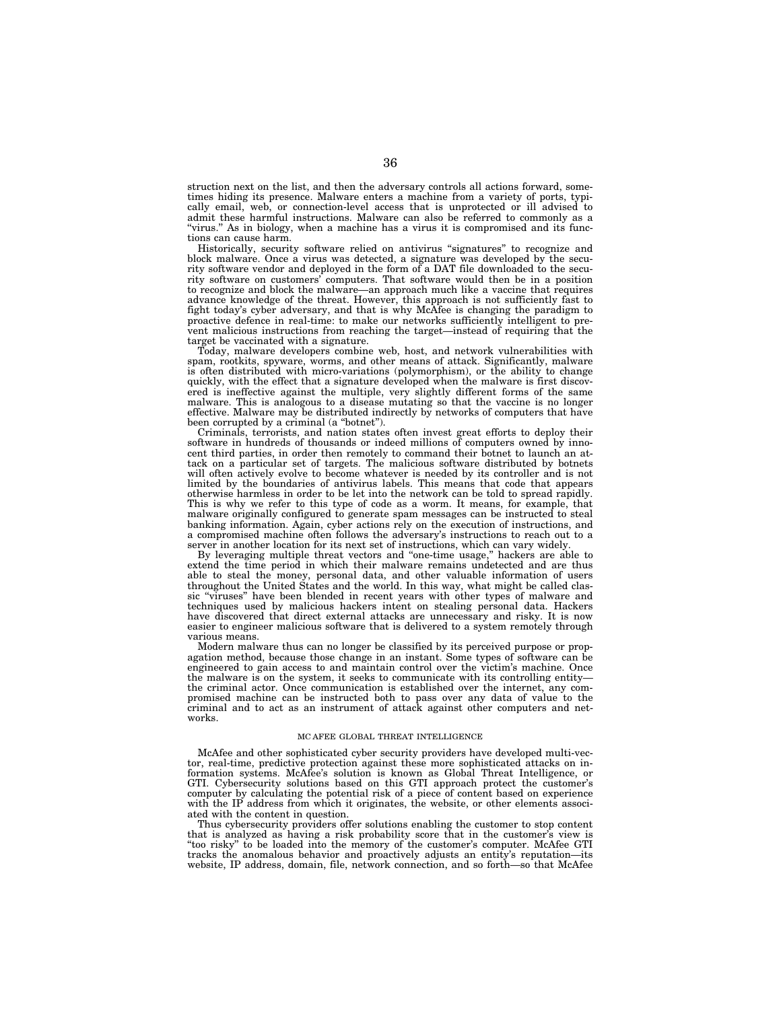struction next on the list, and then the adversary controls all actions forward, sometimes hiding its presence. Malware enters a machine from a variety of ports, typically email, web, or connection-level access that is unprotected or ill advised to admit these harmful instructions. Malware can also be referred to commonly as a ''virus.'' As in biology, when a machine has a virus it is compromised and its functions can cause harm.

Historically, security software relied on antivirus ''signatures'' to recognize and block malware. Once a virus was detected, a signature was developed by the security software vendor and deployed in the form of a DAT file downloaded to the security software on customers' computers. That software would then be in a position to recognize and block the malware—an approach much like a vaccine that requires advance knowledge of the threat. However, this approach is not sufficiently fast to fight today's cyber adversary, and that is why McAfee is changing the paradigm to proactive defence in real-time: to make our networks sufficiently intelligent to prevent malicious instructions from reaching the target—instead of requiring that the target be vaccinated with a signature.

Today, malware developers combine web, host, and network vulnerabilities with spam, rootkits, spyware, worms, and other means of attack. Significantly, malware is often distributed with micro-variations (polymorphism), or the ability to change quickly, with the effect that a signature developed when the malware is first discovered is ineffective against the multiple, very slightly different forms of the same malware. This is analogous to a disease mutating so that the vaccine is no longer effective. Malware may be distributed indirectly by networks of computers that have been corrupted by a criminal (a ''botnet'').

Criminals, terrorists, and nation states often invest great efforts to deploy their software in hundreds of thousands or indeed millions of computers owned by innocent third parties, in order then remotely to command their botnet to launch an attack on a particular set of targets. The malicious software distributed by botnets will often actively evolve to become whatever is needed by its controller and is not limited by the boundaries of antivirus labels. This means that code that appears otherwise harmless in order to be let into the network can be told to spread rapidly. This is why we refer to this type of code as a worm. It means, for example, that malware originally configured to generate spam messages can be instructed to steal banking information. Again, cyber actions rely on the execution of instructions, and a compromised machine often follows the adversary's instructions to reach out to a server in another location for its next set of instructions, which can vary widely

By leveraging multiple threat vectors and ''one-time usage,'' hackers are able to extend the time period in which their malware remains undetected and are thus able to steal the money, personal data, and other valuable information of users throughout the United States and the world. In this way, what might be called classic ''viruses'' have been blended in recent years with other types of malware and techniques used by malicious hackers intent on stealing personal data. Hackers have discovered that direct external attacks are unnecessary and risky. It is now easier to engineer malicious software that is delivered to a system remotely through various means.

Modern malware thus can no longer be classified by its perceived purpose or propagation method, because those change in an instant. Some types of software can be engineered to gain access to and maintain control over the victim's machine. Once the malware is on the system, it seeks to communicate with its controlling entity the criminal actor. Once communication is established over the internet, any compromised machine can be instructed both to pass over any data of value to the criminal and to act as an instrument of attack against other computers and networks.

# MC AFEE GLOBAL THREAT INTELLIGENCE

McAfee and other sophisticated cyber security providers have developed multi-vector, real-time, predictive protection against these more sophisticated attacks on information systems. McAfee's solution is known as Global Threat Intelligence, or GTI. Cybersecurity solutions based on this GTI approach protect the customer's computer by calculating the potential risk of a piece of content based on experience with the IP address from which it originates, the website, or other elements associated with the content in question.

Thus cybersecurity providers offer solutions enabling the customer to stop content that is analyzed as having a risk probability score that in the customer's view is ''too risky'' to be loaded into the memory of the customer's computer. McAfee GTI tracks the anomalous behavior and proactively adjusts an entity's reputation—its website, IP address, domain, file, network connection, and so forth—so that McAfee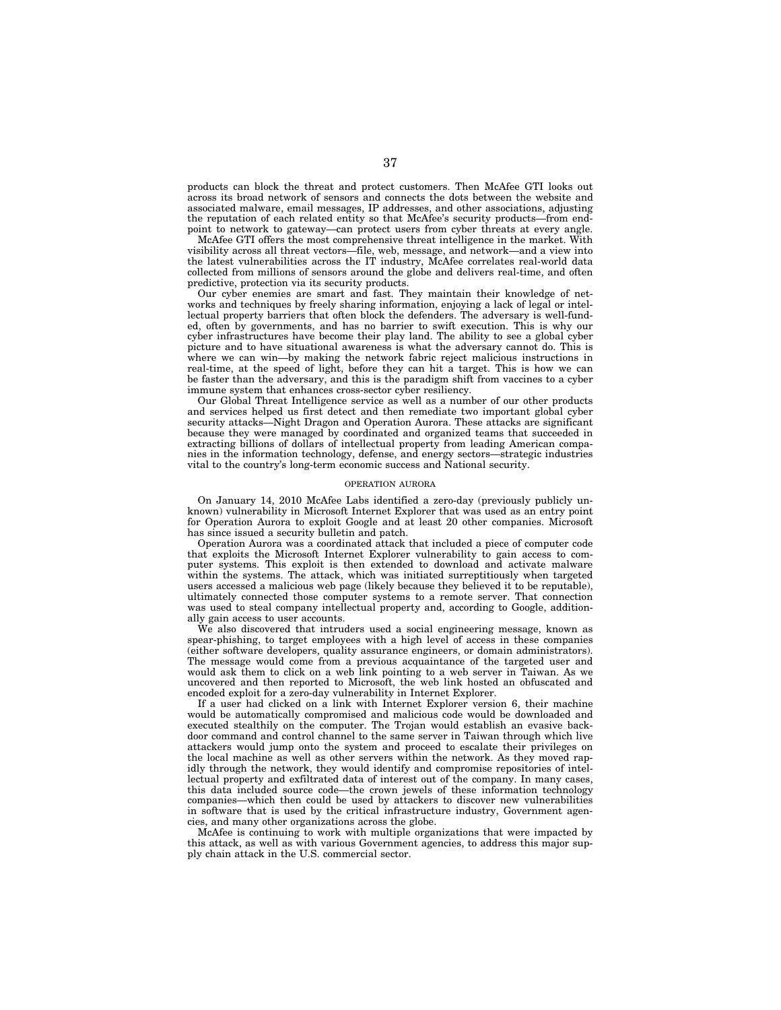products can block the threat and protect customers. Then McAfee GTI looks out across its broad network of sensors and connects the dots between the website and associated malware, email messages, IP addresses, and other associations, adjusting the reputation of each related entity so that McAfee's security products—from endpoint to network to gateway—can protect users from cyber threats at every angle.

McAfee GTI offers the most comprehensive threat intelligence in the market. With visibility across all threat vectors—file, web, message, and network—and a view into the latest vulnerabilities across the IT industry, McAfee correlates real-world data collected from millions of sensors around the globe and delivers real-time, and often predictive, protection via its security products.

Our cyber enemies are smart and fast. They maintain their knowledge of networks and techniques by freely sharing information, enjoying a lack of legal or intellectual property barriers that often block the defenders. The adversary is well-funded, often by governments, and has no barrier to swift execution. This is why our cyber infrastructures have become their play land. The ability to see a global cyber picture and to have situational awareness is what the adversary cannot do. This is where we can win—by making the network fabric reject malicious instructions in real-time, at the speed of light, before they can hit a target. This is how we can be faster than the adversary, and this is the paradigm shift from vaccines to a cyber immune system that enhances cross-sector cyber resiliency.

Our Global Threat Intelligence service as well as a number of our other products and services helped us first detect and then remediate two important global cyber security attacks—Night Dragon and Operation Aurora. These attacks are significant because they were managed by coordinated and organized teams that succeeded in extracting billions of dollars of intellectual property from leading American companies in the information technology, defense, and energy sectors—strategic industries vital to the country's long-term economic success and National security.

## OPERATION AURORA

On January 14, 2010 McAfee Labs identified a zero-day (previously publicly unknown) vulnerability in Microsoft Internet Explorer that was used as an entry point for Operation Aurora to exploit Google and at least 20 other companies. Microsoft has since issued a security bulletin and patch.

Operation Aurora was a coordinated attack that included a piece of computer code that exploits the Microsoft Internet Explorer vulnerability to gain access to computer systems. This exploit is then extended to download and activate malware within the systems. The attack, which was initiated surreptitiously when targeted users accessed a malicious web page (likely because they believed it to be reputable), ultimately connected those computer systems to a remote server. That connection was used to steal company intellectual property and, according to Google, additionally gain access to user accounts.

We also discovered that intruders used a social engineering message, known as spear-phishing, to target employees with a high level of access in these companies (either software developers, quality assurance engineers, or domain administrators). The message would come from a previous acquaintance of the targeted user and would ask them to click on a web link pointing to a web server in Taiwan. As we uncovered and then reported to Microsoft, the web link hosted an obfuscated and encoded exploit for a zero-day vulnerability in Internet Explorer.

If a user had clicked on a link with Internet Explorer version 6, their machine would be automatically compromised and malicious code would be downloaded and executed stealthily on the computer. The Trojan would establish an evasive backdoor command and control channel to the same server in Taiwan through which live attackers would jump onto the system and proceed to escalate their privileges on the local machine as well as other servers within the network. As they moved rapidly through the network, they would identify and compromise repositories of intellectual property and exfiltrated data of interest out of the company. In many cases, this data included source code—the crown jewels of these information technology companies—which then could be used by attackers to discover new vulnerabilities in software that is used by the critical infrastructure industry, Government agencies, and many other organizations across the globe.

McAfee is continuing to work with multiple organizations that were impacted by this attack, as well as with various Government agencies, to address this major supply chain attack in the U.S. commercial sector.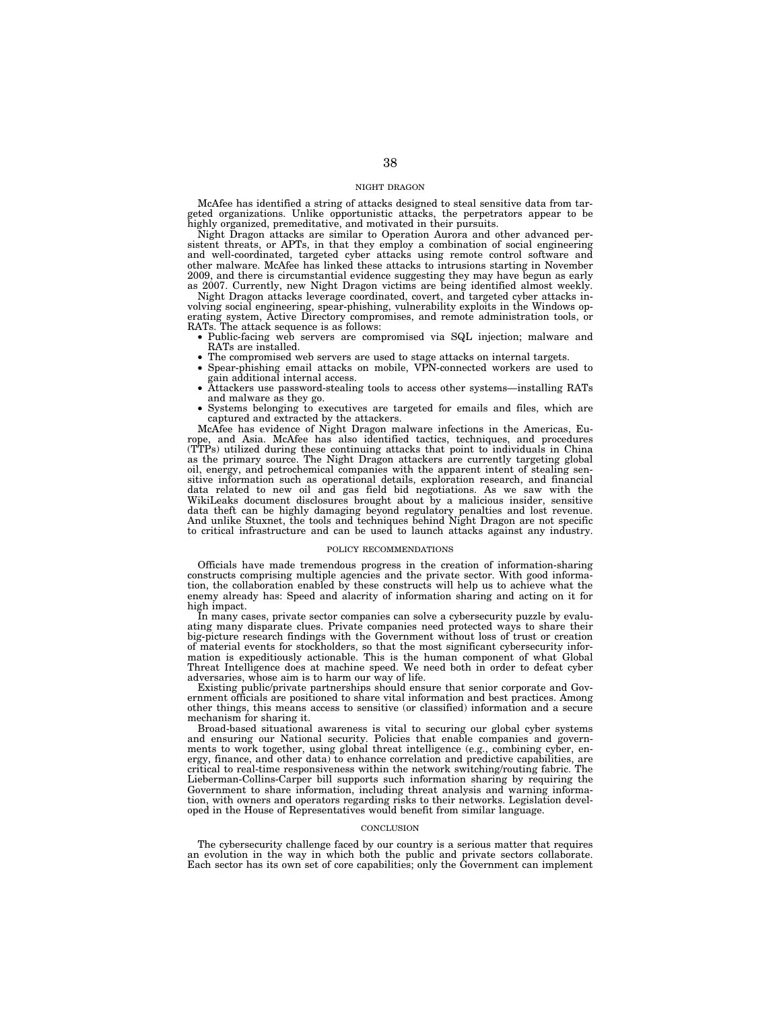# NIGHT DRAGON

McAfee has identified a string of attacks designed to steal sensitive data from targeted organizations. Unlike opportunistic attacks, the perpetrators appear to be highly organized, premeditative, and motivated in their pursuits.

Night Dragon attacks are similar to Operation Aurora and other advanced persistent threats, or APTs, in that they employ a combination of social engineering and well-coordinated, targeted cyber attacks using remote control software and other malware. McAfee has linked these attacks to intrusions starting in November 2009, and there is circumstantial evidence suggesting they may have begun as early as 2007. Currently, new Night Dragon victims are being identified almost weekly.

Night Dragon attacks leverage coordinated, covert, and targeted cyber attacks involving social engineering, spear-phishing, vulnerability exploits in the Windows operating system, Active Directory compromises, and remote administration tools, or RATs. The attack sequence is as follows:

- Public-facing web servers are compromised via SQL injection; malware and RATs are installed.
- The compromised web servers are used to stage attacks on internal targets.
- Spear-phishing email attacks on mobile, VPN-connected workers are used to gain additional internal access.
- Attackers use password-stealing tools to access other systems—installing RATs and malware as they go.
- Systems belonging to executives are targeted for emails and files, which are captured and extracted by the attackers.

McAfee has evidence of Night Dragon malware infections in the Americas, Europe, and Asia. McAfee has also identified tactics, techniques, and procedures (TTPs) utilized during these continuing attacks that point to individuals in China as the primary source. The Night Dragon attackers are currently targeting global oil, energy, and petrochemical companies with the apparent intent of stealing sensitive information such as operational details, exploration research, and financial data related to new oil and gas field bid negotiations. As we saw with the WikiLeaks document disclosures brought about by a malicious insider, sensitive data theft can be highly damaging beyond regulatory penalties and lost revenue. And unlike Stuxnet, the tools and techniques behind Night Dragon are not specific to critical infrastructure and can be used to launch attacks against any industry.

#### POLICY RECOMMENDATIONS

Officials have made tremendous progress in the creation of information-sharing constructs comprising multiple agencies and the private sector. With good information, the collaboration enabled by these constructs will help us to achieve what the enemy already has: Speed and alacrity of information sharing and acting on it for high impact.

In many cases, private sector companies can solve a cybersecurity puzzle by evaluating many disparate clues. Private companies need protected ways to share their big-picture research findings with the Government without loss of trust or creation of material events for stockholders, so that the most significant cybersecurity information is expeditiously actionable. This is the human component of what Global Threat Intelligence does at machine speed. We need both in order to defeat cyber adversaries, whose aim is to harm our way of life.

Existing public/private partnerships should ensure that senior corporate and Government officials are positioned to share vital information and best practices. Among other things, this means access to sensitive (or classified) information and a secure mechanism for sharing it.

Broad-based situational awareness is vital to securing our global cyber systems and ensuring our National security. Policies that enable companies and governments to work together, using global threat intelligence (e.g., combining cyber, energy, finance, and other data) to enhance correlation and predictive capabilities, are critical to real-time responsiveness within the network switching/routing fabric. The Lieberman-Collins-Carper bill supports such information sharing by requiring the Government to share information, including threat analysis and warning information, with owners and operators regarding risks to their networks. Legislation developed in the House of Representatives would benefit from similar language.

#### **CONCLUSION**

The cybersecurity challenge faced by our country is a serious matter that requires an evolution in the way in which both the public and private sectors collaborate. Each sector has its own set of core capabilities; only the Government can implement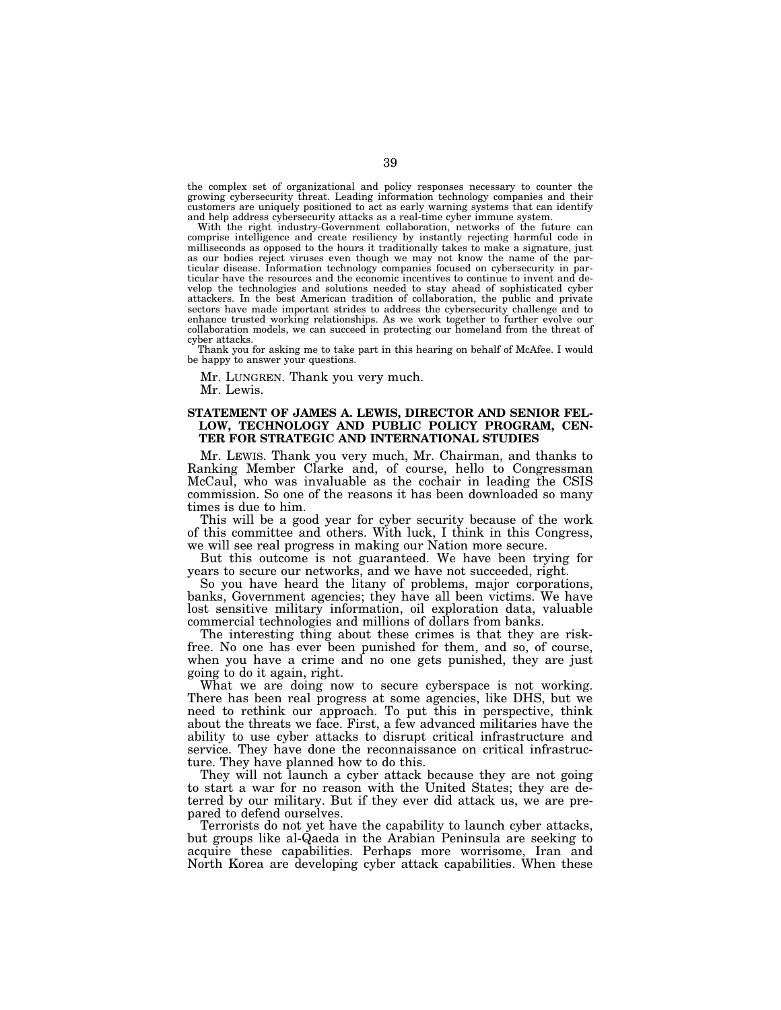the complex set of organizational and policy responses necessary to counter the growing cybersecurity threat. Leading information technology companies and their customers are uniquely positioned to act as early warning systems that can identify and help address cybersecurity attacks as a real-time cyber immune system.

With the right industry-Government collaboration, networks of the future can comprise intelligence and create resiliency by instantly rejecting harmful code in milliseconds as opposed to the hours it traditionally takes to make a signature, just as our bodies reject viruses even though we may not know the name of the particular disease. Information technology companies focused on cybersecurity in particular have the resources and the economic incentives to continue to invent and develop the technologies and solutions needed to stay ahead of sophisticated cyber attackers. In the best American tradition of collaboration, the public and private sectors have made important strides to address the cybersecurity challenge and to enhance trusted working relationships. As we work together to further evolve our collaboration models, we can succeed in protecting our homeland from the threat of cyber attacks.

Thank you for asking me to take part in this hearing on behalf of McAfee. I would be happy to answer your questions.

Mr. LUNGREN. Thank you very much.

Mr. Lewis.

# **STATEMENT OF JAMES A. LEWIS, DIRECTOR AND SENIOR FEL-LOW, TECHNOLOGY AND PUBLIC POLICY PROGRAM, CEN-TER FOR STRATEGIC AND INTERNATIONAL STUDIES**

Mr. LEWIS. Thank you very much, Mr. Chairman, and thanks to Ranking Member Clarke and, of course, hello to Congressman McCaul, who was invaluable as the cochair in leading the CSIS commission. So one of the reasons it has been downloaded so many times is due to him.

This will be a good year for cyber security because of the work of this committee and others. With luck, I think in this Congress, we will see real progress in making our Nation more secure.

But this outcome is not guaranteed. We have been trying for years to secure our networks, and we have not succeeded, right.

So you have heard the litany of problems, major corporations, banks, Government agencies; they have all been victims. We have lost sensitive military information, oil exploration data, valuable commercial technologies and millions of dollars from banks.

The interesting thing about these crimes is that they are riskfree. No one has ever been punished for them, and so, of course, when you have a crime and no one gets punished, they are just going to do it again, right.

What we are doing now to secure cyberspace is not working. There has been real progress at some agencies, like DHS, but we need to rethink our approach. To put this in perspective, think about the threats we face. First, a few advanced militaries have the ability to use cyber attacks to disrupt critical infrastructure and service. They have done the reconnaissance on critical infrastructure. They have planned how to do this.

They will not launch a cyber attack because they are not going to start a war for no reason with the United States; they are deterred by our military. But if they ever did attack us, we are prepared to defend ourselves.

Terrorists do not yet have the capability to launch cyber attacks, but groups like al-Qaeda in the Arabian Peninsula are seeking to acquire these capabilities. Perhaps more worrisome, Iran and North Korea are developing cyber attack capabilities. When these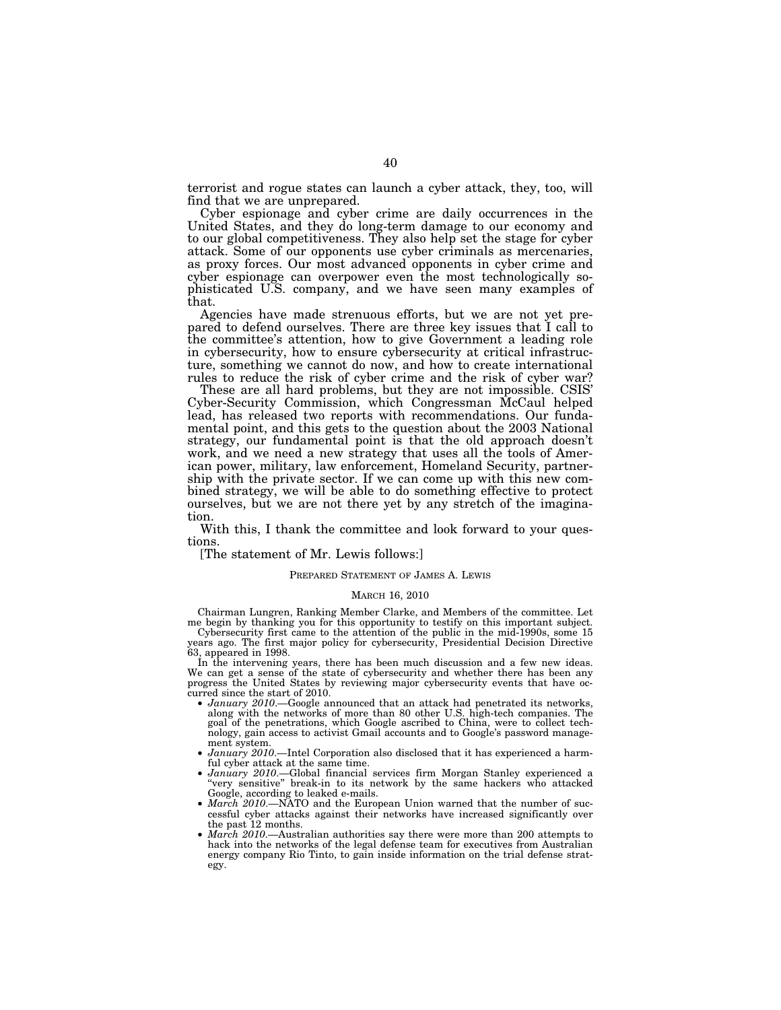terrorist and rogue states can launch a cyber attack, they, too, will find that we are unprepared.

Cyber espionage and cyber crime are daily occurrences in the United States, and they do long-term damage to our economy and to our global competitiveness. They also help set the stage for cyber attack. Some of our opponents use cyber criminals as mercenaries, as proxy forces. Our most advanced opponents in cyber crime and cyber espionage can overpower even the most technologically sophisticated U.S. company, and we have seen many examples of that.

Agencies have made strenuous efforts, but we are not yet prepared to defend ourselves. There are three key issues that I call to the committee's attention, how to give Government a leading role in cybersecurity, how to ensure cybersecurity at critical infrastructure, something we cannot do now, and how to create international rules to reduce the risk of cyber crime and the risk of cyber war?

These are all hard problems, but they are not impossible. CSIS' Cyber-Security Commission, which Congressman McCaul helped lead, has released two reports with recommendations. Our fundamental point, and this gets to the question about the 2003 National strategy, our fundamental point is that the old approach doesn't work, and we need a new strategy that uses all the tools of American power, military, law enforcement, Homeland Security, partnership with the private sector. If we can come up with this new combined strategy, we will be able to do something effective to protect ourselves, but we are not there yet by any stretch of the imagination.

With this, I thank the committee and look forward to your questions.

[The statement of Mr. Lewis follows:]

# PREPARED STATEMENT OF JAMES A. LEWIS

# MARCH 16, 2010

Chairman Lungren, Ranking Member Clarke, and Members of the committee. Let me begin by thanking you for this opportunity to testify on this important subject. Cybersecurity first came to the attention of the public in the mid-1990s, some 15

years ago. The first major policy for cybersecurity, Presidential Decision Directive 63, appeared in 1998.

In the intervening years, there has been much discussion and a few new ideas. We can get a sense of the state of cybersecurity and whether there has been any progress the United States by reviewing major cybersecurity events that have oc-

- *January 2010.*—Google announced that an attack had penetrated its networks, along with the networks of more than 80 other U.S. high-tech companies. The goal of the penetrations, which Google ascribed to China, were to collect technology, gain access to activist Gmail accounts and to Google's password manage-
- $January \ 2010.$  —Intel Corporation also disclosed that it has experienced a harm-ful cyber attack at the same time.
- ful cyber attack at the same time. *January 2010*.—Global financial services firm Morgan Stanley experienced a ''very sensitive'' break-in to its network by the same hackers who attacked Google, according to leaked e-mails.
- *March 2010*.—NATO and the European Union warned that the number of successful cyber attacks against their networks have increased significantly over the past 12 months.
- *March 2010*.—Australian authorities say there were more than 200 attempts to hack into the networks of the legal defense team for executives from Australian energy company Rio Tinto, to gain inside information on the trial defense strategy.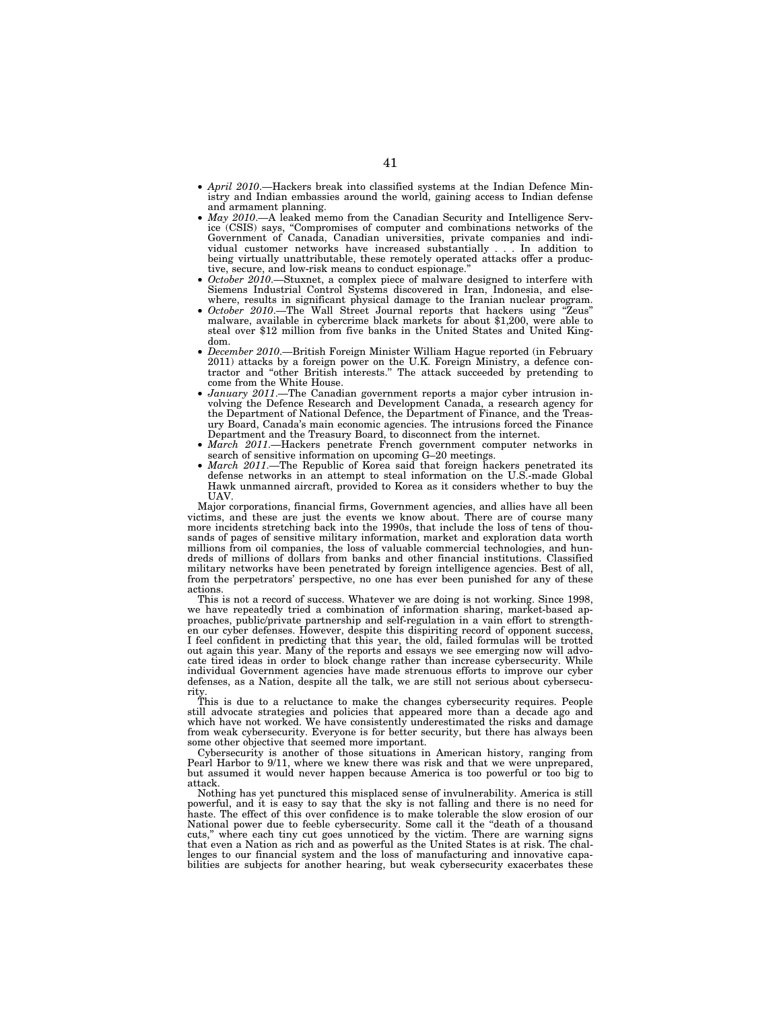- *April 2010*.—Hackers break into classified systems at the Indian Defence Ministry and Indian embassies around the world, gaining access to Indian defense and armament planning.
- *May 2010*.—A leaked memo from the Canadian Security and Intelligence Service (CSIS) says, ''Compromises of computer and combinations networks of the Government of Canada, Canadian universities, private companies and individual customer networks have increased substantially . . . In addition to being virtually unattributable, these remotely operated attacks offer a productive, secure, and low-risk means to conduct espionage.''
- *October 2010*.—Stuxnet, a complex piece of malware designed to interfere with Siemens Industrial Control Systems discovered in Iran, Indonesia, and elsewhere, results in significant physical damage to the Iranian nuclear program.
- *October 2010*.—The Wall Street Journal reports that hackers using ''Zeus'' malware, available in cybercrime black markets for about \$1,200, were able to steal over \$12 million from five banks in the United States and United Kingdom.
- *December 2010*.—British Foreign Minister William Hague reported (in February 2011) attacks by a foreign power on the U.K. Foreign Ministry, a defence contractor and ''other British interests.'' The attack succeeded by pretending to come from the White House.
- *January 2011*.—The Canadian government reports a major cyber intrusion involving the Defence Research and Development Canada, a research agency for the Department of National Defence, the Department of Finance, and the Treasury Board, Canada's main economic agencies. The intrusions forced the Finance Department and the Treasury Board, to disconnect from the internet.
- *March 2011*.—Hackers penetrate French government computer networks in search of sensitive information on upcoming G–20 meetings.
- *March 2011*.—The Republic of Korea said that foreign hackers penetrated its defense networks in an attempt to steal information on the U.S.-made Global Hawk unmanned aircraft, provided to Korea as it considers whether to buy the UAV.

Major corporations, financial firms, Government agencies, and allies have all been victims, and these are just the events we know about. There are of course many more incidents stretching back into the 1990s, that include the loss of tens of thousands of pages of sensitive military information, market and exploration data worth millions from oil companies, the loss of valuable commercial technologies, and hundreds of millions of dollars from banks and other financial institutions. Classified military networks have been penetrated by foreign intelligence agencies. Best of all, from the perpetrators' perspective, no one has ever been punished for any of these actions.

This is not a record of success. Whatever we are doing is not working. Since 1998, we have repeatedly tried a combination of information sharing, market-based approaches, public/private partnership and self-regulation in a vain effort to strengthen our cyber defenses. However, despite this dispiriting record of opponent success, I feel confident in predicting that this year, the old, failed formulas will be trotted out again this year. Many of the reports and essays we see emerging now will advocate tired ideas in order to block change rather than increase cybersecurity. While individual Government agencies have made strenuous efforts to improve our cyber defenses, as a Nation, despite all the talk, we are still not serious about cybersecurity.

This is due to a reluctance to make the changes cybersecurity requires. People still advocate strategies and policies that appeared more than a decade ago and which have not worked. We have consistently underestimated the risks and damage from weak cybersecurity. Everyone is for better security, but there has always been some other objective that seemed more important.

Cybersecurity is another of those situations in American history, ranging from Pearl Harbor to 9/11, where we knew there was risk and that we were unprepared, but assumed it would never happen because America is too powerful or too big to attack.

Nothing has yet punctured this misplaced sense of invulnerability. America is still powerful, and it is easy to say that the sky is not falling and there is no need for haste. The effect of this over confidence is to make tolerable the slow erosion of our National power due to feeble cybersecurity. Some call it the ''death of a thousand cuts,'' where each tiny cut goes unnoticed by the victim. There are warning signs that even a Nation as rich and as powerful as the United States is at risk. The challenges to our financial system and the loss of manufacturing and innovative capabilities are subjects for another hearing, but weak cybersecurity exacerbates these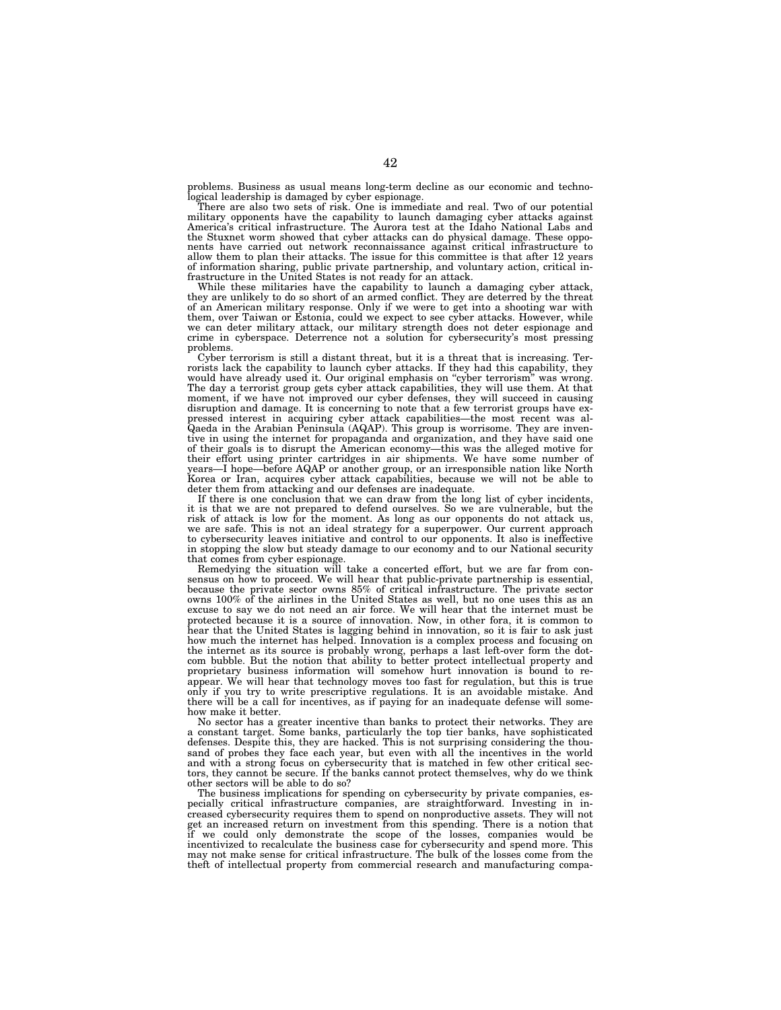problems. Business as usual means long-term decline as our economic and technological leadership is damaged by cyber espionage. There are also two sets of risk. One is immediate and real. Two of our potential

military opponents have the capability to launch damaging cyber attacks against America's critical infrastructure. The Aurora test at the Idaho National Labs and the Stuxnet worm showed that cyber attacks can do physical damage. These opponents have carried out network reconnaissance against critical infrastructure to allow them to plan their attacks. The issue for this committee is that after 12 years of information sharing, public private partnership, and voluntary action, critical infrastructure in the United States is not ready for an attack.

While these militaries have the capability to launch a damaging cyber attack, they are unlikely to do so short of an armed conflict. They are deterred by the threat of an American military response. Only if we were to get into a shooting war with them, over Taiwan or Estonia, could we expect to see cyber attacks. However, while we can deter military attack, our military strength does not deter espionage and crime in cyberspace. Deterrence not a solution for cybersecurity's most pressing problems.

Cyber terrorism is still a distant threat, but it is a threat that is increasing. Ter-rorists lack the capability to launch cyber attacks. If they had this capability, they would have already used it. Our original emphasis on ''cyber terrorism'' was wrong. The day a terrorist group gets cyber attack capabilities, they will use them. At that moment, if we have not improved our cyber defenses, they will succeed in causing disruption and damage. It is concerning to note that a few terrorist groups have expressed interest in acquiring cyber attack capabilities—the most recent was al-Qaeda in the Arabian Peninsula (AQAP). This group is worrisome. They are inventive in using the internet for propaganda and organization, and they have said one of their goals is to disrupt the American economy—this was the alleged motive for<br>their effort using printer cartridges in air shipments. We have some number of<br>years—I hope—before AQAP or another group, or an irresponsibl deter them from attacking and our defenses are inadequate.

If there is one conclusion that we can draw from the long list of cyber incidents, it is that we are not prepared to defend ourselves. So we are vulnerable, but the risk of attack is low for the moment. As long as our opponents do not attack us, we are safe. This is not an ideal strategy for a superpower. Our current approach to cybersecurity leaves initiative and control to our opponents. It also is ineffective in stopping the slow but steady damage to our economy and to our National security that comes from cyber espionage.

Remedying the situation will take a concerted effort, but we are far from consensus on how to proceed. We will hear that public-private partnership is essential, because the private sector owns 85% of critical infrastructure. The private sector owns 100% of the airlines in the United States as well, but no one uses this as an excuse to say we do not need an air force. We will hear that the internet must be protected because it is a source of innovation. Now, in other fora, it is common to hear that the United States is lagging behind in innovation, so it is fair to ask just how much the internet has helped. Innovation is a complex process and focusing on the internet as its source is probably wrong, perhaps a last left-over form the dotcom bubble. But the notion that ability to better protect intellectual property and proprietary business information will somehow hurt innovation is bound to reappear. We will hear that technology moves too fast for regulation, but this is true only if you try to write prescriptive regulations. It is an avoidable mistake. And there will be a call for incentives, as if paying for an inadequate defense will somehow make it better.

No sector has a greater incentive than banks to protect their networks. They are a constant target. Some banks, particularly the top tier banks, have sophisticated defenses. Despite this, they are hacked. This is not surprising considering the thousand of probes they face each year, but even with all the incentives in the world and with a strong focus on cybersecurity that is matched in few other critical sectors, they cannot be secure. If the banks cannot protect themselves, why do we think other sectors will be able to do so?

The business implications for spending on cybersecurity by private companies, especially critical infrastructure companies, are straightforward. Investing in increased cybersecurity requires them to spend on nonproductive assets. They will not get an increased return on investment from this spending. There is a notion that if we could only demonstrate the scope of the losses, companies would be incentivized to recalculate the business case for cybersecurity and spend more. This may not make sense for critical infrastructure. The bulk of the losses come from the theft of intellectual property from commercial research and manufacturing compa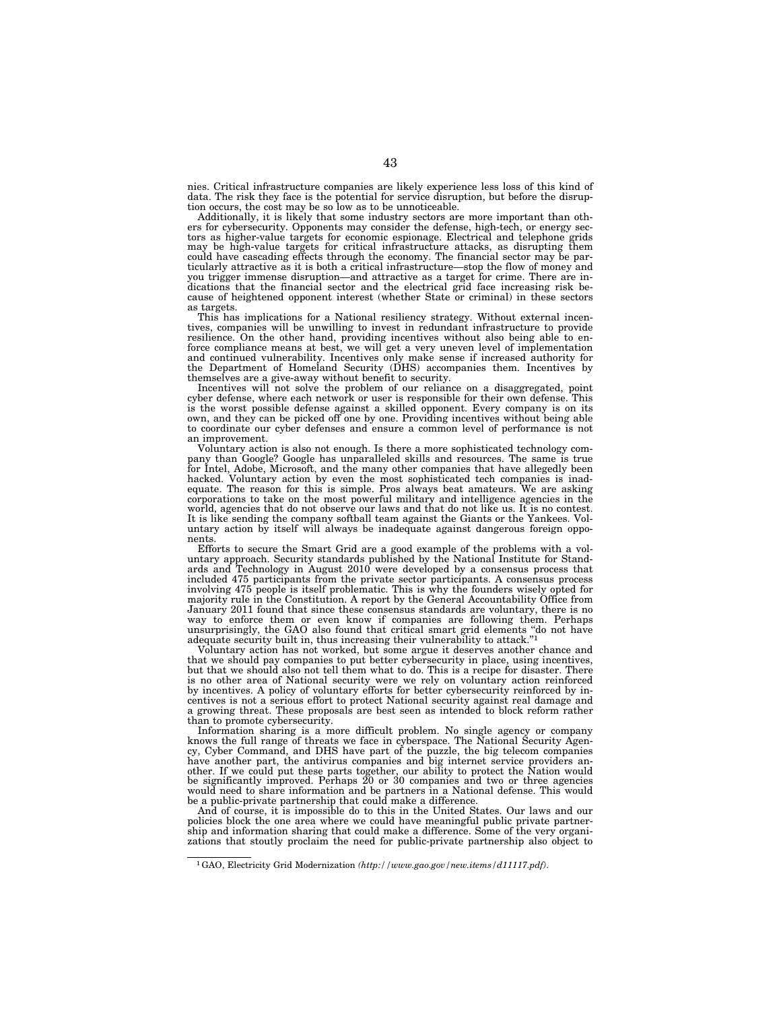nies. Critical infrastructure companies are likely experience less loss of this kind of data. The risk they face is the potential for service disruption, but before the disrup-tion occurs, the cost may be so low as to be unnoticeable.

Additionally, it is likely that some industry sectors are more important than others for cybersecurity. Opponents may consider the defense, high-tech, or energy sectors as higher-value targets for economic espionage. Electrical and telephone grids may be high-value targets for critical infrastructure attacks, as disrupting them could have cascading effects through the economy. The financial sector may be particularly attractive as it is both a critical infrastructure—stop the flow of money and you trigger immense disruption—and attractive as a target for crime. There are indications that the financial sector and the electrical grid face increasing risk because of heightened opponent interest (whether State or criminal) in these sectors as targets.

This has implications for a National resiliency strategy. Without external incen-tives, companies will be unwilling to invest in redundant infrastructure to provide resilience. On the other hand, providing incentives without also being able to en-force compliance means at best, we will get a very uneven level of implementation and continued vulnerability. Incentives only make sense if increased authority for the Department of Homeland Security (DHS) accompanies them. Incentives by

themselves are a give-away without benefit to security. Incentives will not solve the problem of our reliance on a disaggregated, point cyber defense, where each network or user is responsible for their own defense. This is the worst possible defense against a skilled opponent. Every company is on its own, and they can be picked off one by one. Providing incentives without being able to coordinate our cyber defenses and ensure a common level of performance is not an improvement.

Voluntary action is also not enough. Is there a more sophisticated technology com-pany than Google? Google has unparalleled skills and resources. The same is true for Intel, Adobe, Microsoft, and the many other companies that have allegedly been hacked. Voluntary action by even the most sophisticated tech companies is inad-equate. The reason for this is simple. Pros always beat amateurs. We are asking corporations to take on the most powerful military and intelligence agencies in the world, agencies that do not observe our laws and that do not like us. It is no contest. It is like sending the company softball team against the Giants or the Yankees. Voluntary action by itself will always be inadequate against dangerous foreign opponents.

Efforts to secure the Smart Grid are a good example of the problems with a voluntary approach. Security standards published by the National Institute for Standards and Technology in August 2010 were developed by a consensu included 475 participants from the private sector participants. A consensus process involving 475 people is itself problematic. This is why the founders wisely opted for majority rule in the Constitution. A report by the General Accountability Office from January 2011 found that since these consensus standards are voluntary, there is no way to enforce them or even know if companies are following them. Perhaps unsurprisingly, the GAO also found that critical smart grid elements "do not have adequate security built in, thus increasing their vulnerability to attack.''1

Voluntary action has not worked, but some argue it deserves another chance and that we should pay companies to put better cybersecurity in place, using incentives, but that we should also not tell them what to do. This is a recipe for disaster. There is no other area of National security were we rely on voluntary action reinforced by incentives. A policy of voluntary efforts for better cybersecurity reinforced by incentives is not a serious effort to protect National security against real damage and a growing threat. These proposals are best seen as intended to block reform rather than to promote cybersecurity.

Information sharing is a more difficult problem. No single agency or company knows the full range of threats we face in cyberspace. The National Security Agency, Cyber Command, and DHS have part of the puzzle, the big telecom companies have another part, the antivirus companies and big internet service providers another. If we could put these parts together, our ability to protect the Nation would be significantly improved. Perhaps 20 or 30 companies and two or three agencies would need to share information and be partners in a National defense. This would be a public-private partnership that could make a difference.

And of course, it is impossible do to this in the United States. Our laws and our policies block the one area where we could have meaningful public private partnership and information sharing that could make a difference. Some of the very organizations that stoutly proclaim the need for public-private partnership also object to

<sup>1</sup>GAO, Electricity Grid Modernization *(http://www.gao.gov/new.items/d11117.pdf)*.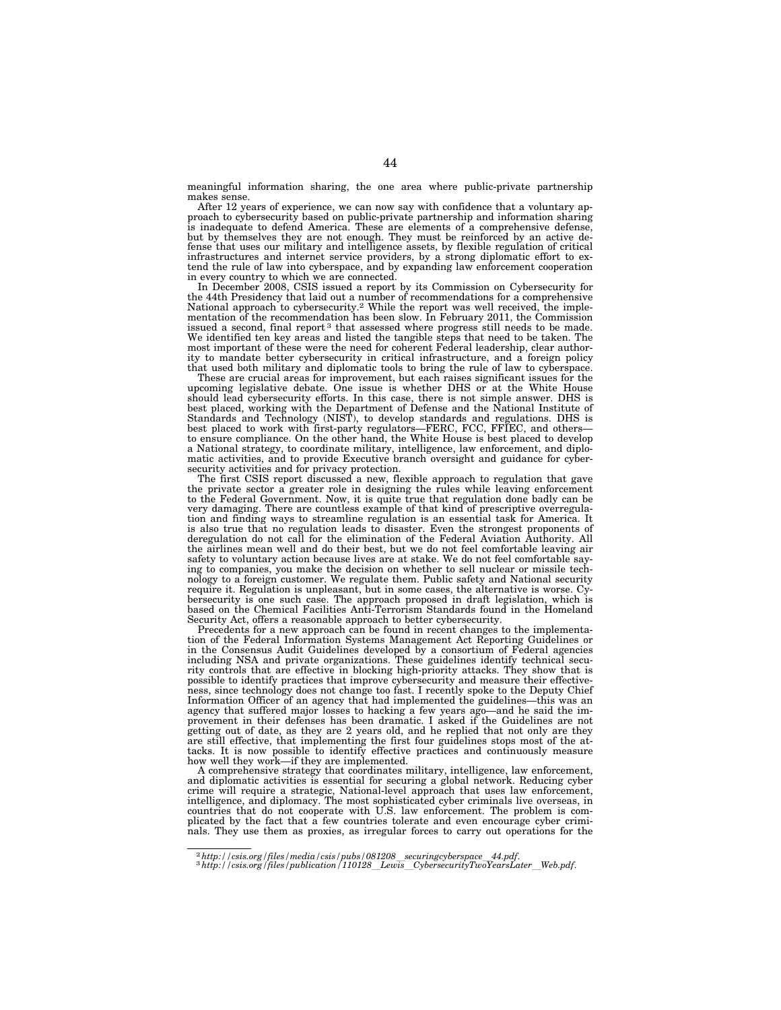meaningful information sharing, the one area where public-private partnership makes sense.

After 12 years of experience, we can now say with confidence that a voluntary approach to cybersecurity based on public-private partnership and information sharing is inadequate to defend America. These are elements of a comprehensive defense, but by themselves they are not enough. They must be reinforced by an active defense that uses our military and intelligence assets, by flexible regulation of critical infrastructures and internet service providers, by a strong diplomatic effort to extend the rule of law into cyberspace, and by expanding law enforcement cooperation in every country to which we are connected.

In December 2008, CSIS issued a report by its Commission on Cybersecurity for the 44th Presidency that laid out a number of recommendations for a comprehensive National approach to cybersecurity.2 While the report was well received, the implementation of the recommendation has been slow. In February 2011, the Commission issued a second, final report<sup>3</sup> that assessed where progress still needs to be made. We identified ten key areas and listed the tangible steps that need to be taken. The most important of these were the need for coherent Federal leadership, clear authority to mandate better cybersecurity in critical infrastructure, and a foreign policy that used both military and diplomatic tools to bring the rule of law to cyberspace.

These are crucial areas for improvement, but each raises significant issues for the upcoming legislative debate. One issue is whether DHS or at the White House should lead cybersecurity efforts. In this case, there is not simple answer. DHS is best placed, working with the Department of Defense and the National Institute of Standards and Technology (NIST), to develop standards and regulations. DHS is best placed to work with first-party regulators—FERC, FCC, FFIEC, and others to ensure compliance. On the other hand, the White House is best placed to develop a National strategy, to coordinate military, intelligence, law enforcement, and diplo-matic activities, and to provide Executive branch oversight and guidance for cyber-

security activities and for privacy protection. The first CSIS report discussed a new, flexible approach to regulation that gave the private sector a greater role in designing the rules while leaving enforcement to the Federal Government. Now, it is quite true that regulation done badly can be very damaging. There are countless example of that kind of prescriptive overregulation and finding ways to streamline regulation is an essential task for America. It is also true that no regulation leads to disaster. Even the strongest proponents of deregulation do not call for the elimination of the Federal Aviation Authority. All the airlines mean well and do their best, but we do not feel comfortable leaving air safety to voluntary action because lives are at stake. We do not feel comfortable saying to companies, you make the decision on whether to sell nuclear or missile technology to a foreign customer. We regulate them. Public safety and National security require it. Regulation is unpleasant, but in some cases, the alternative is worse.  $C_y$ bersecurity is one such case. The approach proposed in draft legislation, which is based on the Chemical Facilities Anti-Terrorism Standards found in the Homeland Security Act, offers a reasonable approach to better cybersecurity.

Precedents for a new approach can be found in recent changes to the implementation of the Federal Information Systems Management Act Reporting Guidelines or in the Consensus Audit Guidelines developed by a consortium of Federal agencies<br>including NSA and private organizations. These guidelines identify technical secu-<br>rity controls that are effective in blocking high-priority possible to identify practices that improve cybersecurity and measure their effectiveness, since technology does not change too fast. I recently spoke to the Deputy Chief Information Officer of an agency that had implemented the guidelines—this was an agency that suffered major losses to hacking a few years ago—and he said the improvement in their defenses has been dramatic. I asked if the Guidelines are not getting out of date, as they are 2 years old, and he replied that not only are they are still effective, that implementing the first four guidelines stops most of the attacks. It is now possible to identify effective practices and continuously measure how well they work—if they are implemented.

A comprehensive strategy that coordinates military, intelligence, law enforcement, and diplomatic activities is essential for securing a global network. Reducing cyber crime will require a strategic, National-level approach that uses law enforcement, intelligence, and diplomacy. The most sophisticated cyber criminals live overseas, in countries that do not cooperate with U.S. law enforcement. The problem is complicated by the fact that a few countries tolerate and even encourage cyber criminals. They use them as proxies, as irregular forces to carry out operations for the

<sup>2</sup>*http://csis.org/files/media/csis/pubs/081208*l*securingcyberspace*l*44.pdf*. 3*http://csis.org/files/publication/110128*l*Lewis*l*CybersecurityTwoYearsLater*l*Web.pdf*.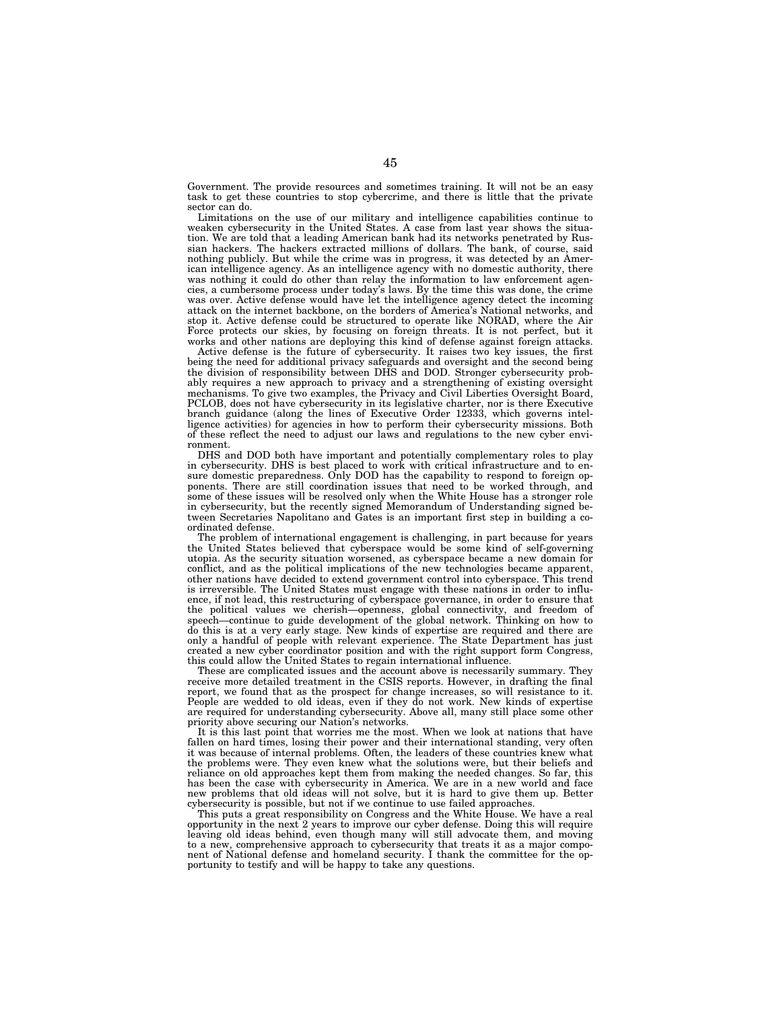Government. The provide resources and sometimes training. It will not be an easy task to get these countries to stop cybercrime, and there is little that the private sector can do.

Limitations on the use of our military and intelligence capabilities continue to weaken cybersecurity in the United States. A case from last year shows the situation. We are told that a leading American bank had its networks penetrated by Russian hackers. The hackers extracted millions of dollars. The bank, of course, said nothing publicly. But while the crime was in progress, it was detected by an American intelligence agency. As an intelligence agency with no domestic authority, there was nothing it could do other than relay the information to law enforcement agencies, a cumbersome process under today's laws. By the time this was done, the crime was over. Active defense would have let the intelligence agency detect the incoming attack on the internet backbone, on the borders of America's National networks, and stop it. Active defense could be structured to operate like NORAD, where the Air Force protects our skies, by focusing on foreign threats. It is not perfect, but it works and other nations are deploying this kind of defense against foreign attacks.

Active defense is the future of cybersecurity. It raises two key issues, the first being the need for additional privacy safeguards and oversight and the second being the division of responsibility between DHS and DOD. Stronger cybersecurity probably requires a new approach to privacy and a strengthening of existing oversight mechanisms. To give two examples, the Privacy and Civil Liberties Oversight Board, PCLOB, does not have cybersecurity in its legislative charter, nor is there Executive branch guidance (along the lines of Executive Order 12333, which governs intelligence activities) for agencies in how to perform their cybersecurity missions. Both of these reflect the need to adjust our laws and regulations to the new cyber environment.

DHS and DOD both have important and potentially complementary roles to play in cybersecurity. DHS is best placed to work with critical infrastructure and to ensure domestic preparedness. Only DOD has the capability to respond to foreign opponents. There are still coordination issues that need to be worked through, and some of these issues will be resolved only when the White House has a stronger role in cybersecurity, but the recently signed Memorandum of Understanding signed between Secretaries Napolitano and Gates is an important first step in building a coordinated defense.

The problem of international engagement is challenging, in part because for years the United States believed that cyberspace would be some kind of self-governing utopia. As the security situation worsened, as cyberspace became a new domain for conflict, and as the political implications of the new technologies became apparent, other nations have decided to extend government control into cyberspace. This trend is irreversible. The United States must engage with these nations in order to influence, if not lead, this restructuring of cyberspace governance, in order to ensure that the political values we cherish—openness, global connectivity, and freedom of speech—continue to guide development of the global network. Thinking on how to do this is at a very early stage. New kinds of expertise are required and there are only a handful of people with relevant experience. The State Department has just created a new cyber coordinator position and with the right support form Congress, this could allow the United States to regain international influence.

These are complicated issues and the account above is necessarily summary. They receive more detailed treatment in the CSIS reports. However, in drafting the final report, we found that as the prospect for change increases, so will resistance to it. People are wedded to old ideas, even if they do not work. New kinds of expertise are required for understanding cybersecurity. Above all, many still place some other priority above securing our Nation's networks.

It is this last point that worries me the most. When we look at nations that have fallen on hard times, losing their power and their international standing, very often it was because of internal problems. Often, the leaders of these countries knew what the problems were. They even knew what the solutions were, but their beliefs and reliance on old approaches kept them from making the needed changes. So far, this has been the case with cybersecurity in America. We are in a new world and face new problems that old ideas will not solve, but it is hard to give them up. Better cybersecurity is possible, but not if we continue to use failed approaches.

This puts a great responsibility on Congress and the White House. We have a real opportunity in the next 2 years to improve our cyber defense. Doing this will require leaving old ideas behind, even though many will still advocate them, and moving to a new, comprehensive approach to cybersecurity that treats it as a major compo-nent of National defense and homeland security. I thank the committee for the opportunity to testify and will be happy to take any questions.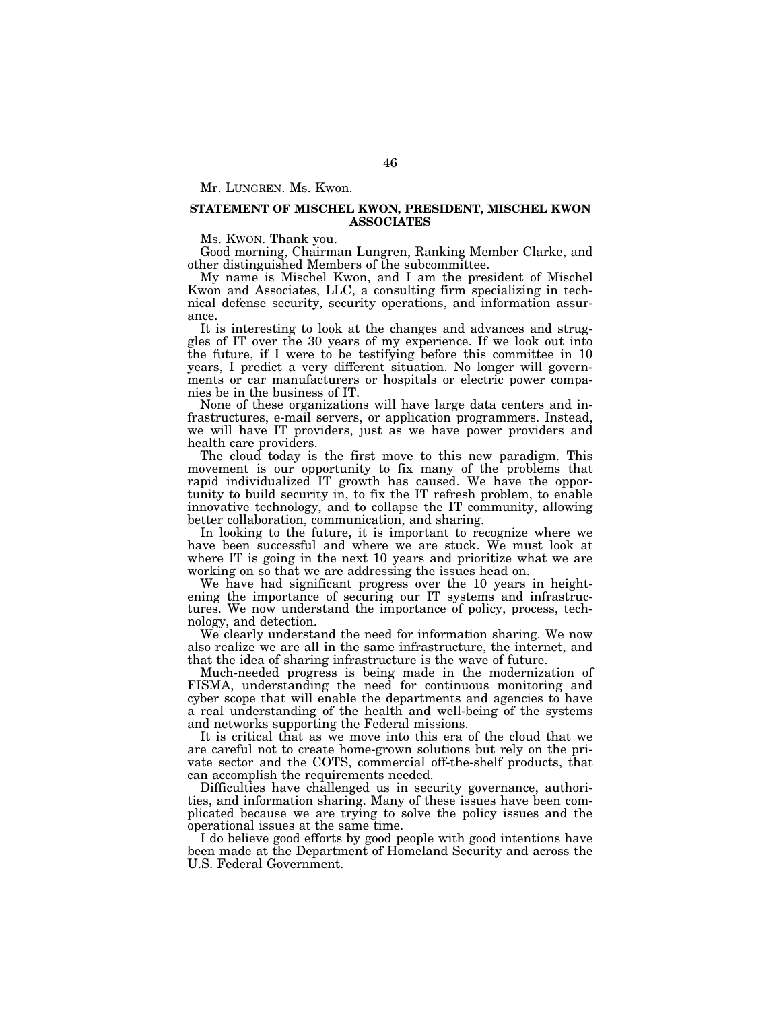Mr. LUNGREN. Ms. Kwon.

# **STATEMENT OF MISCHEL KWON, PRESIDENT, MISCHEL KWON ASSOCIATES**

Ms. KWON. Thank you.

Good morning, Chairman Lungren, Ranking Member Clarke, and other distinguished Members of the subcommittee.

My name is Mischel Kwon, and I am the president of Mischel Kwon and Associates, LLC, a consulting firm specializing in technical defense security, security operations, and information assurance.

It is interesting to look at the changes and advances and struggles of IT over the 30 years of my experience. If we look out into the future, if I were to be testifying before this committee in 10 years, I predict a very different situation. No longer will governments or car manufacturers or hospitals or electric power companies be in the business of IT.

None of these organizations will have large data centers and infrastructures, e-mail servers, or application programmers. Instead, we will have IT providers, just as we have power providers and health care providers.

The cloud today is the first move to this new paradigm. This movement is our opportunity to fix many of the problems that rapid individualized IT growth has caused. We have the opportunity to build security in, to fix the IT refresh problem, to enable innovative technology, and to collapse the IT community, allowing better collaboration, communication, and sharing.

In looking to the future, it is important to recognize where we have been successful and where we are stuck. We must look at where IT is going in the next 10 years and prioritize what we are working on so that we are addressing the issues head on.

We have had significant progress over the 10 years in heightening the importance of securing our IT systems and infrastructures. We now understand the importance of policy, process, technology, and detection.

We clearly understand the need for information sharing. We now also realize we are all in the same infrastructure, the internet, and that the idea of sharing infrastructure is the wave of future.

Much-needed progress is being made in the modernization of FISMA, understanding the need for continuous monitoring and cyber scope that will enable the departments and agencies to have a real understanding of the health and well-being of the systems and networks supporting the Federal missions.

It is critical that as we move into this era of the cloud that we are careful not to create home-grown solutions but rely on the private sector and the COTS, commercial off-the-shelf products, that can accomplish the requirements needed.

Difficulties have challenged us in security governance, authorities, and information sharing. Many of these issues have been complicated because we are trying to solve the policy issues and the operational issues at the same time.

I do believe good efforts by good people with good intentions have been made at the Department of Homeland Security and across the U.S. Federal Government.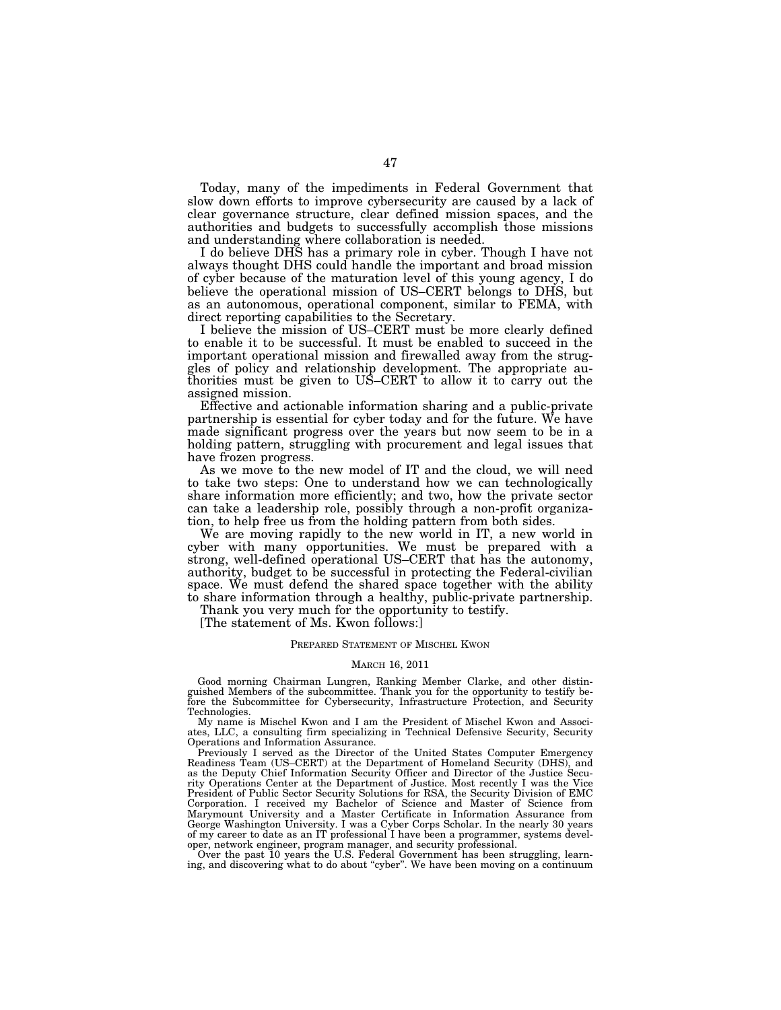Today, many of the impediments in Federal Government that slow down efforts to improve cybersecurity are caused by a lack of clear governance structure, clear defined mission spaces, and the authorities and budgets to successfully accomplish those missions and understanding where collaboration is needed.

I do believe DHS has a primary role in cyber. Though I have not always thought DHS could handle the important and broad mission of cyber because of the maturation level of this young agency, I do believe the operational mission of US–CERT belongs to DHS, but as an autonomous, operational component, similar to FEMA, with direct reporting capabilities to the Secretary.

I believe the mission of US–CERT must be more clearly defined to enable it to be successful. It must be enabled to succeed in the important operational mission and firewalled away from the struggles of policy and relationship development. The appropriate authorities must be given to US–CERT to allow it to carry out the assigned mission.

Effective and actionable information sharing and a public-private partnership is essential for cyber today and for the future. We have made significant progress over the years but now seem to be in a holding pattern, struggling with procurement and legal issues that have frozen progress.

As we move to the new model of IT and the cloud, we will need to take two steps: One to understand how we can technologically share information more efficiently; and two, how the private sector can take a leadership role, possibly through a non-profit organization, to help free us from the holding pattern from both sides.

We are moving rapidly to the new world in IT, a new world in cyber with many opportunities. We must be prepared with a strong, well-defined operational US–CERT that has the autonomy, authority, budget to be successful in protecting the Federal-civilian space. We must defend the shared space together with the ability to share information through a healthy, public-private partnership.

Thank you very much for the opportunity to testify.

[The statement of Ms. Kwon follows:]

# PREPARED STATEMENT OF MISCHEL KWON

#### MARCH 16, 2011

Good morning Chairman Lungren, Ranking Member Clarke, and other distinguished Members of the subcommittee. Thank you for the opportunity to testify before the Subcommittee for Cybersecurity, Infrastructure Protection, and Security Technologies.

My name is Mischel Kwon and I am the President of Mischel Kwon and Associates, LLC, a consulting firm specializing in Technical Defensive Security, Security Operations and Information Assurance.

Previously I served as the Director of the United States Computer Emergency Readiness Team (US–CERT) at the Department of Homeland Security (DHS), and as the Deputy Chief Information Security Officer and Director of the Justice Security Operations Center at the Department of Justice. Most recently I was the Vice President of Public Sector Security Solutions for RSA, the Security Division of EMC Corporation. I received my Bachelor of Science and Master of Science from Marymount University and a Master Certificate in Information Assurance from George Washington University. I was a Cyber Corps Scholar. In the nearly 30 years of my career to date as an IT professional I have been a programmer, systems developer, network engineer, program manager, and security professional.

Over the past 10 years the U.S. Federal Government has been struggling, learning, and discovering what to do about ''cyber''. We have been moving on a continuum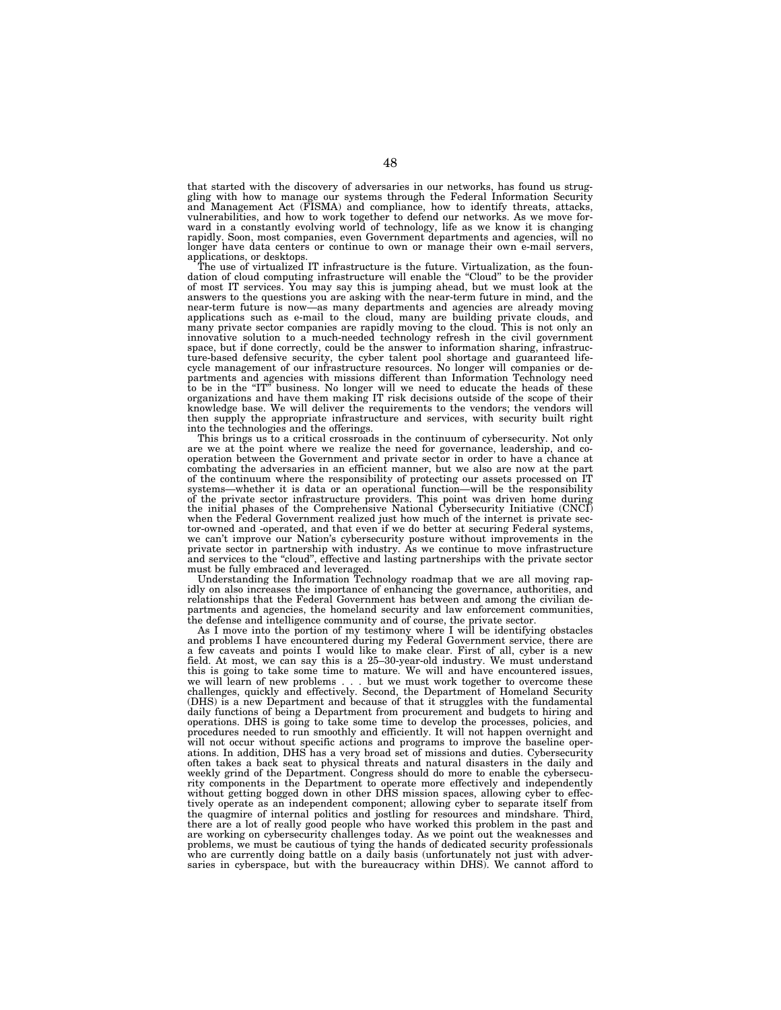that started with the discovery of adversaries in our networks, has found us struggling with how to manage our systems through the Federal Information Security and Management Act (FISMA) and compliance, how to identify threats, attacks, vulnerabilities, and how to work together to defend our networks. As we move forward in a constantly evolving world of technology, life as we know it is changing rapidly. Soon, most companies, even Government departments and agencies, will no longer have data centers or continue to own or manage their own e-mail servers, applications, or desktops.

The use of virtualized IT infrastructure is the future. Virtualization, as the foundation of cloud computing infrastructure will enable the ''Cloud'' to be the provider of most IT services. You may say this is jumping ahead, but we must look at the answers to the questions you are asking with the near-term future in mind, and the near-term future is now—as many departments and agencies are already moving applications such as e-mail to the cloud, many are building private clouds, and many private sector companies are rapidly moving to the cloud. This is not only an innovative solution to a much-needed technology refresh in the civil government space, but if done correctly, could be the answer to information sharing, infrastructure-based defensive security, the cyber talent pool shortage and guaranteed life-cycle management of our infrastructure resources. No longer will companies or departments and agencies with missions different than Information Technology need to be in the ''IT'' business. No longer will we need to educate the heads of these organizations and have them making IT risk decisions outside of the scope of their knowledge base. We will deliver the requirements to the vendors; the vendors will then supply the appropriate infrastructure and services, with security built right into the technologies and the offerings.

This brings us to a critical crossroads in the continuum of cybersecurity. Not only are we at the point where we realize the need for governance, leadership, and cooperation between the Government and private sector in order to have a chance at combating the adversaries in an efficient manner, but we also are now at the part of the continuum where the responsibility of protecting our assets processed on IT systems—whether it is data or an operational function—will be the responsibility<br>of the private sector infrastructure providers. This point was driven home during<br>the initial phases of the Comprehensive National Cybersecur when the Federal Government realized just how much of the internet is private sector-owned and -operated, and that even if we do better at securing Federal systems, we can't improve our Nation's cybersecurity posture without improvements in the private sector in partnership with industry. As we continue to move infrastructure and services to the "cloud", effective and lasting partners

Understanding the Information Technology roadmap that we are all moving rapidly on also increases the importance of enhancing the governance, authorities, and relationships that the Federal Government has between and among the civilian departments and agencies, the homeland security and law enforcement communities, the defense and intelligence community and of course, the private sector.

As I move into the portion of my testimony where I will be identifying obstacles and problems I have encountered during my Federal Government service, there are a few caveats and points I would like to make clear. First of all, cyber is a new field. At most, we can say this is a 25–30-year-old industry. We must understand this is going to take some time to mature. We will and have encountered issues, we will learn of new problems... but we must work together to overcome these challenges, quickly and effectively. Second, the Department of Homeland Security (DHS) is a new Department and because of that it struggles with the fundamental daily functions of being a Department from procurement and budgets to hiring and operations. DHS is going to take some time to develop the processes, policies, and procedures needed to run smoothly and efficiently. It will not happen overnight and will not occur without specific actions and programs to improve the baseline operations. In addition, DHS has a very broad set of missions and duties. Cybersecurity often takes a back seat to physical threats and natural disasters in the daily and weekly grind of the Department. Congress should do more to enable the cybersecurity components in the Department to operate more effectively and independently without getting bogged down in other DHS mission spaces, allowing cyber to effectively operate as an independent component; allowing cyber to separate itself from the quagmire of internal politics and jostling for resources and mindshare. Third, there are a lot of really good people who have worked this problem in the past and are working on cybersecurity challenges today. As we point out the weaknesses and problems, we must be cautious of tying the hands of dedicated security professionals who are currently doing battle on a daily basis (unfortunately not just with adversaries in cyberspace, but with the bureaucracy within DHS). We cannot afford to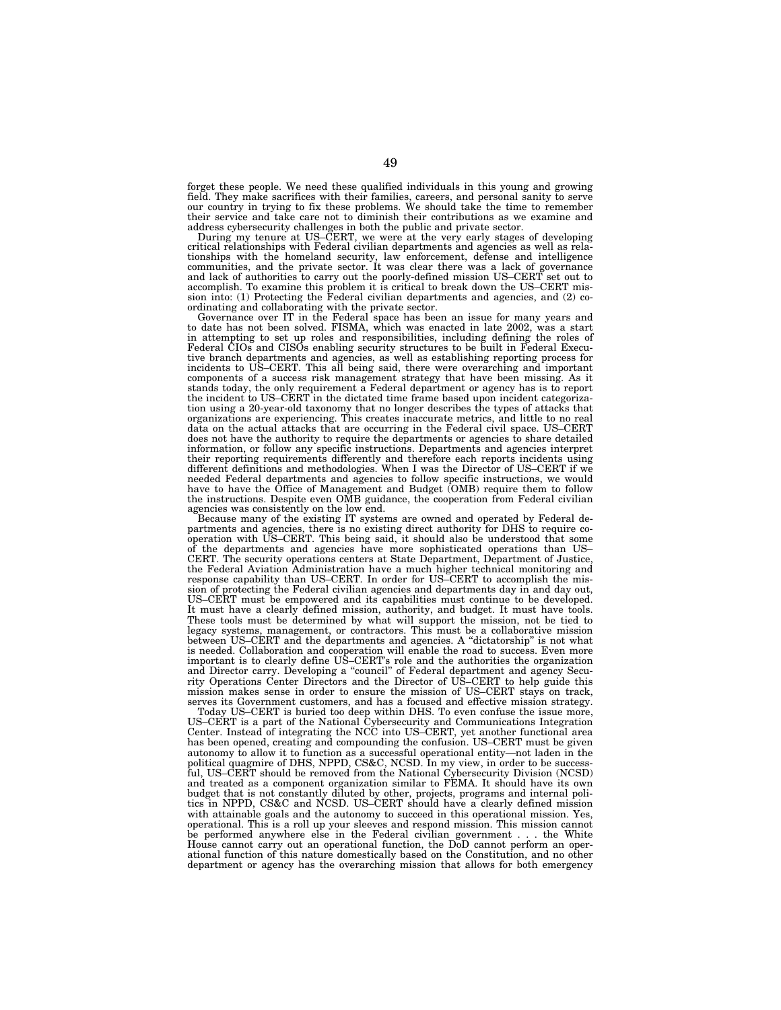forget these people. We need these qualified individuals in this young and growing field. They make sacrifices with their families, careers, and personal sanity to serve our country in trying to fix these problems. We should take the time to remember their service and take care not to diminish their contributions as we examine and

address cybersecurity challenges in both the public and private sector. During my tenure at US–CERT, we were at the very early stages of developing critical relationships with Federal civilian departments and agencies as well as relationships with the homeland security, law enforcement, defense and intelligence communities, and the private sector. It was clear there was a lack of governance and lack of authorities to carry out the poorly-defined mission US–CERT set out to accomplish. To examine this problem it is critical to break down the US–CERT mission into: (1) Protecting the Federal civilian departments and agencies, and (2) coordinating and collaborating with the private sector.

Governance over IT in the Federal space has been an issue for many years and to date has not been solved. FISMA, which was enacted in late 2002, was a start in attempting to set up roles and responsibilities, including defining the roles of Federal CIOs and CISOs enabling security structures to be built in Federal Executive branch departments and agencies, as well as establishing reporting process for incidents to US–CERT. This all being said, there were overarching and important components of a success risk management strategy that have been missing. As it stands today, the only requirement a Federal department or agency has is to report the incident to US–CERT in the dictated time frame based upon incident categorization using a 20-year-old taxonomy that no longer describes the types of attacks that organizations are experiencing. This creates inaccurate metrics, and little to no real data on the actual attacks that are occurring in the Federal civil space. US–CERT does not have the authority to require the departments or agencies to share detailed information, or follow any specific instructions. Departments and agencies interpret their reporting requirements differently and therefore each reports incidents using different definitions and methodologies. When I was the Director of US–CERT if we needed Federal departments and agencies to follow specific instructions, we would have to have the Office of Management and Budget (OMB) require them to follow the instructions. Despite even OMB guidance, the cooperation from Federal civilian agencies was consistently on the low end.

Because many of the existing IT systems are owned and operated by Federal departments and agencies, there is no existing direct authority for DHS to require co-<br>operation with US–CERT. This being said, it should also be understood that some<br>of the departments and agencies have more sophisticated o the Federal Aviation Administration have a much higher technical monitoring and response capability than US–CERT. In order for US–CERT to accomplish the mission of protecting the Federal civilian agencies and departments day in and day out, US–CERT must be empowered and its capabilities must continue to be developed. It must have a clearly defined mission, authority, and budget. It must have tools. These tools must be determined by what will support the mission, not be tied to legacy systems, management, or contractors. This must be a collaborative mission between US–CERT and the departments and agencies. A "dictatorship" is not what is needed. Collaboration and cooperation will enable the road to success. Even more important is to clearly define US–CERT's role and the authorities the organization and Director carry. Developing a ''council'' of Federal department and agency Security Operations Center Directors and the Director of US–CERT to help guide this mission makes sense in order to ensure the mission of US–CERT stays on track, serves its Government customers, and has a focused and effective mission strategy.

Today US–CERT is buried too deep within DHS. To even confuse the issue more, US–CERT is a part of the National Cybersecurity and Communications Integration Center. Instead of integrating the NCC into US–CERT, yet another functional area has been opened, creating and compounding the confusion. US–CERT must be given autonomy to allow it to function as a successful operational entity—not laden in the political quagmire of DHS, NPPD, CS&C, NCSD. In my view, in order to be successful, US–CERT should be removed from the National Cybersecurity Division (NCSD) and treated as a component organization similar to FEMA. It should have its own budget that is not constantly diluted by other, projects, programs and internal politics in NPPD, CS&C and NCSD. US–CERT should have a clearly defined mission with attainable goals and the autonomy to succeed in this operational mission. Yes, operational. This is a roll up your sleeves and respond mission. This mission cannot be performed anywhere else in the Federal civilian government... the White House cannot carry out an operational function, the DoD cannot perform an operational function of this nature domestically based on the Constitution, and no other department or agency has the overarching mission that allows for both emergency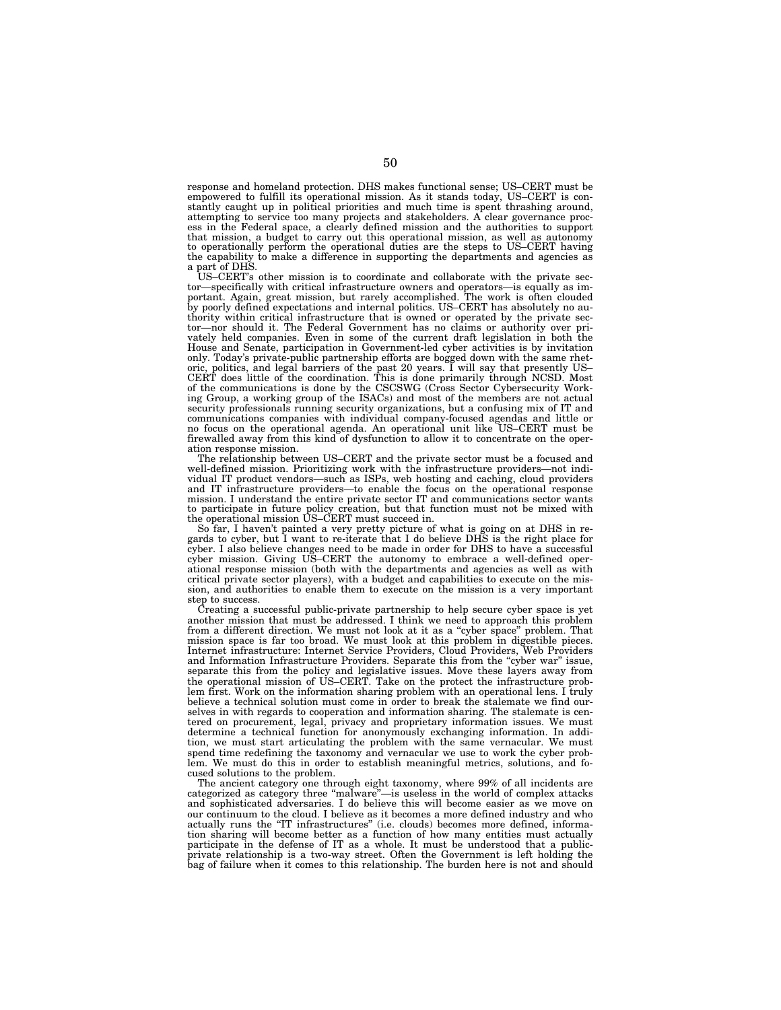response and homeland protection. DHS makes functional sense; US–CERT must be empowered to fulfill its operational mission. As it stands today, US–CERT is constantly caught up in political priorities and much time is spent thrashing around, attempting to service too many projects and stakeholders. A clear governance process in the Federal space, a clearly defined mission and the authorities to support that mission, a budget to carry out this operational mission, as well as autonomy to operationally perform the operational duties are the steps to US–CERT having the capability to make a difference in supporting the departments and agencies as a part of DHS.

US–CERT's other mission is to coordinate and collaborate with the private sector—specifically with critical infrastructure owners and operators—is equally as important. Again, great mission, but rarely accomplished. The work is often clouded by poorly defined expectations and internal politics. US–CERT has absolutely no authority within critical infrastructure that is owned or operated by the private sec-tor—nor should it. The Federal Government has no claims or authority over privately held companies. Even in some of the current draft legislation in both the House and Senate, participation in Government-led cyber activities is by invitation only. Today's private-public partnership efforts are bogged down with the same rhet-<br>oric, politics, and legal barriers of the past 20 years. I will say that presently US–<br>CERT does little of the coordination. This is done ing Group, a working group of the ISACs) and most of the members are not actual security professionals running security organizations, but a confusing mix of IT and communications companies with individual company-focused agendas and little or no focus on the operational agenda. An operational unit like US–CERT must be firewalled away from this kind of dysfunction to allow it to concentrate on the operation response mission.

The relationship between US–CERT and the private sector must be a focused and well-defined mission. Prioritizing work with the infrastructure providers—not indi-<br>vidual IT product vendors—such as ISPs, web hosting and caching, cloud providers<br>and IT infrastructure providers—to enable the focus on th to participate in future policy creation, but that function must not be mixed with the operational mission US–CERT must succeed in.

So far, I haven't painted a very pretty picture of what is going on at DHS in re-gards to cyber, but I want to re-iterate that I do believe DHS is the right place for cyber. I also believe changes need to be made in order for DHS to have a successful cyber mission. Giving US–CERT the autonomy to embrace a well-defined operational response mission (both with the departments and agencies as well as with critical private sector players), with a budget and capabilities to execute on the mis-sion, and authorities to enable them to execute on the mission is a very important step to success.

Creating a successful public-private partnership to help secure cyber space is yet another mission that must be addressed. I think we need to approach this problem from a different direction. We must not look at it as a ''cyber space'' problem. That mission space is far too broad. We must look at this problem in digestible pieces. Internet infrastructure: Internet Service Providers, Cloud Providers, Web Providers and Information Infrastructure Providers. Separate this from the ''cyber war'' issue, separate this from the policy and legislative issues. Move these layers away from the operational mission of US–CERT. Take on the protect the infrastructure problem first. Work on the information sharing problem with an operational lens. I truly believe a technical solution must come in order to break the stalemate we find ourselves in with regards to cooperation and information sharing. The stalemate is centered on procurement, legal, privacy and proprietary information issues. We must determine a technical function for anonymously exchanging information. In addition, we must start articulating the problem with the same vernacular. We must spend time redefining the taxonomy and vernacular we use to work the cyber problem. We must do this in order to establish meaningful metrics, solutions, and focused solutions to the problem.

The ancient category one through eight taxonomy, where 99% of all incidents are categorized as category three ''malware''—is useless in the world of complex attacks and sophisticated adversaries. I do believe this will become easier as we move on our continuum to the cloud. I believe as it becomes a more defined industry and who actually runs the ''IT infrastructures'' (i.e. clouds) becomes more defined, information sharing will become better as a function of how many entities must actually participate in the defense of IT as a whole. It must be understood that a publicprivate relationship is a two-way street. Often the Government is left holding the bag of failure when it comes to this relationship. The burden here is not and should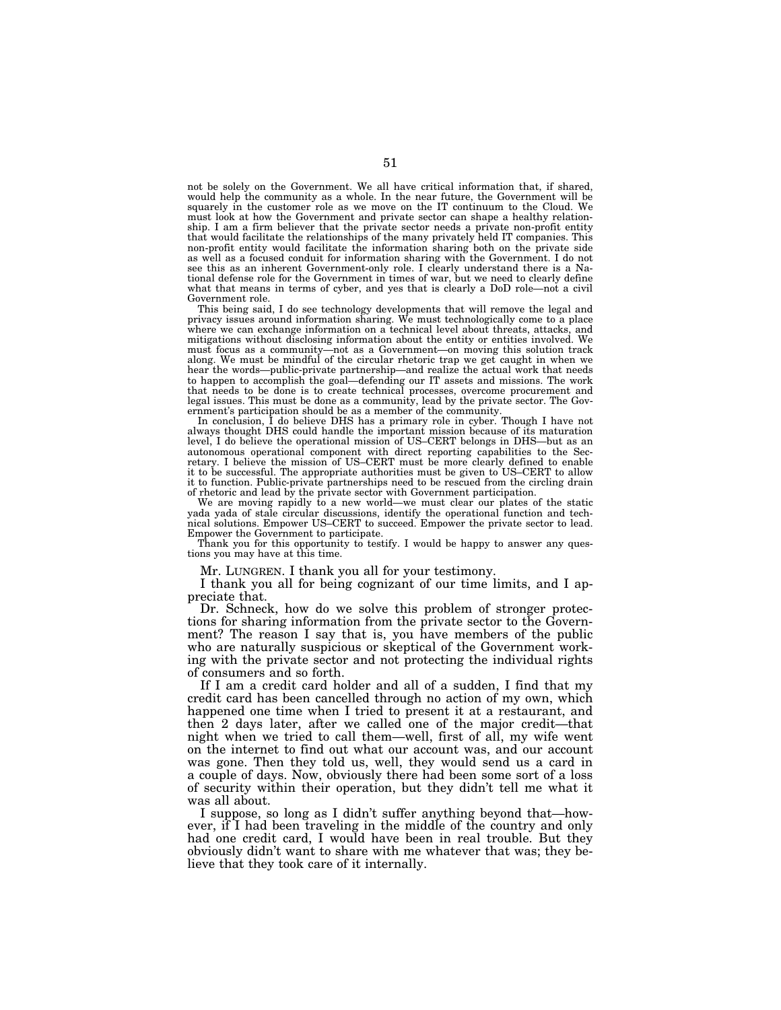not be solely on the Government. We all have critical information that, if shared, would help the community as a whole. In the near future, the Government will be squarely in the customer role as we move on the IT continuum to the Cloud. We must look at how the Government and private sector can shape a healthy relationship. I am a firm believer that the private sector needs a private non-profit entity that would facilitate the relationships of the many privately held IT companies. This non-profit entity would facilitate the information sharing both on the private side as well as a focused conduit for information sharing with the Government. I do not see this as an inherent Government-only role. I clearly understand there is a National defense role for the Government in times of war, but we need to clearly define what that means in terms of cyber, and yes that is clearly a DoD role—not a civil Government role.

This being said, I do see technology developments that will remove the legal and privacy issues around information sharing. We must technologically come to a place where we can exchange information on a technical level about threats, attacks, and mitigations without disclosing information about the entity or entities involved. We must focus as a community—not as a Government—on moving this solution track along. We must be mindful of the circular rhetoric trap we get caught in when we hear the words—public-private partnership—and realize the actual work that needs to happen to accomplish the goal—defending our IT assets and missions. The work that needs to be done is to create technical processes, overcome procurement and legal issues. This must be done as a community, lead by the private sector. The Government's participation should be as a member of the community.

In conclusion, I do believe DHS has a primary role in cyber. Though I have not always thought DHS could handle the important mission because of its maturation level, I do believe the operational mission of US–CERT belongs in DHS—but as an autonomous operational component with direct reporting capabilities to the Secretary. I believe the mission of US–CERT must be more clearly defined to enable it to be successful. The appropriate authorities must be given to US–CERT to allow it to function. Public-private partnerships need to be rescued from the circling drain of rhetoric and lead by the private sector with Government participation.

We are moving rapidly to a new world—we must clear our plates of the static yada yada of stale circular discussions, identify the operational function and technical solutions. Empower US–CERT to succeed. Empower the private sector to lead. Empower the Government to participate.

Thank you for this opportunity to testify. I would be happy to answer any questions you may have at this time.

Mr. LUNGREN. I thank you all for your testimony.

I thank you all for being cognizant of our time limits, and I appreciate that.

Dr. Schneck, how do we solve this problem of stronger protections for sharing information from the private sector to the Government? The reason I say that is, you have members of the public who are naturally suspicious or skeptical of the Government working with the private sector and not protecting the individual rights of consumers and so forth.

If I am a credit card holder and all of a sudden, I find that my credit card has been cancelled through no action of my own, which happened one time when I tried to present it at a restaurant, and then 2 days later, after we called one of the major credit—that night when we tried to call them—well, first of all, my wife went on the internet to find out what our account was, and our account was gone. Then they told us, well, they would send us a card in a couple of days. Now, obviously there had been some sort of a loss of security within their operation, but they didn't tell me what it was all about.

I suppose, so long as I didn't suffer anything beyond that—however, if I had been traveling in the middle of the country and only had one credit card, I would have been in real trouble. But they obviously didn't want to share with me whatever that was; they believe that they took care of it internally.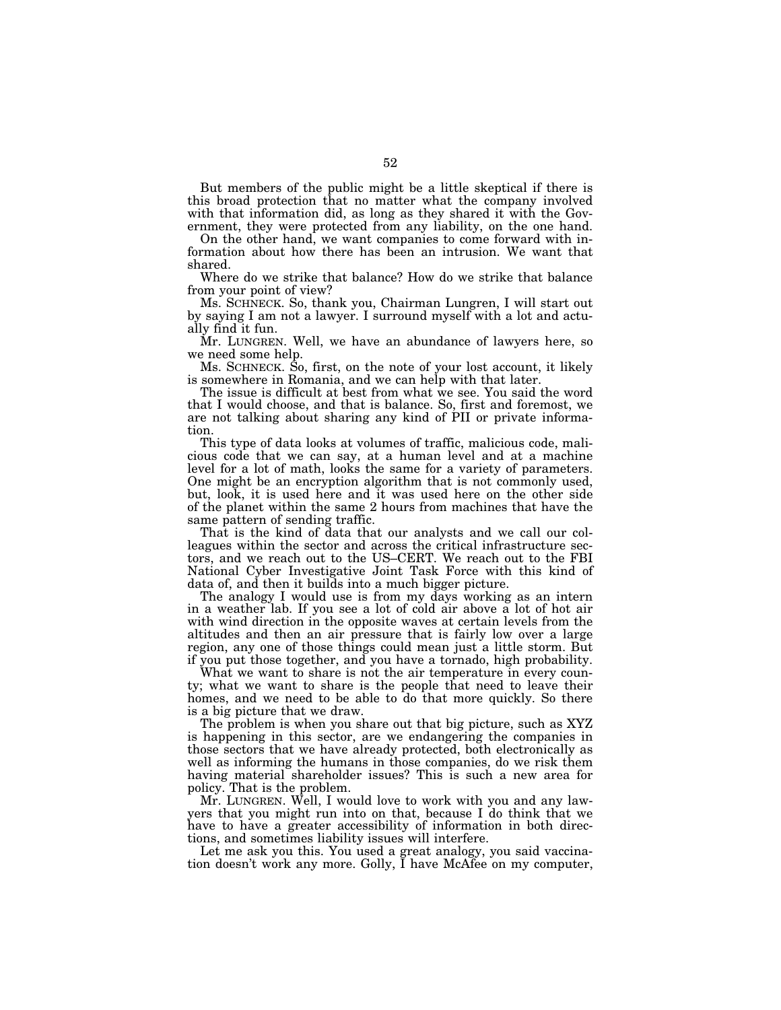But members of the public might be a little skeptical if there is this broad protection that no matter what the company involved with that information did, as long as they shared it with the Government, they were protected from any liability, on the one hand.

On the other hand, we want companies to come forward with information about how there has been an intrusion. We want that shared.

Where do we strike that balance? How do we strike that balance from your point of view?

Ms. SCHNECK. So, thank you, Chairman Lungren, I will start out by saying I am not a lawyer. I surround myself with a lot and actually find it fun.

Mr. LUNGREN. Well, we have an abundance of lawyers here, so we need some help.

Ms. SCHNECK. So, first, on the note of your lost account, it likely is somewhere in Romania, and we can help with that later.

The issue is difficult at best from what we see. You said the word that I would choose, and that is balance. So, first and foremost, we are not talking about sharing any kind of PII or private information.

This type of data looks at volumes of traffic, malicious code, malicious code that we can say, at a human level and at a machine level for a lot of math, looks the same for a variety of parameters. One might be an encryption algorithm that is not commonly used, but, look, it is used here and it was used here on the other side of the planet within the same 2 hours from machines that have the same pattern of sending traffic.

That is the kind of data that our analysts and we call our colleagues within the sector and across the critical infrastructure sectors, and we reach out to the US–CERT. We reach out to the FBI National Cyber Investigative Joint Task Force with this kind of data of, and then it builds into a much bigger picture.

The analogy I would use is from my days working as an intern in a weather lab. If you see a lot of cold air above a lot of hot air with wind direction in the opposite waves at certain levels from the altitudes and then an air pressure that is fairly low over a large region, any one of those things could mean just a little storm. But if you put those together, and you have a tornado, high probability.

What we want to share is not the air temperature in every county; what we want to share is the people that need to leave their homes, and we need to be able to do that more quickly. So there is a big picture that we draw.

The problem is when you share out that big picture, such as XYZ is happening in this sector, are we endangering the companies in those sectors that we have already protected, both electronically as well as informing the humans in those companies, do we risk them having material shareholder issues? This is such a new area for policy. That is the problem.

Mr. LUNGREN. Well, I would love to work with you and any lawyers that you might run into on that, because I do think that we have to have a greater accessibility of information in both directions, and sometimes liability issues will interfere.

Let me ask you this. You used a great analogy, you said vaccination doesn't work any more. Golly, I have McAfee on my computer,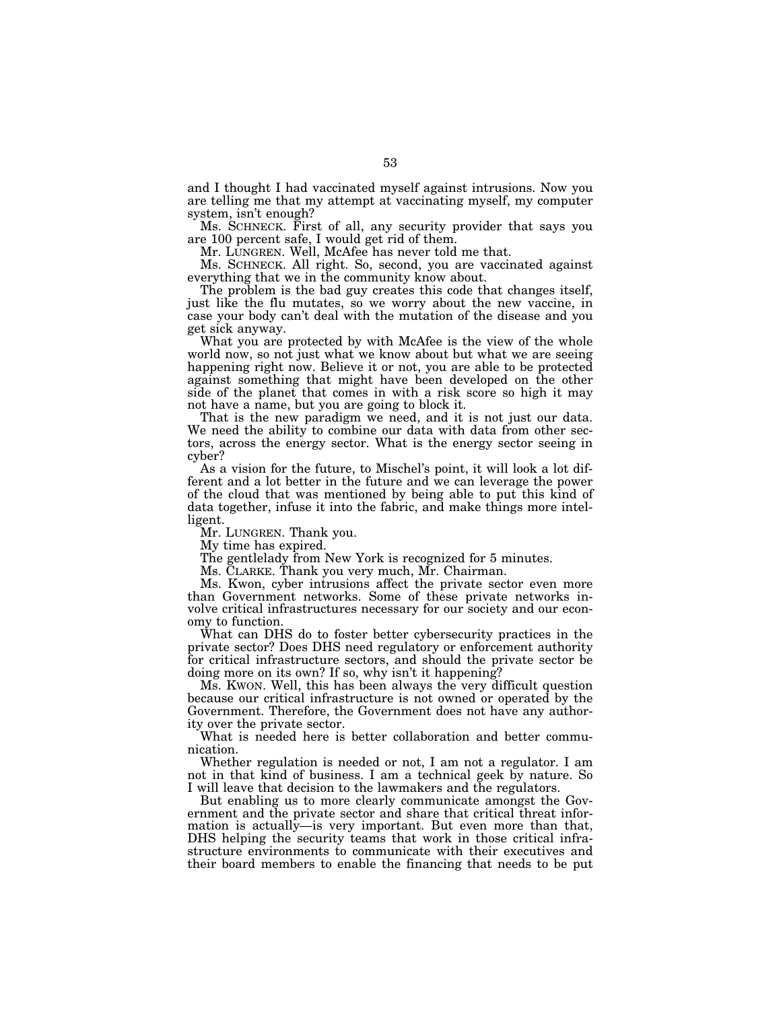and I thought I had vaccinated myself against intrusions. Now you are telling me that my attempt at vaccinating myself, my computer system, isn't enough?

Ms. SCHNECK. First of all, any security provider that says you are 100 percent safe, I would get rid of them.

Mr. LUNGREN. Well, McAfee has never told me that.

Ms. SCHNECK. All right. So, second, you are vaccinated against everything that we in the community know about.

The problem is the bad guy creates this code that changes itself, just like the flu mutates, so we worry about the new vaccine, in case your body can't deal with the mutation of the disease and you get sick anyway.

What you are protected by with McAfee is the view of the whole world now, so not just what we know about but what we are seeing happening right now. Believe it or not, you are able to be protected against something that might have been developed on the other side of the planet that comes in with a risk score so high it may not have a name, but you are going to block it.

That is the new paradigm we need, and it is not just our data. We need the ability to combine our data with data from other sectors, across the energy sector. What is the energy sector seeing in cyber?

As a vision for the future, to Mischel's point, it will look a lot different and a lot better in the future and we can leverage the power of the cloud that was mentioned by being able to put this kind of data together, infuse it into the fabric, and make things more intelligent.

Mr. LUNGREN. Thank you.

My time has expired.

The gentlelady from New York is recognized for 5 minutes.

Ms. CLARKE. Thank you very much, Mr. Chairman.

Ms. Kwon, cyber intrusions affect the private sector even more than Government networks. Some of these private networks involve critical infrastructures necessary for our society and our economy to function.

What can DHS do to foster better cybersecurity practices in the private sector? Does DHS need regulatory or enforcement authority for critical infrastructure sectors, and should the private sector be doing more on its own? If so, why isn't it happening?

Ms. KWON. Well, this has been always the very difficult question because our critical infrastructure is not owned or operated by the Government. Therefore, the Government does not have any authority over the private sector.

What is needed here is better collaboration and better communication.

Whether regulation is needed or not, I am not a regulator. I am not in that kind of business. I am a technical geek by nature. So I will leave that decision to the lawmakers and the regulators.

But enabling us to more clearly communicate amongst the Government and the private sector and share that critical threat information is actually—is very important. But even more than that, DHS helping the security teams that work in those critical infrastructure environments to communicate with their executives and their board members to enable the financing that needs to be put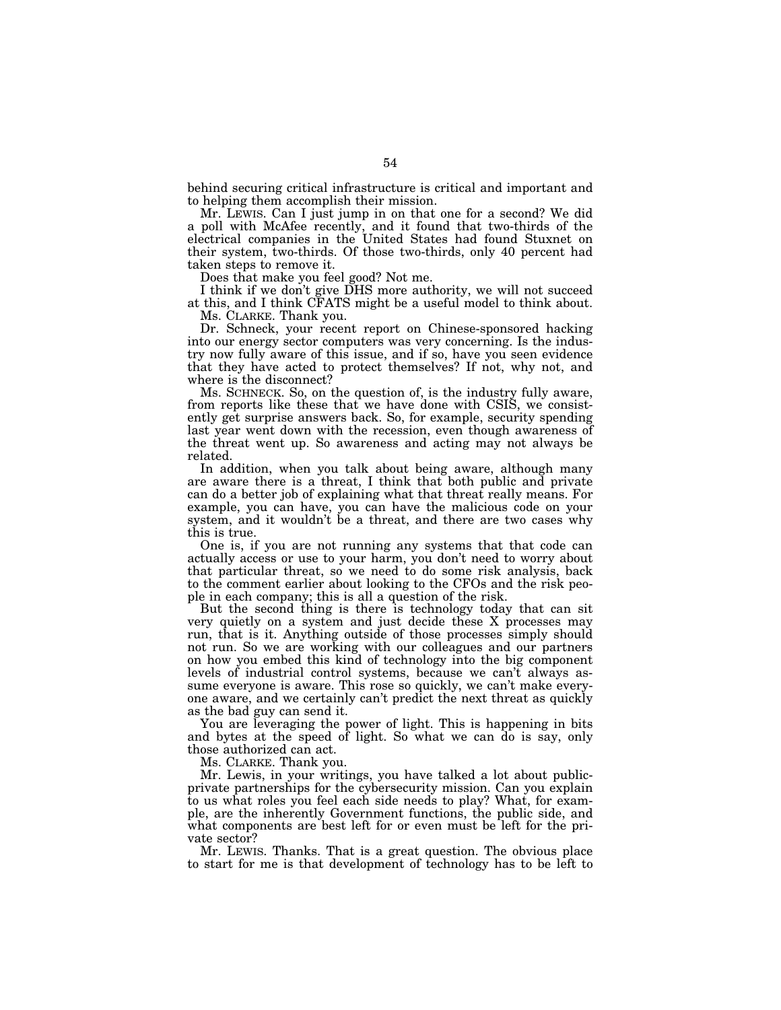behind securing critical infrastructure is critical and important and to helping them accomplish their mission.

Mr. LEWIS. Can I just jump in on that one for a second? We did a poll with McAfee recently, and it found that two-thirds of the electrical companies in the United States had found Stuxnet on their system, two-thirds. Of those two-thirds, only 40 percent had taken steps to remove it.

Does that make you feel good? Not me.

I think if we don't give DHS more authority, we will not succeed at this, and I think CFATS might be a useful model to think about.

Ms. CLARKE. Thank you.

Dr. Schneck, your recent report on Chinese-sponsored hacking into our energy sector computers was very concerning. Is the industry now fully aware of this issue, and if so, have you seen evidence that they have acted to protect themselves? If not, why not, and where is the disconnect?

Ms. SCHNECK. So, on the question of, is the industry fully aware, from reports like these that we have done with CSIS, we consistently get surprise answers back. So, for example, security spending last year went down with the recession, even though awareness of the threat went up. So awareness and acting may not always be related.

In addition, when you talk about being aware, although many are aware there is a threat, I think that both public and private can do a better job of explaining what that threat really means. For example, you can have, you can have the malicious code on your system, and it wouldn't be a threat, and there are two cases why this is true.

One is, if you are not running any systems that that code can actually access or use to your harm, you don't need to worry about that particular threat, so we need to do some risk analysis, back to the comment earlier about looking to the CFOs and the risk people in each company; this is all a question of the risk.

But the second thing is there is technology today that can sit very quietly on a system and just decide these X processes may run, that is it. Anything outside of those processes simply should not run. So we are working with our colleagues and our partners on how you embed this kind of technology into the big component levels of industrial control systems, because we can't always assume everyone is aware. This rose so quickly, we can't make everyone aware, and we certainly can't predict the next threat as quickly as the bad guy can send it.

You are leveraging the power of light. This is happening in bits and bytes at the speed of light. So what we can do is say, only those authorized can act.

Ms. CLARKE. Thank you.

Mr. Lewis, in your writings, you have talked a lot about publicprivate partnerships for the cybersecurity mission. Can you explain to us what roles you feel each side needs to play? What, for example, are the inherently Government functions, the public side, and what components are best left for or even must be left for the private sector?

Mr. LEWIS. Thanks. That is a great question. The obvious place to start for me is that development of technology has to be left to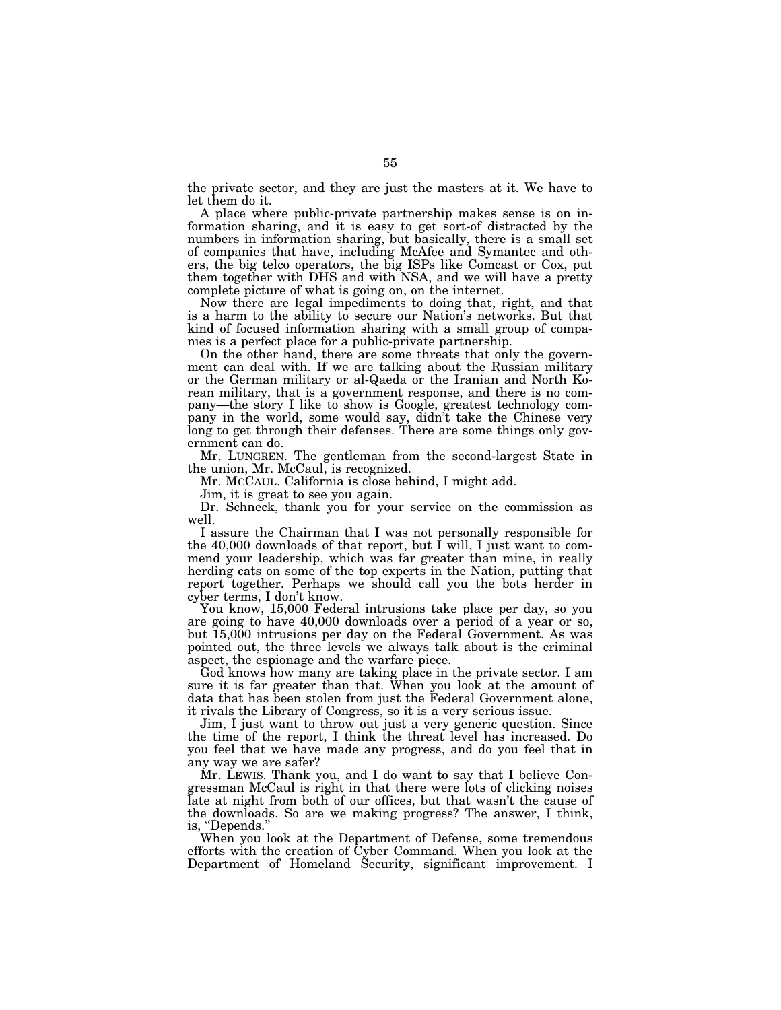the private sector, and they are just the masters at it. We have to let them do it.

A place where public-private partnership makes sense is on information sharing, and it is easy to get sort-of distracted by the numbers in information sharing, but basically, there is a small set of companies that have, including McAfee and Symantec and others, the big telco operators, the big ISPs like Comcast or Cox, put them together with DHS and with NSA, and we will have a pretty complete picture of what is going on, on the internet.

Now there are legal impediments to doing that, right, and that is a harm to the ability to secure our Nation's networks. But that kind of focused information sharing with a small group of companies is a perfect place for a public-private partnership.

On the other hand, there are some threats that only the government can deal with. If we are talking about the Russian military or the German military or al-Qaeda or the Iranian and North Korean military, that is a government response, and there is no company—the story I like to show is Google, greatest technology company in the world, some would say, didn't take the Chinese very long to get through their defenses. There are some things only government can do.

Mr. LUNGREN. The gentleman from the second-largest State in the union, Mr. McCaul, is recognized.

Mr. MCCAUL. California is close behind, I might add.

Jim, it is great to see you again.

Dr. Schneck, thank you for your service on the commission as well.

I assure the Chairman that I was not personally responsible for the 40,000 downloads of that report, but I will, I just want to commend your leadership, which was far greater than mine, in really herding cats on some of the top experts in the Nation, putting that report together. Perhaps we should call you the bots herder in cyber terms, I don't know.

You know, 15,000 Federal intrusions take place per day, so you are going to have 40,000 downloads over a period of a year or so, but 15,000 intrusions per day on the Federal Government. As was pointed out, the three levels we always talk about is the criminal aspect, the espionage and the warfare piece.

God knows how many are taking place in the private sector. I am sure it is far greater than that. When you look at the amount of data that has been stolen from just the Federal Government alone, it rivals the Library of Congress, so it is a very serious issue.

Jim, I just want to throw out just a very generic question. Since the time of the report, I think the threat level has increased. Do you feel that we have made any progress, and do you feel that in any way we are safer?

Mr. LEWIS. Thank you, and I do want to say that I believe Congressman McCaul is right in that there were lots of clicking noises late at night from both of our offices, but that wasn't the cause of the downloads. So are we making progress? The answer, I think, is, "Depends."

When you look at the Department of Defense, some tremendous efforts with the creation of Cyber Command. When you look at the Department of Homeland Security, significant improvement. I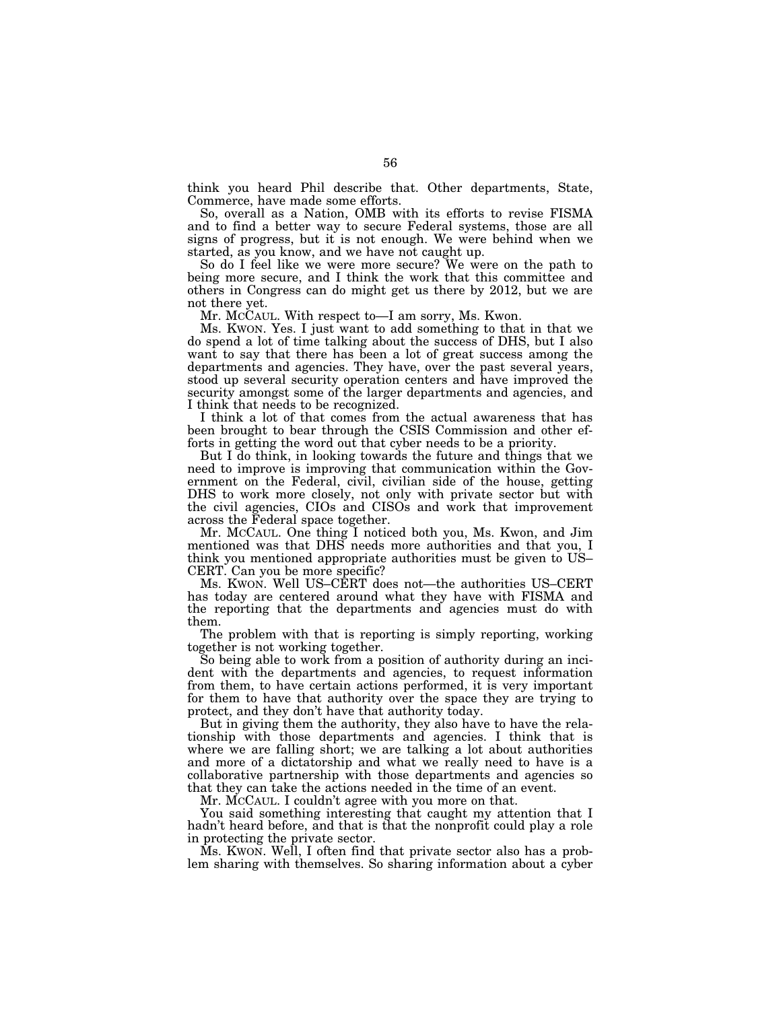think you heard Phil describe that. Other departments, State, Commerce, have made some efforts.

So, overall as a Nation, OMB with its efforts to revise FISMA and to find a better way to secure Federal systems, those are all signs of progress, but it is not enough. We were behind when we started, as you know, and we have not caught up.

So do I feel like we were more secure? We were on the path to being more secure, and I think the work that this committee and others in Congress can do might get us there by 2012, but we are not there yet.

Mr. MCCAUL. With respect to—I am sorry, Ms. Kwon.

Ms. KWON. Yes. I just want to add something to that in that we do spend a lot of time talking about the success of DHS, but I also want to say that there has been a lot of great success among the departments and agencies. They have, over the past several years, stood up several security operation centers and have improved the security amongst some of the larger departments and agencies, and I think that needs to be recognized.

I think a lot of that comes from the actual awareness that has been brought to bear through the CSIS Commission and other efforts in getting the word out that cyber needs to be a priority.

But I do think, in looking towards the future and things that we need to improve is improving that communication within the Government on the Federal, civil, civilian side of the house, getting DHS to work more closely, not only with private sector but with the civil agencies, CIOs and CISOs and work that improvement across the Federal space together.

Mr. MCCAUL. One thing I noticed both you, Ms. Kwon, and Jim mentioned was that DHS needs more authorities and that you, I think you mentioned appropriate authorities must be given to US– CERT. Can you be more specific?

Ms. KWON. Well US–CERT does not—the authorities US–CERT has today are centered around what they have with FISMA and the reporting that the departments and agencies must do with them.

The problem with that is reporting is simply reporting, working together is not working together.

So being able to work from a position of authority during an incident with the departments and agencies, to request information from them, to have certain actions performed, it is very important for them to have that authority over the space they are trying to protect, and they don't have that authority today.

But in giving them the authority, they also have to have the relationship with those departments and agencies. I think that is where we are falling short; we are talking a lot about authorities and more of a dictatorship and what we really need to have is a collaborative partnership with those departments and agencies so that they can take the actions needed in the time of an event.

Mr. MCCAUL. I couldn't agree with you more on that.

You said something interesting that caught my attention that I hadn't heard before, and that is that the nonprofit could play a role in protecting the private sector.

Ms. KWON. Well, I often find that private sector also has a problem sharing with themselves. So sharing information about a cyber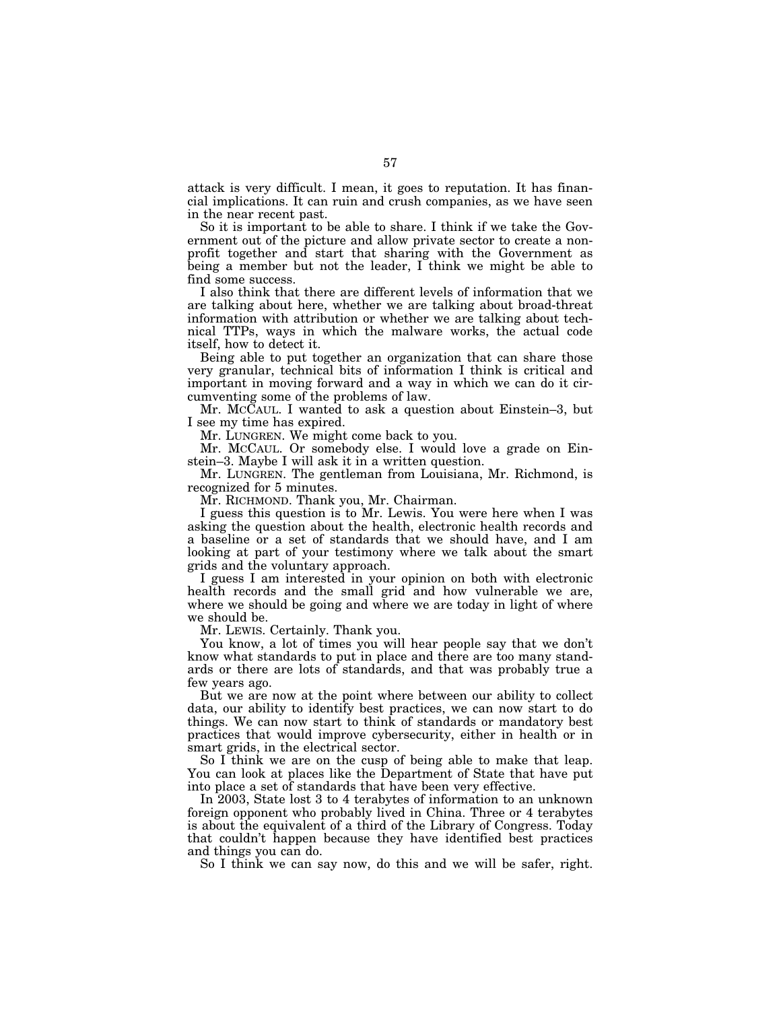attack is very difficult. I mean, it goes to reputation. It has financial implications. It can ruin and crush companies, as we have seen in the near recent past.

So it is important to be able to share. I think if we take the Government out of the picture and allow private sector to create a nonprofit together and start that sharing with the Government as being a member but not the leader, I think we might be able to find some success.

I also think that there are different levels of information that we are talking about here, whether we are talking about broad-threat information with attribution or whether we are talking about technical TTPs, ways in which the malware works, the actual code itself, how to detect it.

Being able to put together an organization that can share those very granular, technical bits of information I think is critical and important in moving forward and a way in which we can do it circumventing some of the problems of law.

Mr. MCCAUL. I wanted to ask a question about Einstein–3, but I see my time has expired.

Mr. LUNGREN. We might come back to you.

Mr. MCCAUL. Or somebody else. I would love a grade on Einstein–3. Maybe I will ask it in a written question.

Mr. LUNGREN. The gentleman from Louisiana, Mr. Richmond, is recognized for 5 minutes.

Mr. RICHMOND. Thank you, Mr. Chairman.

I guess this question is to Mr. Lewis. You were here when I was asking the question about the health, electronic health records and a baseline or a set of standards that we should have, and I am looking at part of your testimony where we talk about the smart grids and the voluntary approach.

I guess I am interested in your opinion on both with electronic health records and the small grid and how vulnerable we are, where we should be going and where we are today in light of where we should be.

Mr. LEWIS. Certainly. Thank you.

You know, a lot of times you will hear people say that we don't know what standards to put in place and there are too many standards or there are lots of standards, and that was probably true a few years ago.

But we are now at the point where between our ability to collect data, our ability to identify best practices, we can now start to do things. We can now start to think of standards or mandatory best practices that would improve cybersecurity, either in health or in smart grids, in the electrical sector.

So I think we are on the cusp of being able to make that leap. You can look at places like the Department of State that have put into place a set of standards that have been very effective.

In 2003, State lost 3 to 4 terabytes of information to an unknown foreign opponent who probably lived in China. Three or 4 terabytes is about the equivalent of a third of the Library of Congress. Today that couldn't happen because they have identified best practices and things you can do.

So I think we can say now, do this and we will be safer, right.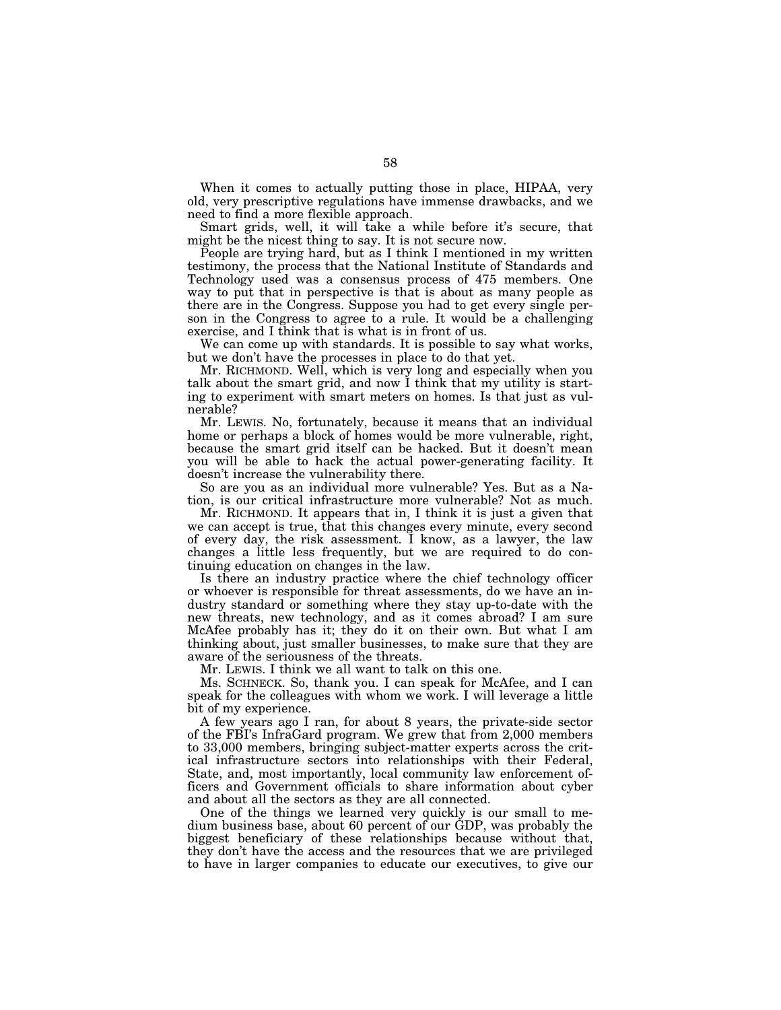When it comes to actually putting those in place, HIPAA, very old, very prescriptive regulations have immense drawbacks, and we need to find a more flexible approach.

Smart grids, well, it will take a while before it's secure, that might be the nicest thing to say. It is not secure now.

People are trying hard, but as I think I mentioned in my written testimony, the process that the National Institute of Standards and Technology used was a consensus process of 475 members. One way to put that in perspective is that is about as many people as there are in the Congress. Suppose you had to get every single person in the Congress to agree to a rule. It would be a challenging exercise, and I think that is what is in front of us.

We can come up with standards. It is possible to say what works, but we don't have the processes in place to do that yet.

Mr. RICHMOND. Well, which is very long and especially when you talk about the smart grid, and now I think that my utility is starting to experiment with smart meters on homes. Is that just as vulnerable?

Mr. LEWIS. No, fortunately, because it means that an individual home or perhaps a block of homes would be more vulnerable, right, because the smart grid itself can be hacked. But it doesn't mean you will be able to hack the actual power-generating facility. It doesn't increase the vulnerability there.

So are you as an individual more vulnerable? Yes. But as a Nation, is our critical infrastructure more vulnerable? Not as much.

Mr. RICHMOND. It appears that in, I think it is just a given that we can accept is true, that this changes every minute, every second of every day, the risk assessment. I know, as a lawyer, the law changes a little less frequently, but we are required to do continuing education on changes in the law.

Is there an industry practice where the chief technology officer or whoever is responsible for threat assessments, do we have an industry standard or something where they stay up-to-date with the new threats, new technology, and as it comes abroad? I am sure McAfee probably has it; they do it on their own. But what I am thinking about, just smaller businesses, to make sure that they are aware of the seriousness of the threats.

Mr. LEWIS. I think we all want to talk on this one.

Ms. SCHNECK. So, thank you. I can speak for McAfee, and I can speak for the colleagues with whom we work. I will leverage a little bit of my experience.

A few years ago I ran, for about 8 years, the private-side sector of the FBI's InfraGard program. We grew that from 2,000 members to 33,000 members, bringing subject-matter experts across the critical infrastructure sectors into relationships with their Federal, State, and, most importantly, local community law enforcement officers and Government officials to share information about cyber and about all the sectors as they are all connected.

One of the things we learned very quickly is our small to medium business base, about 60 percent of our GDP, was probably the biggest beneficiary of these relationships because without that, they don't have the access and the resources that we are privileged to have in larger companies to educate our executives, to give our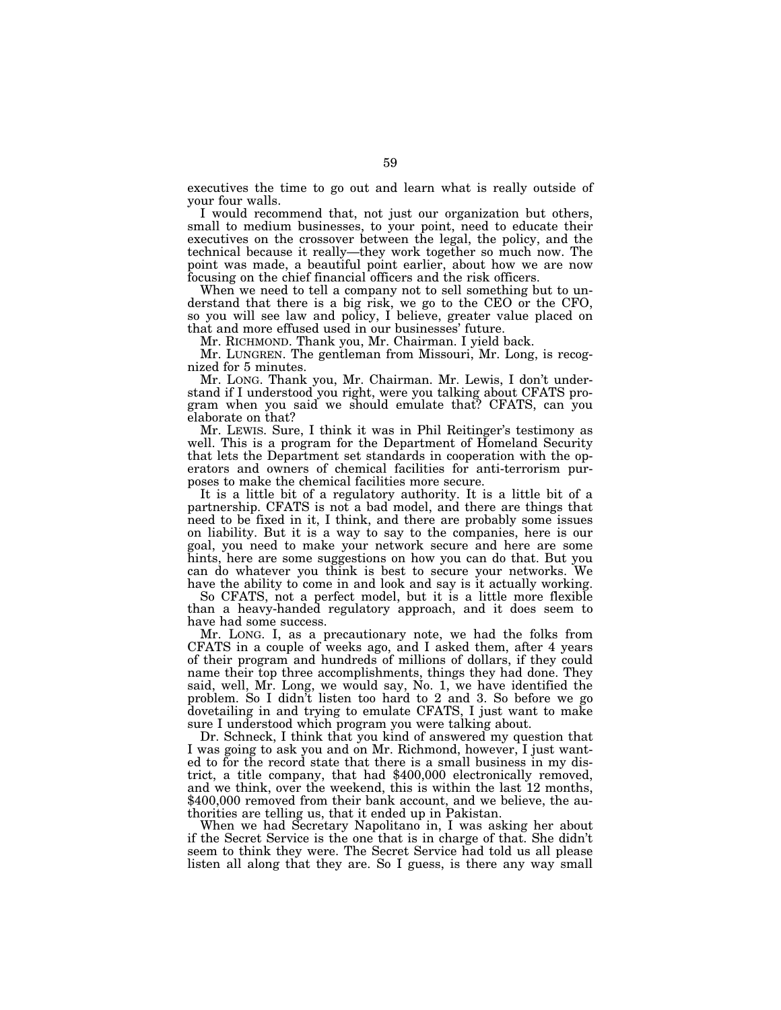executives the time to go out and learn what is really outside of your four walls.

I would recommend that, not just our organization but others, small to medium businesses, to your point, need to educate their executives on the crossover between the legal, the policy, and the technical because it really—they work together so much now. The point was made, a beautiful point earlier, about how we are now focusing on the chief financial officers and the risk officers.

When we need to tell a company not to sell something but to understand that there is a big risk, we go to the CEO or the CFO, so you will see law and policy, I believe, greater value placed on that and more effused used in our businesses' future.

Mr. RICHMOND. Thank you, Mr. Chairman. I yield back.

Mr. LUNGREN. The gentleman from Missouri, Mr. Long, is recognized for 5 minutes.

Mr. LONG. Thank you, Mr. Chairman. Mr. Lewis, I don't understand if I understood you right, were you talking about CFATS program when you said we should emulate that? CFATS, can you elaborate on that?

Mr. LEWIS. Sure, I think it was in Phil Reitinger's testimony as well. This is a program for the Department of Homeland Security that lets the Department set standards in cooperation with the operators and owners of chemical facilities for anti-terrorism purposes to make the chemical facilities more secure.

It is a little bit of a regulatory authority. It is a little bit of a partnership. CFATS is not a bad model, and there are things that need to be fixed in it, I think, and there are probably some issues on liability. But it is a way to say to the companies, here is our goal, you need to make your network secure and here are some hints, here are some suggestions on how you can do that. But you can do whatever you think is best to secure your networks. We have the ability to come in and look and say is it actually working.

So CFATS, not a perfect model, but it is a little more flexible than a heavy-handed regulatory approach, and it does seem to have had some success.

Mr. LONG. I, as a precautionary note, we had the folks from CFATS in a couple of weeks ago, and I asked them, after 4 years of their program and hundreds of millions of dollars, if they could name their top three accomplishments, things they had done. They said, well, Mr. Long, we would say, No. 1, we have identified the problem. So I didn't listen too hard to 2 and 3. So before we go dovetailing in and trying to emulate CFATS, I just want to make sure I understood which program you were talking about.

Dr. Schneck, I think that you kind of answered my question that I was going to ask you and on Mr. Richmond, however, I just wanted to for the record state that there is a small business in my district, a title company, that had \$400,000 electronically removed, and we think, over the weekend, this is within the last 12 months, \$400,000 removed from their bank account, and we believe, the authorities are telling us, that it ended up in Pakistan.

When we had Secretary Napolitano in, I was asking her about if the Secret Service is the one that is in charge of that. She didn't seem to think they were. The Secret Service had told us all please listen all along that they are. So I guess, is there any way small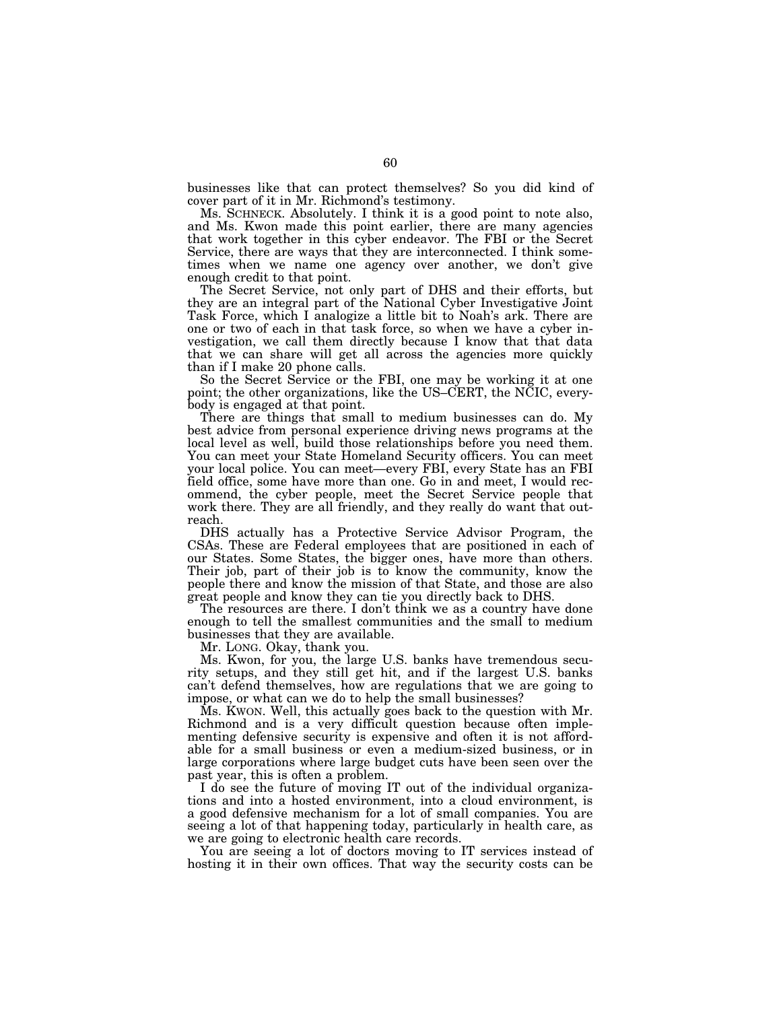businesses like that can protect themselves? So you did kind of cover part of it in Mr. Richmond's testimony.

Ms. SCHNECK. Absolutely. I think it is a good point to note also, and Ms. Kwon made this point earlier, there are many agencies that work together in this cyber endeavor. The FBI or the Secret Service, there are ways that they are interconnected. I think sometimes when we name one agency over another, we don't give enough credit to that point.

The Secret Service, not only part of DHS and their efforts, but they are an integral part of the National Cyber Investigative Joint Task Force, which I analogize a little bit to Noah's ark. There are one or two of each in that task force, so when we have a cyber investigation, we call them directly because I know that that data that we can share will get all across the agencies more quickly than if I make 20 phone calls.

So the Secret Service or the FBI, one may be working it at one point; the other organizations, like the US–CERT, the NCIC, everybody is engaged at that point.

There are things that small to medium businesses can do. My best advice from personal experience driving news programs at the local level as well, build those relationships before you need them. You can meet your State Homeland Security officers. You can meet your local police. You can meet—every FBI, every State has an FBI field office, some have more than one. Go in and meet, I would recommend, the cyber people, meet the Secret Service people that work there. They are all friendly, and they really do want that outreach.

DHS actually has a Protective Service Advisor Program, the CSAs. These are Federal employees that are positioned in each of our States. Some States, the bigger ones, have more than others. Their job, part of their job is to know the community, know the people there and know the mission of that State, and those are also great people and know they can tie you directly back to DHS.

The resources are there. I don't think we as a country have done enough to tell the smallest communities and the small to medium businesses that they are available.

Mr. LONG. Okay, thank you.

Ms. Kwon, for you, the large U.S. banks have tremendous security setups, and they still get hit, and if the largest U.S. banks can't defend themselves, how are regulations that we are going to impose, or what can we do to help the small businesses?

Ms. KWON. Well, this actually goes back to the question with Mr. Richmond and is a very difficult question because often implementing defensive security is expensive and often it is not affordable for a small business or even a medium-sized business, or in large corporations where large budget cuts have been seen over the past year, this is often a problem.

I do see the future of moving IT out of the individual organizations and into a hosted environment, into a cloud environment, is a good defensive mechanism for a lot of small companies. You are seeing a lot of that happening today, particularly in health care, as we are going to electronic health care records.

You are seeing a lot of doctors moving to IT services instead of hosting it in their own offices. That way the security costs can be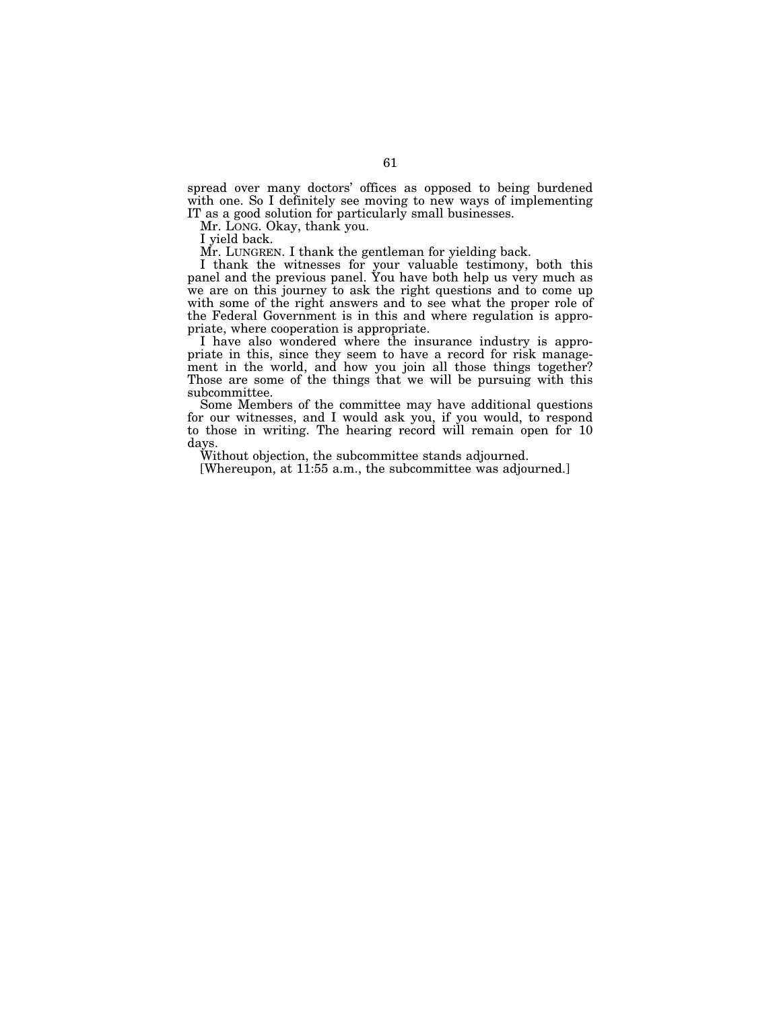spread over many doctors' offices as opposed to being burdened with one. So I definitely see moving to new ways of implementing IT as a good solution for particularly small businesses.

Mr. LONG. Okay, thank you.

I yield back.

Mr. LUNGREN. I thank the gentleman for yielding back.

I thank the witnesses for your valuable testimony, both this panel and the previous panel. You have both help us very much as we are on this journey to ask the right questions and to come up with some of the right answers and to see what the proper role of the Federal Government is in this and where regulation is appropriate, where cooperation is appropriate.

I have also wondered where the insurance industry is appropriate in this, since they seem to have a record for risk management in the world, and how you join all those things together? Those are some of the things that we will be pursuing with this subcommittee.

Some Members of the committee may have additional questions for our witnesses, and I would ask you, if you would, to respond to those in writing. The hearing record will remain open for 10 days.

Without objection, the subcommittee stands adjourned.

[Whereupon, at 11:55 a.m., the subcommittee was adjourned.]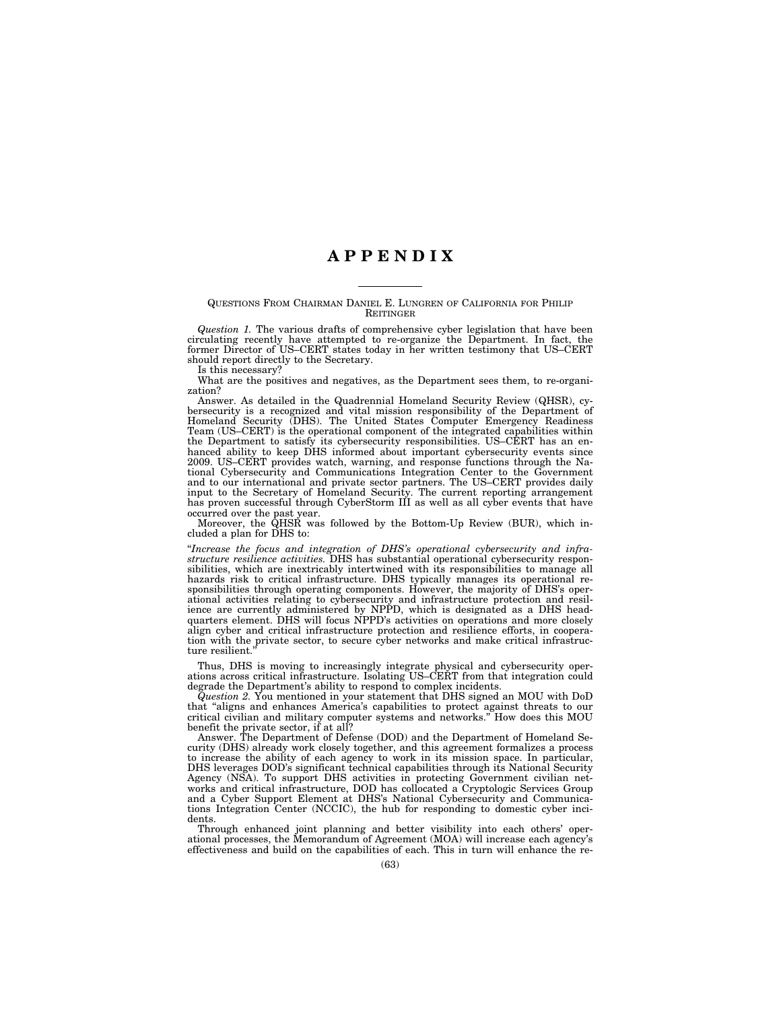# **A P P E N D I X**

# QUESTIONS FROM CHAIRMAN DANIEL E. LUNGREN OF CALIFORNIA FOR PHILIP **REITINGER**

*Question 1.* The various drafts of comprehensive cyber legislation that have been circulating recently have attempted to re-organize the Department. In fact, the former Director of US–CERT states today in her written testimony that US–CERT should report directly to the Secretary.

Is this necessary?

What are the positives and negatives, as the Department sees them, to re-organization?

Answer. As detailed in the Quadrennial Homeland Security Review (QHSR), cybersecurity is a recognized and vital mission responsibility of the Department of Homeland Security (DHS). The United States Computer Emergency Readiness Team (US–CERT) is the operational component of the integrated capabilities within the Department to satisfy its cybersecurity responsibilities. US–CERT has an enhanced ability to keep DHS informed about important cybersecurity events since 2009. US–CERT provides watch, warning, and response functions through the National Cybersecurity and Communications Integration Center to the Government and to our international and private sector partners. The US–CERT provides daily input to the Secretary of Homeland Security. The current reporting arrangement has proven successful through CyberStorm III as well as all cyber events that have occurred over the past year.

Moreover, the QHSR was followed by the Bottom-Up Review (BUR), which included a plan for DHS to:

''*Increase the focus and integration of DHS's operational cybersecurity and infrastructure resilience activities.* DHS has substantial operational cybersecurity responsibilities, which are inextricably intertwined with its responsibilities to manage all hazards risk to critical infrastructure. DHS typically manages its operational responsibilities through operating components. However, the majority of DHS's operational activities relating to cybersecurity and infrastructure protection and resilience are currently administered by NPPD, which is designated as a DHS headquarters element. DHS will focus NPPD's activities on operations and more closely align cyber and critical infrastructure protection and resilience efforts, in cooperation with the private sector, to secure cyber networks and make critical infrastructure resilient.''

Thus, DHS is moving to increasingly integrate physical and cybersecurity operations across critical infrastructure. Isolating US–CERT from that integration could degrade the Department's ability to respond to complex incidents.

*Question 2.* You mentioned in your statement that DHS signed an MOU with DoD that ''aligns and enhances America's capabilities to protect against threats to our critical civilian and military computer systems and networks.'' How does this MOU benefit the private sector, if at all?

Answer. The Department of Defense (DOD) and the Department of Homeland Security (DHS) already work closely together, and this agreement formalizes a process to increase the ability of each agency to work in its mission space. In particular, DHS leverages DOD's significant technical capabilities through its National Security Agency (NSA). To support DHS activities in protecting Government civilian networks and critical infrastructure, DOD has collocated a Cryptologic Services Group and a Cyber Support Element at DHS's National Cybersecurity and Communications Integration Center (NCCIC), the hub for responding to domestic cyber incidents.

Through enhanced joint planning and better visibility into each others' operational processes, the Memorandum of Agreement (MOA) will increase each agency's effectiveness and build on the capabilities of each. This in turn will enhance the re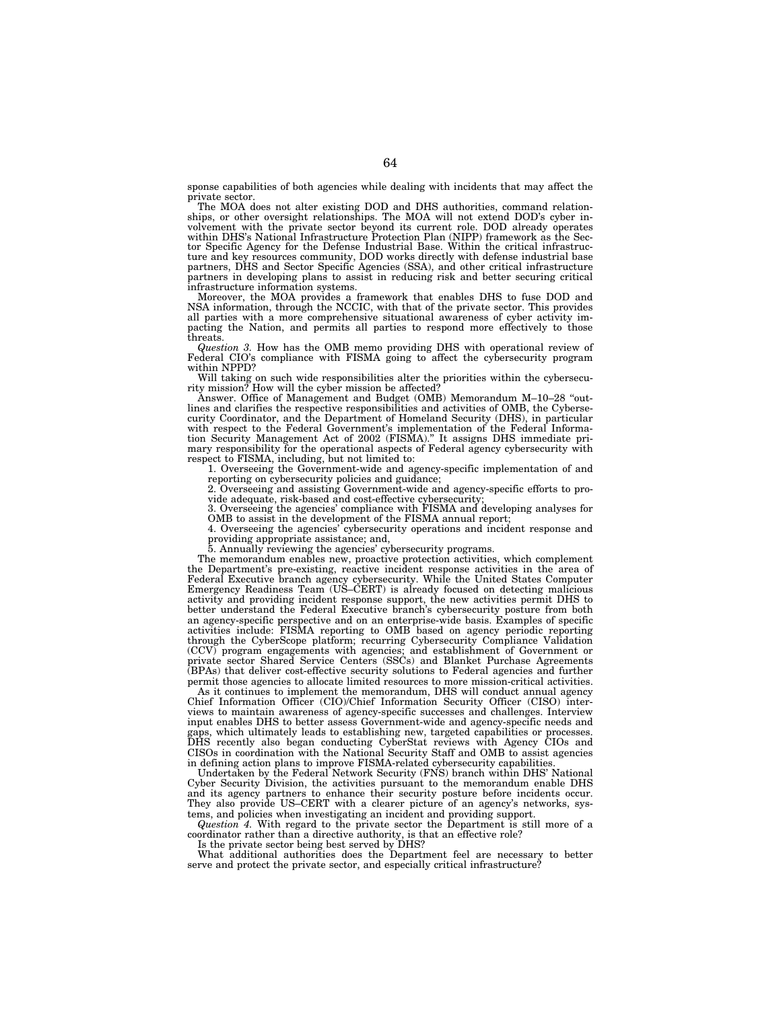sponse capabilities of both agencies while dealing with incidents that may affect the private sector.

The MOA does not alter existing DOD and DHS authorities, command relationships, or other oversight relationships. The MOA will not extend DOD's cyber involvement with the private sector beyond its current role. DOD already operates within DHS's National Infrastructure Protection Plan (NIPP) framework as the Sec-tor Specific Agency for the Defense Industrial Base. Within the critical infrastructure and key resources community, DOD works directly with defense industrial base partners, DHS and Sector Specific Agencies (SSA), and other critical infrastructure partners in developing plans to assist in reducing risk and better securing critical infrastructure information systems.

Moreover, the MOA provides a framework that enables DHS to fuse DOD and NSA information, through the NCCIC, with that of the private sector. This provides all parties with a more comprehensive situational awareness of cyber activity impacting the Nation, and permits all parties to respond more effectively to those threats.

*Question 3.* How has the OMB memo providing DHS with operational review of Federal CIO's compliance with FISMA going to affect the cybersecurity program within NPPD?

Will taking on such wide responsibilities alter the priorities within the cybersecu-rity mission? How will the cyber mission be affected?

Answer. Office of Management and Budget (OMB) Memorandum M–10–28 "out-<br>lines and clarifies the respective responsibilities and activities of OMB, the Cybersecurity Coordinator, and the Department of Homeland Security (DHS), in particular with respect to the Federal Government's implementation of the Federal Information Security Management Act of 2002 (FISMA).'' It assigns DHS immediate primary responsibility for the operational aspects of Federal agency cybersecurity with respect to FISMA, including, but not limited to:

1. Overseeing the Government-wide and agency-specific implementation of and reporting on cybersecurity policies and guidance;

2. Overseeing and assisting Government-wide and agency-specific efforts to provide adequate, risk-based and cost-effective cybersecurity;

3. Overseeing the agencies' compliance with FISMA and developing analyses for OMB to assist in the development of the FISMA annual report;

4. Overseeing the agencies' cybersecurity operations and incident response and providing appropriate assistance; and, 5. Annually reviewing the agencies' cybersecurity programs.

The memorandum enables new, proactive protection activities, which complement the Department's pre-existing, reactive incident response activities in the area of Federal Executive branch agency cybersecurity. While the United States Computer Emergency Readiness Team (US–CERT) is already focused on detecting malicious activity and providing incident response support, the new activities permit DHS to better understand the Federal Executive branch's cybersecurity posture from both an agency-specific perspective and on an enterprise-wide basis. Examples of specific activities include: FISMA reporting to OMB based on agency periodic reporting through the CyberScope platform; recurring Cybersecurity Compliance Validation (CCV) program engagements with agencies; and establishment of Government or private sector Shared Service Centers (SSCs) and Blanket Purchase Agreements (BPAs) that deliver cost-effective security solutions to Federal agencies and further permit those agencies to allocate limited resources to more mission-critical activities.

As it continues to implement the memorandum, DHS will conduct annual agency Chief Information Officer (CIO)/Chief Information Security Officer (CISO) interviews to maintain awareness of agency-specific successes and challenges. Interview input enables DHS to better assess Government-wide and agency-specific needs and gaps, which ultimately leads to establishing new, targeted capabilities or processes. DHS recently also began conducting CyberStat reviews with Agency CIOs and CISOs in coordination with the National Security Staff and OMB to assist agencies in defining action plans to improve FISMA-related cybersecurity capabilities.

Undertaken by the Federal Network Security (FNS) branch within DHS' National Cyber Security Division, the activities pursuant to the memorandum enable DHS and its agency partners to enhance their security posture before incidents occur. They also provide US–CERT with a clearer picture of an agency's networks, systems, and policies when investigating an incident and providing support.

*Question 4.* With regard to the private sector the Department is still more of a coordinator rather than a directive authority, is that an effective role?

Is the private sector being best served by DHS?

What additional authorities does the Department feel are necessary to better serve and protect the private sector, and especially critical infrastructure?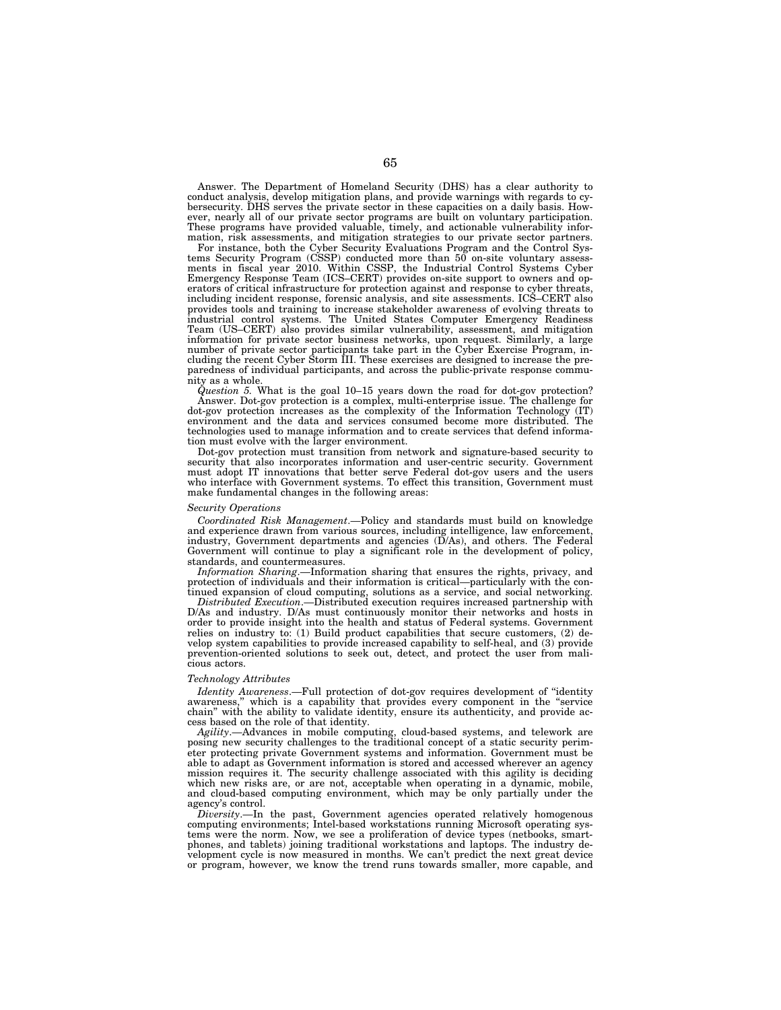Answer. The Department of Homeland Security (DHS) has a clear authority to conduct analysis, develop mitigation plans, and provide warnings with regards to cybersecurity. DHS serves the private sector in these capacities on a daily basis. However, nearly all of our private sector programs are built on voluntary participation. These programs have provided valuable, timely, and actionable vulnerability information, risk assessments, and mitigation strategies to our private sector partners.

For instance, both the Cyber Security Evaluations Program and the Control Systems Security Program (CSSP) conducted more than 50 on-site voluntary assessments in fiscal year 2010. Within CSSP, the Industrial Control Systems Cyber Emergency Response Team (ICS–CERT) provides on-site support to owners and operators of critical infrastructure for protection against and response to cyber threats, including incident response, forensic analysis, and site assessments. ICS–CERT also provides tools and training to increase stakeholder awareness of evolving threats to industrial control systems. The United States Computer Emergency Readiness Team (US–CERT) also provides similar vulnerability, assessment, and mitigation information for private sector business networks, upon request. Similarly, a large number of private sector participants take part in the Cyber Exercise Program, including the recent Cyber Storm III. These exercises are designed to increase the preparedness of individual participants, and across the public-private response community as a whole.

*Question 5.* What is the goal 10–15 years down the road for dot-gov protection? Answer. Dot-gov protection is a complex, multi-enterprise issue. The challenge for dot-gov protection increases as the complexity of the Information Technology (IT) environment and the data and services consumed become more distributed. The technologies used to manage information and to create services that defend information must evolve with the larger environment.

Dot-gov protection must transition from network and signature-based security to security that also incorporates information and user-centric security. Government must adopt IT innovations that better serve Federal dot-gov users and the users who interface with Government systems. To effect this transition, Government must make fundamental changes in the following areas:

## *Security Operations*

*Coordinated Risk Management*.—Policy and standards must build on knowledge and experience drawn from various sources, including intelligence, law enforcement, industry, Government departments and agencies (D/As), and others. The Federal Government will continue to play a significant role in the development of policy, standards, and countermeasures.

*Information Sharing*.—Information sharing that ensures the rights, privacy, and protection of individuals and their information is critical—particularly with the continued expansion of cloud computing, solutions as a service, and social networking.

*Distributed Execution*.—Distributed execution requires increased partnership with D/As and industry. D/As must continuously monitor their networks and hosts in order to provide insight into the health and status of Federal systems. Government relies on industry to: (1) Build product capabilities that secure customers, (2) develop system capabilities to provide increased capability to self-heal, and (3) provide prevention-oriented solutions to seek out, detect, and protect the user from malicious actors.

# *Technology Attributes*

*Identity Awareness*.—Full protection of dot-gov requires development of ''identity awareness," which is a capability that provides every component in the "service chain'' with the ability to validate identity, ensure its authenticity, and provide access based on the role of that identity.

*Agility*.—Advances in mobile computing, cloud-based systems, and telework are posing new security challenges to the traditional concept of a static security perimeter protecting private Government systems and information. Government must be able to adapt as Government information is stored and accessed wherever an agency mission requires it. The security challenge associated with this agility is deciding which new risks are, or are not, acceptable when operating in a dynamic, mobile, and cloud-based computing environment, which may be only partially under the agency's control.

*Diversity*.—In the past, Government agencies operated relatively homogenous computing environments; Intel-based workstations running Microsoft operating systems were the norm. Now, we see a proliferation of device types (netbooks, smartphones, and tablets) joining traditional workstations and laptops. The industry development cycle is now measured in months. We can't predict the next great device or program, however, we know the trend runs towards smaller, more capable, and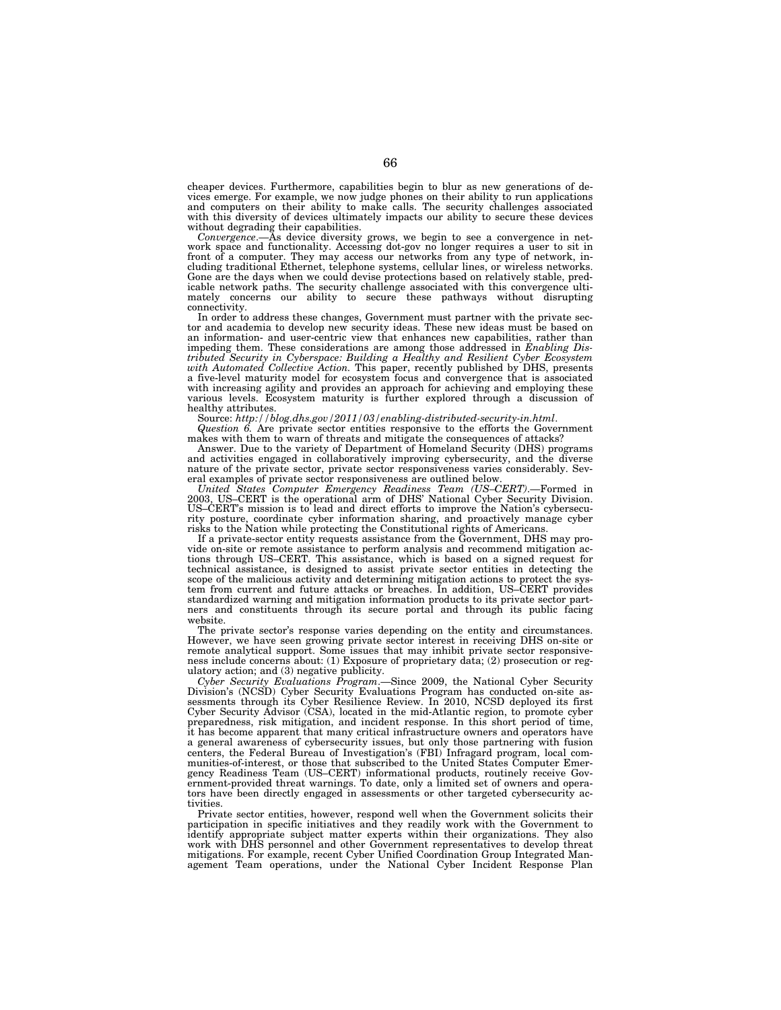cheaper devices. Furthermore, capabilities begin to blur as new generations of devices emerge. For example, we now judge phones on their ability to run applications and computers on their ability to make calls. The security challenges associated with this diversity of devices ultimately impacts our ability to secure these devices without degrading their capabilities.

*Convergence*.—As device diversity grows, we begin to see a convergence in net-work space and functionality. Accessing dot-gov no longer requires a user to sit in front of a computer. They may access our networks from any type of network, in-cluding traditional Ethernet, telephone systems, cellular lines, or wireless networks. Gone are the days when we could devise protections based on relatively stable, predicable network paths. The security challenge associated with this convergence ultimately concerns our ability to secure these pathways without disrupting connectivity.

In order to address these changes, Government must partner with the private sec-tor and academia to develop new security ideas. These new ideas must be based on an information- and user-centric view that enhances new capabilities, rather than impeding them. These considerations are among those addressed in *Enabling Distributed Security in Cyberspace: Building a Healthy and Resilient Cyber Ecosystem with Automated Collective Action.* This paper, recently published by DHS, presents a five-level maturity model for ecosystem focus and convergence that is associated with increasing agility and provides an approach for achieving and employing these various levels. Ecosystem maturity is further explored through a discussion of  $\label{eq:1} \begin{array}{ll} \text{healthly attributes.}\\ \text{Source:}~http://blog.dhs.gov/2011/03/enabling-distributed-security-in.html. \end{array}$ 

Source: *http://blog.dhs.gov/2011/03/enabling-distributed-security-in.html*. *Question 6.* Are private sector entities responsive to the efforts the Government makes with them to warn of threats and mitigate the consequences of attacks?

Answer. Due to the variety of Department of Homeland Security (DHS) programs and activities engaged in collaboratively improving cybersecurity, and the diverse nature of the private sector, private sector responsiveness varies considerably. Several examples of private sector responsiveness are outlined below.

*United States Computer Emergency Readiness Team (US–CERT)*.—Formed in 2003, US–CERT is the operational arm of DHS' National Cyber Security Division. US–CERT's mission is to lead and direct efforts to improve the Nation's cybersecurity posture, coordinate cyber information sharing, and proactively manage cyber risks to the Nation while protecting the Constitutional rights of Americans.

If a private-sector entity requests assistance from the Government, DHS may provide on-site or remote assistance to perform analysis and recommend mitigation actions through US–CERT. This assistance, which is based on a signed request for technical assistance, is designed to assist private sector entities in detecting the scope of the malicious activity and determining mitigation actions to protect the system from current and future attacks or breaches. In addition, US–CERT provides standardized warning and mitigation information products to its private sector partners and constituents through its secure portal and through its public facing website.

The private sector's response varies depending on the entity and circumstances. However, we have seen growing private sector interest in receiving DHS on-site or remote analytical support. Some issues that may inhibit private sector responsiveness include concerns about: (1) Exposure of proprietary data; (2) prosecution or regulatory action; and (3) negative publicity.

*Cyber Security Evaluations Program*.—Since 2009, the National Cyber Security Division's (NCSD) Cyber Security Evaluations Program has conducted on-site assessments through its Cyber Resilience Review. In 2010, NCSD deployed its first Cyber Security Advisor (CSA), located in the mid-Atlantic region, to promote cyber preparedness, risk mitigation, and incident response. In this short period of time, it has become apparent that many critical infrastructure owners and operators have a general awareness of cybersecurity issues, but only those partnering with fusion centers, the Federal Bureau of Investigation's (FBI) Infragard program, local communities-of-interest, or those that subscribed to the United States Computer Emergency Readiness Team (US–CERT) informational products, routinely receive Government-provided threat warnings. To date, only a limited set of owners and operators have been directly engaged in assessments or other targeted cybersecurity activities.

Private sector entities, however, respond well when the Government solicits their participation in specific initiatives and they readily work with the Government to identify appropriate subject matter experts within their organizations. They also work with DHS personnel and other Government representatives to develop threat mitigations. For example, recent Cyber Unified Coordination Group Integrated Management Team operations, under the National Cyber Incident Response Plan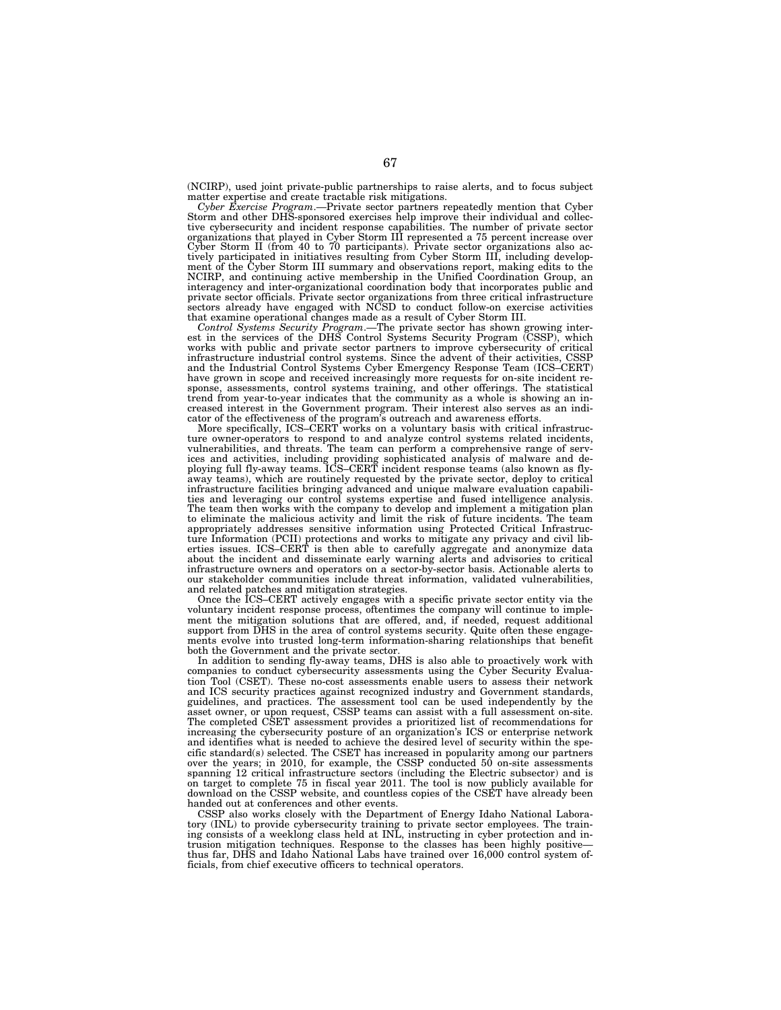(NCIRP), used joint private-public partnerships to raise alerts, and to focus subject matter expertise and create tractable risk mitigations.

*Cyber Exercise Program*.—Private sector partners repeatedly mention that Cyber Storm and other DHS-sponsored exercises help improve their individual and collective cybersecurity and incident response capabilities. The number of private sector<br>organizations that played in Cyber Storm III represented a 75 percent increase over<br>Cyber Storm II (from 40 to 70 participants). Private s tively participated in initiatives resulting from Cyber Storm III, including development of the Cyber Storm III summary and observations report, making edits to the NCIRP, and continuing active membership in the Unified Coordination Group, an interagency and inter-organizational coordination body that incorporates public and private sector officials. Private sector organizations from three critical infrastructure sectors already have engaged with NCSD to conduct follow-on exercise activities

that examine operational changes made as a result of Cyber Storm III.<br>Control Systems Security Program.—The private sector has shown growing inter-<br>est in the services of the DHS Control Systems Security Program (CSSP), wh works with public and private sector partners to improve cybersecurity of critical infrastructure industrial control systems. Since the advent of their activities, CSSP and the Industrial Control Systems Cyber Emergency Response Team (ICS–CERT) have grown in scope and received increasingly more requests for on-site incident re-sponse, assessments, control systems training, and other offerings. The statistical trend from year-to-year indicates that the community as a whole is showing an increased interest in the Government program. Their interest also serves as an indi-

cator of the effectiveness of the program's outreach and awareness efforts. More specifically, ICS–CERT works on a voluntary basis with critical infrastructure owner-operators to respond to and analyze control systems related incidents, vulnerabilities, and threats. The team can perform a comprehensive range of services and activities, including providing sophisticated analysis of malware and de-ploying full fly-away teams. ICS–CERT incident response teams (also known as flyaway teams), which are routinely requested by the private sector, deploy to critical infrastructure facilities bringing advanced and unique malware evaluation capabilities and leveraging our control systems expertise and f The team then works with the company to develop and implement a mitigation plan<br>to eliminate the malicious activity and limit the risk of future incidents. The team<br>appropriately addresses sensitive information using Prote ture Information (PCII) protections and works to mitigate any privacy and civil lib-erties issues. ICS–CERT is then able to carefully aggregate and anonymize data about the incident and disseminate early warning alerts and advisories to critical infrastructure owners and operators on a sector-by-sector basis. Actionable alerts to our stakeholder communities include threat information, validated vulnerabilities, and related patches and mitigation strategies.

Once the ICS–CERT actively engages with a specific private sector entity via the voluntary incident response process, oftentimes the company will continue to implement the mitigation solutions that are offered, and, if needed, request additional support from DHS in the area of control systems security. Quite often these engagements evolve into trusted long-term information-sharing relationships that benefit both the Government and the private sector.

In addition to sending fly-away teams, DHS is also able to proactively work with companies to conduct cybersecurity assessments using the Cyber Security Evaluation Tool (CSET). These no-cost assessments enable users to assess their network and ICS security practices against recognized industry and Government standards, guidelines, and practices. The assessment tool can be used independently by the asset owner, or upon request, CSSP teams can assist with a full assessment on-site. The completed CSET assessment provides a prioritized list of recommendations for increasing the cybersecurity posture of an organization's ICS or enterprise network and identifies what is needed to achieve the desired level of security within the specific standard(s) selected. The CSET has increased in popularity among our partners over the years; in 2010, for example, the CSSP conducted 50 on-site assessments spanning 12 critical infrastructure sectors (including the Electric subsector) and is on target to complete 75 in fiscal year 2011. The tool is now publicly available for download on the CSSP website, and countless copies of the CSET have already been handed out at conferences and other events.

CSSP also works closely with the Department of Energy Idaho National Laboratory (INL) to provide cybersecurity training to private sector employees. The training consists of a weeklong class held at INL, instructing in cyber protection and intrusion mitigation techniques. Response to the classes has been highly positive— thus far, DHS and Idaho National Labs have trained over 16,000 control system officials, from chief executive officers to technical operators.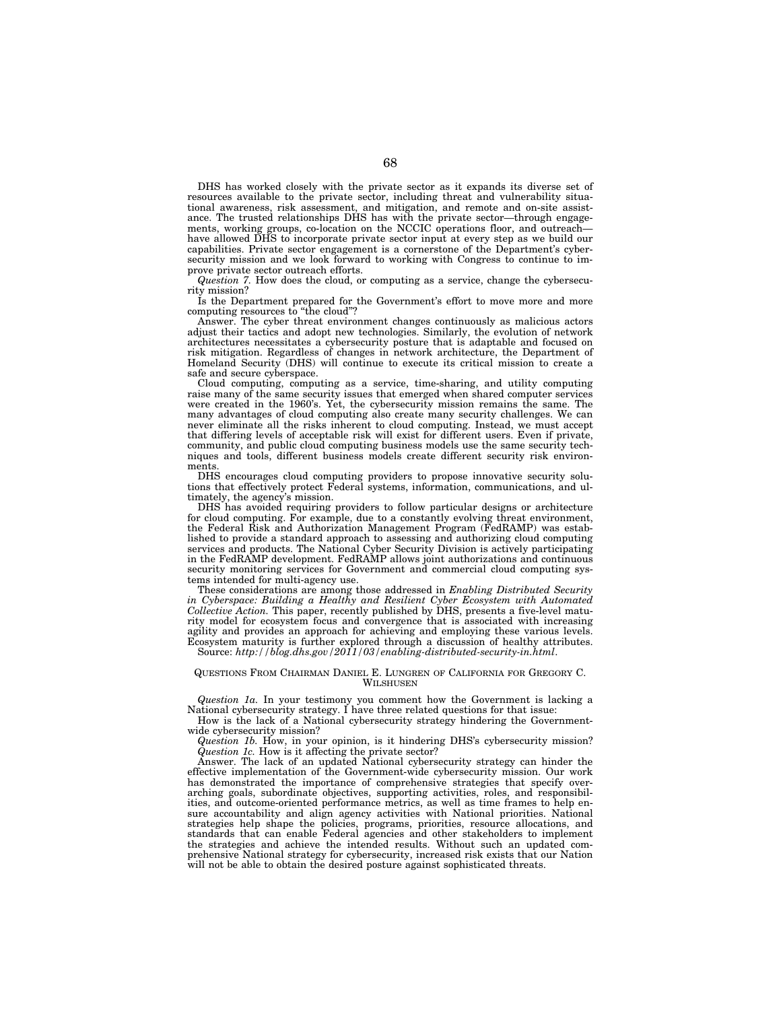DHS has worked closely with the private sector as it expands its diverse set of resources available to the private sector, including threat and vulnerability situational awareness, risk assessment, and mitigation, and remote and on-site assistance. The trusted relationships DHS has with the private sector—through engagements, working groups, co-location on the NCCIC operations floor, and outreach have allowed DHS to incorporate private sector input at every step as we build our capabilities. Private sector engagement is a cornerstone of the Department's cybersecurity mission and we look forward to working with Congress to continue to improve private sector outreach efforts.

*Question 7.* How does the cloud, or computing as a service, change the cybersecurity mission?

Is the Department prepared for the Government's effort to move more and more computing resources to "the cloud"?

Answer. The cyber threat environment changes continuously as malicious actors adjust their tactics and adopt new technologies. Similarly, the evolution of network architectures necessitates a cybersecurity posture that is adaptable and focused on risk mitigation. Regardless of changes in network architecture, the Department of Homeland Security (DHS) will continue to execute its critical mission to create a safe and secure cyberspace.

Cloud computing, computing as a service, time-sharing, and utility computing raise many of the same security issues that emerged when shared computer services were created in the 1960's. Yet, the cybersecurity mission remains the same. The many advantages of cloud computing also create many security challenges. We can never eliminate all the risks inherent to cloud computing. Instead, we must accept that differing levels of acceptable risk will exist for different users. Even if private, community, and public cloud computing business models use the same security techniques and tools, different business models create different security risk environments.

DHS encourages cloud computing providers to propose innovative security solutions that effectively protect Federal systems, information, communications, and ultimately, the agency's mission.

DHS has avoided requiring providers to follow particular designs or architecture for cloud computing. For example, due to a constantly evolving threat environment, the Federal Risk and Authorization Management Program (FedRAMP) was established to provide a standard approach to assessing and authorizing cloud computing services and products. The National Cyber Security Division is actively participating in the FedRAMP development. FedRAMP allows joint authorizations and continuous security monitoring services for Government and commercial cloud computing systems intended for multi-agency use.

These considerations are among those addressed in *Enabling Distributed Security in Cyberspace: Building a Healthy and Resilient Cyber Ecosystem with Automated Collective Action.* This paper, recently published by DHS, presents a five-level maturity model for ecosystem focus and convergence that is associated with increasing agility and provides an approach for achieving and employing these various levels. Ecosystem maturity is further explored through a discussion of healthy attributes. Source: *http://blog.dhs.gov/2011/03/enabling-distributed-security-in.html*.

#### QUESTIONS FROM CHAIRMAN DANIEL E. LUNGREN OF CALIFORNIA FOR GREGORY C. WILSHUSEN

*Question 1a.* In your testimony you comment how the Government is lacking a National cybersecurity strategy. I have three related questions for that issue:

How is the lack of a National cybersecurity strategy hindering the Governmentwide cybersecurity mission?

*Question 1b.* How, in your opinion, is it hindering DHS's cybersecurity mission? *Question 1c.* How is it affecting the private sector?

Answer. The lack of an updated National cybersecurity strategy can hinder the effective implementation of the Government-wide cybersecurity mission. Our work has demonstrated the importance of comprehensive strategies that specify overarching goals, subordinate objectives, supporting activities, roles, and responsibilities, and outcome-oriented performance metrics, as well as time frames to help ensure accountability and align agency activities with National priorities. National strategies help shape the policies, programs, priorities, resource allocations, and standards that can enable Federal agencies and other stakeholders to implement the strategies and achieve the intended results. Without such an updated comprehensive National strategy for cybersecurity, increased risk exists that our Nation will not be able to obtain the desired posture against sophisticated threats.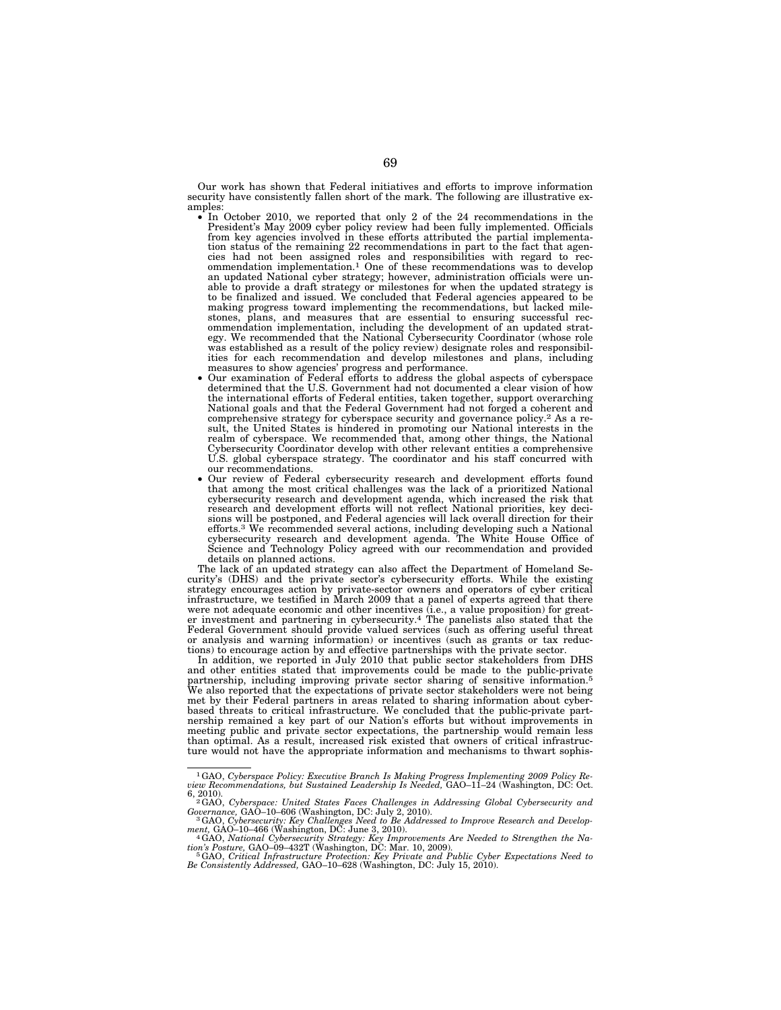Our work has shown that Federal initiatives and efforts to improve information security have consistently fallen short of the mark. The following are illustrative examples:

- amples: In October 2010, we reported that only 2 of the 24 recommendations in the President's May 2009 cyber policy review had been fully implemented. Officials from key agencies involved in these efforts attributed the partial implementation status of the remaining 22 recommendations in part to the fact that agencies had not been assigned roles and responsibilities with regard to rec-ommendation implementation.1 One of these recommendations was to develop an updated National cyber strategy; however, administration officials were unable to provide a draft strategy or milestones for when the updated strategy is to be finalized and issued. We concluded that Federal agencies appeared to be making progress toward implementing the recommendations, but lacked milestones, plans, and measures that are essential to ensuring successful rec-ommendation implementation, including the development of an updated strategy. We recommended that the National Cybersecurity Coordinator (whose role was established as a result of the policy review) designate roles and responsibilities for each recommendation and develop milestones and plans, including
	- measures to show agencies' progress and performance. Our examination of Federal efforts to address the global aspects of cyberspace determined that the U.S. Government had not documented a clear vision of how the international efforts of Federal entities, taken together, support overarching National goals and that the Federal Government had not forged a coherent and comprehensive strategy for cyberspace security and governance policy.2 As a re-sult, the United States is hindered in promoting our National interests in the realm of cyberspace. We recommended that, among other things, the National Cybersecurity Coordinator develop with other relevant entities a comprehensive U.S. global cyberspace strategy. The coordinator and his staff concurred with our recommendations.<br>Our review of Federal cybersecurity research and development efforts found
	- that among the most critical challenges was the lack of a prioritized National cybersecurity research and development agenda, which increased the risk that<br>research and development efforts will not reflect National priorities, key deci-<br>sions will be postponed, and Federal agencies will lack overall efforts.3 We recommended several actions, including developing such a National cybersecurity research and development agenda. The White House Office of Science and Technology Policy agreed with our recommendation and provided details on planned actions.

The lack of an updated strategy can also affect the Department of Homeland Security's (DHS) and the private sector's cybersecurity efforts. While the existing strategy encourages action by private-sector owners and operators of cyber critical infrastructure, we testified in March 2009 that a panel of experts agreed that there were not adequate economic and other incentives (i.e., a value proposition) for greater investment and partnering in cybersecurity.4 The panelists also stated that the Federal Government should provide valued services (such as offering useful threat or analysis and warning information) or incentives (such as grants or tax reductions) to encourage action by and effective partnerships with the private sector.

In addition, we reported in July 2010 that public sector stakeholders from DHS and other entities stated that improvements could be made to the public-private partnership, including improving private sector sharing of sensitive information.5 We also reported that the expectations of private sector stakeholders were not being met by their Federal partners in areas related to sharing information about cyber-based threats to critical infrastructure. We concluded that the public-private partnership remained a key part of our Nation's efforts but without improvements in meeting public and private sector expectations, the partnership would remain less than optimal. As a result, increased risk existed that owners of critical infrastructure would not have the appropriate information and mechanisms to thwart sophis-

<sup>1</sup>GAO, *Cyberspace Policy: Executive Branch Is Making Progress Implementing 2009 Policy Re-view Recommendations, but Sustained Leadership Is Needed,* GAO–11–24 (Washington, DC: Oct.

<sup>6, 2010). 2</sup>GAO, *Cyberspace: United States Faces Challenges in Addressing Global Cybersecurity and Governance,* GAO–10–606 (Washington, DC: July 2, 2010). 3GAO, *Cybersecurity: Key Challenges Need to Be Addressed to Improve Research and Develop-*

*ment, GAO–10–466 (Washington, DC: June 3, 2010).*<br>
4GAO, *National Cybersecurity Strategy: Key Improvements Are Needed to Strengthen the Nation's Posture, GAO–09–432T (Washington, DC: Mar. 10, 2009).<br>
<sup>2014</sup> Dublis Cyber* 

tion's Posture, GAO–09–432T (Washington, DC: Mar. 10, 2009).<br>『GAO, Critical Infrastructure Protection: Key Private and Public Cyber Expectations Need to<br>Be Consistently Addressed, GAO–10–628 (Washington, DC: July 15, 2010)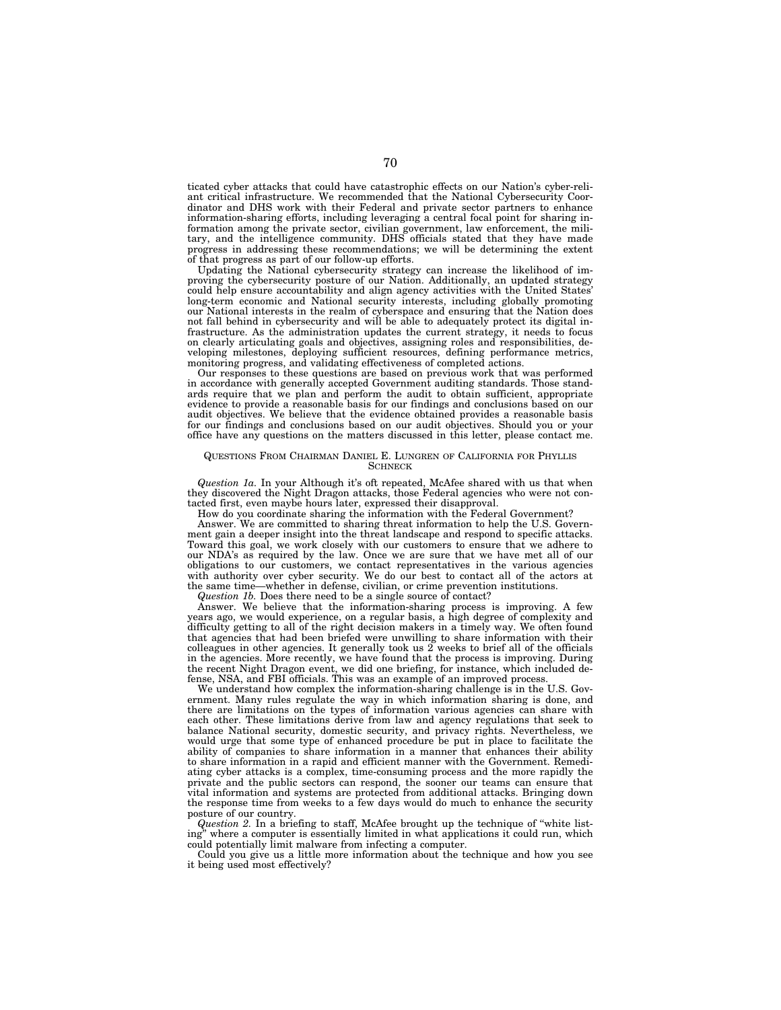ticated cyber attacks that could have catastrophic effects on our Nation's cyber-reliant critical infrastructure. We recommended that the National Cybersecurity Coordinator and DHS work with their Federal and private sector partners to enhance information-sharing efforts, including leveraging a central focal point for sharing information among the private sector, civilian government, law enforcement, the military, and the intelligence community. DHS officials stated that they have made progress in addressing these recommendations; we will be determining the extent of that progress as part of our follow-up efforts.

Updating the National cybersecurity strategy can increase the likelihood of improving the cybersecurity posture of our Nation. Additionally, an updated strategy could help ensure accountability and align agency activities with the United States' long-term economic and National security interests, including globally promoting our National interests in the realm of cyberspace and ensuring that the Nation does not fall behind in cybersecurity and will be able to adequately protect its digital infrastructure. As the administration updates the current strategy, it needs to focus on clearly articulating goals and objectives, assigning roles and responsibilities, developing milestones, deploying sufficient resources, defining performance metrics, monitoring progress, and validating effectiveness of completed actions.

Our responses to these questions are based on previous work that was performed in accordance with generally accepted Government auditing standards. Those standards require that we plan and perform the audit to obtain sufficient, appropriate evidence to provide a reasonable basis for our findings and conclusions based on our audit objectives. We believe that the evidence obtained provides a reasonable basis for our findings and conclusions based on our audit objectives. Should you or your office have any questions on the matters discussed in this letter, please contact me.

## QUESTIONS FROM CHAIRMAN DANIEL E. LUNGREN OF CALIFORNIA FOR PHYLLIS **SCHNECK**

*Question 1a.* In your Although it's oft repeated, McAfee shared with us that when they discovered the Night Dragon attacks, those Federal agencies who were not contacted first, even maybe hours later, expressed their disapproval.

How do you coordinate sharing the information with the Federal Government?

Answer. We are committed to sharing threat information to help the U.S. Government gain a deeper insight into the threat landscape and respond to specific attacks. Toward this goal, we work closely with our customers to ensure that we adhere to our NDA's as required by the law. Once we are sure that we have met all of our obligations to our customers, we contact representatives in the various agencies with authority over cyber security. We do our best to contact all of the actors at the same time—whether in defense, civilian, or crime prevention institutions. -whether in defense, civilian, or crime prevention institutions.

*Question 1b.* Does there need to be a single source of contact?

Answer. We believe that the information-sharing process is improving. A few years ago, we would experience, on a regular basis, a high degree of complexity and difficulty getting to all of the right decision makers in a timely way. We often found that agencies that had been briefed were unwilling to share information with their colleagues in other agencies. It generally took us 2 weeks to brief all of the officials in the agencies. More recently, we have found that the process is improving. During the recent Night Dragon event, we did one briefing, for instance, which included defense, NSA, and FBI officials. This was an example of an improved process.

We understand how complex the information-sharing challenge is in the U.S. Government. Many rules regulate the way in which information sharing is done, and there are limitations on the types of information various agencies can share with each other. These limitations derive from law and agency regulations that seek to balance National security, domestic security, and privacy rights. Nevertheless, we would urge that some type of enhanced procedure be put in place to facilitate the ability of companies to share information in a manner that enhances their ability to share information in a rapid and efficient manner with the Government. Remediating cyber attacks is a complex, time-consuming process and the more rapidly the private and the public sectors can respond, the sooner our teams can ensure that vital information and systems are protected from additional attacks. Bringing down the response time from weeks to a few days would do much to enhance the security posture of our country.

*Question 2.* In a briefing to staff, McAfee brought up the technique of "white list-<br>ing" where a computer is essentially limited in what applications it could run, which where a computer is essentially limited in what applications it could run, which could potentially limit malware from infecting a computer.

Could you give us a little more information about the technique and how you see it being used most effectively?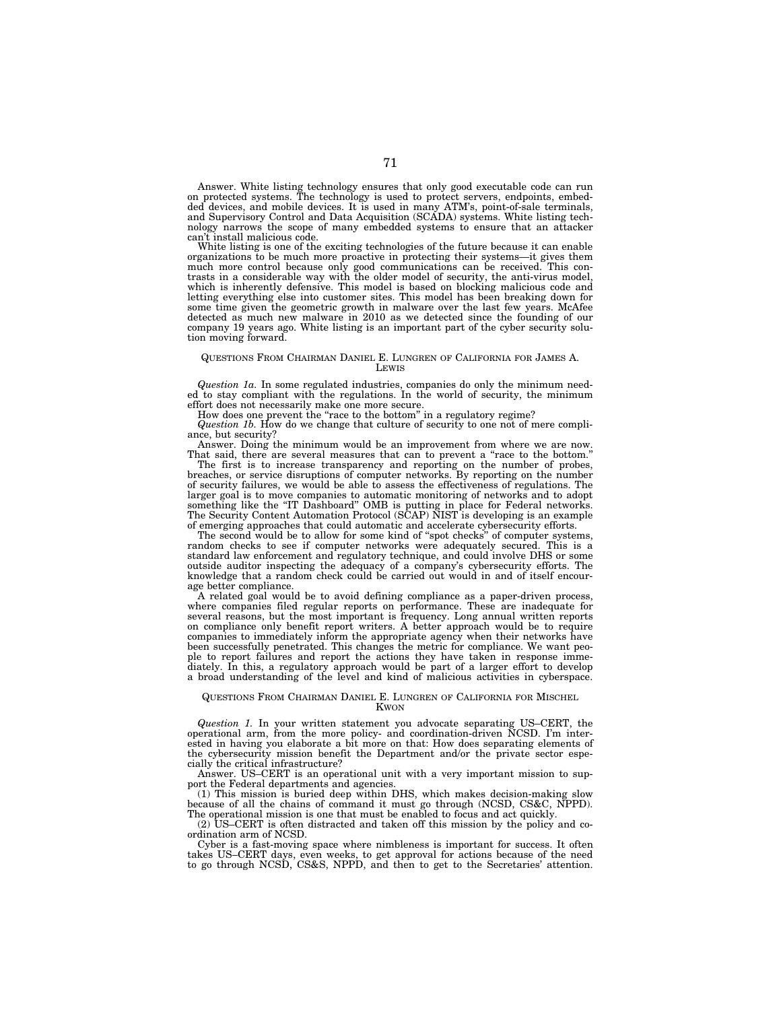Answer. White listing technology ensures that only good executable code can run on protected systems. The technology is used to protect servers, endpoints, embedded devices, and mobile devices. It is used in many ATM's, point-of-sale terminals, and Supervisory Control and Data Acquisition (SCADA) systems. White listing technology narrows the scope of many embedded systems to ensure that an attacker can't install malicious code.

White listing is one of the exciting technologies of the future because it can enable organizations to be much more proactive in protecting their systems—it gives them much more control because only good communications can be received. This con-trasts in a considerable way with the older model of security, the anti-virus model, which is inherently defensive. This model is based on blocking malicious code and letting everything else into customer sites. This model has been breaking down for some time given the geometric growth in malware over the last few years. McAfee detected as much new malware in 2010 as we detected since the founding of our company 19 years ago. White listing is an important part of the cyber security solution moving forward.

## QUESTIONS FROM CHAIRMAN DANIEL E. LUNGREN OF CALIFORNIA FOR JAMES A. LEWIS

*Question 1a.* In some regulated industries, companies do only the minimum need-<br>ed to stay compliant with the regulations. In the world of security, the minimum effort does not necessarily make one more secure. How does one prevent the ''race to the bottom'' in a regulatory regime?

*Question 1b.* How do we change that culture of security to one not of mere compliance, but security?

Answer. Doing the minimum would be an improvement from where we are now. That said, there are several measures that can to prevent a ''race to the bottom.''

The first is to increase transparency and reporting on the number of probes, breaches, or service disruptions of computer networks. By reporting on the number of security failures, we would be able to assess the effectiveness of regulations. The larger goal is to move companies to automatic monitoring of networks and to adopt something like the ''IT Dashboard'' OMB is putting in place for Federal networks. The Security Content Automation Protocol (SCAP) NIST is developing is an example of emerging approaches that could automatic and accelerate cybersecurity efforts.

The second would be to allow for some kind of ''spot checks'' of computer systems, random checks to see if computer networks were adequately secured. This is a standard law enforcement and regulatory technique, and could involve DHS or some outside auditor inspecting the adequacy of a company's cybersecurity efforts. The knowledge that a random check could be carried out would in and of itself encourage better compliance.

A related goal would be to avoid defining compliance as a paper-driven process, where companies filed regular reports on performance. These are inadequate for several reasons, but the most important is frequency. Long annual written reports on compliance only benefit report writers. A better approach would be to require companies to immediately inform the appropriate agency when their networks have been successfully penetrated. This changes the metric for compliance. We want people to report failures and report the actions they have taken in response immediately. In this, a regulatory approach would be part of a larger effort to develop a broad understanding of the level and kind of malicious activities in cyberspace.

## QUESTIONS FROM CHAIRMAN DANIEL E. LUNGREN OF CALIFORNIA FOR MISCHEL KWON

*Question 1.* In your written statement you advocate separating US–CERT, the operational arm, from the more policy- and coordination-driven NCSD. I'm interested in having you elaborate a bit more on that: How does separating elements of the cybersecurity mission benefit the Department and/or the private sector espe-cially the critical infrastructure?

Answer. US–CERT is an operational unit with a very important mission to support the Federal departments and agencies.

 $(1)$  This mission is buried deep within DHS, which makes decision-making because of all the chains of command it must go through (NCSD, CS&C, NPPD). The operational mission is one that must be enabled to focus and act quickly.

(2) US–CERT is often distracted and taken off this mission by the policy and coordination arm of NCSD.

Cyber is a fast-moving space where nimbleness is important for success. It often takes US–CERT days, even weeks, to get approval for actions because of the need to go through NCSD, CS&S, NPPD, and then to get to the Secretaries' attention.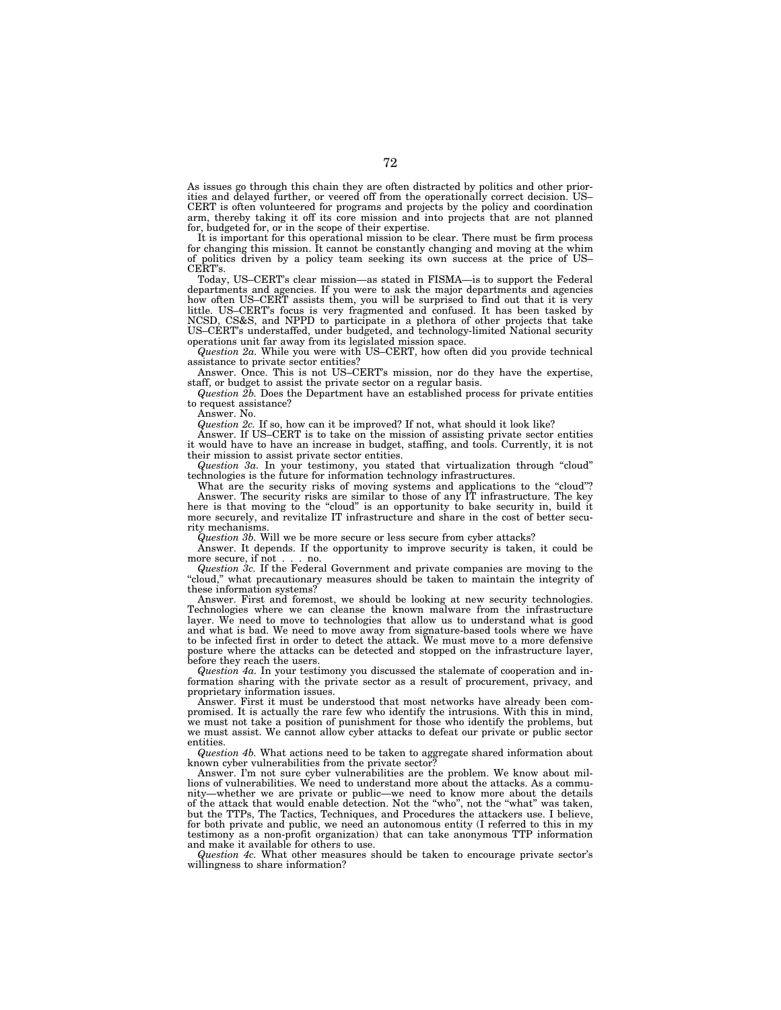As issues go through this chain they are often distracted by politics and other priorities and delayed further, or veered off from the operationally correct decision. US– CERT is often volunteered for programs and projects by the policy and coordination arm, thereby taking it off its core mission and into projects that are not planned for, budgeted for, or in the scope of their expertise.

It is important for this operational mission to be clear. There must be firm process for changing this mission. It cannot be constantly changing and moving at the whim of politics driven by a policy team seeking its own success at the price of US– CERT's.

Today, US–CERT's clear mission—as stated in FISMA—is to support the Federal departments and agencies. If you were to ask the major departments and agencies how often US–CERT assists them, you will be surprised to find out that it is very little. US–CERT's focus is very fragmented and confused. It has been tasked by NCSD, CS&S, and NPPD to participate in a plethora of other projects that take US–CERT's understaffed, under budgeted, and technology-limited National security operations unit far away from its legislated mission space.

*Question 2a.* While you were with US–CERT, how often did you provide technical assistance to private sector entities?

Answer. Once. This is not US–CERT's mission, nor do they have the expertise, staff, or budget to assist the private sector on a regular basis.

*Question 2b.* Does the Department have an established process for private entities to request assistance?

Answer. No.

*Question 2c.* If so, how can it be improved? If not, what should it look like?

Answer. If US–CERT is to take on the mission of assisting private sector entities it would have to have an increase in budget, staffing, and tools. Currently, it is not their mission to assist private sector entities.

*Question 3a.* In your testimony, you stated that virtualization through ''cloud'' technologies is the future for information technology infrastructures.

What are the security risks of moving systems and applications to the "cloud"? Answer. The security risks are similar to those of any IT infrastructure. The key here is that moving to the "cloud" is an opportunity to bake security in, build it more securely, and revitalize IT infrastructure and share in the cost of better security mechanisms.

*Question 3b.* Will we be more secure or less secure from cyber attacks?

Answer. It depends. If the opportunity to improve security is taken, it could be more secure, if not . . . no.

*Question 3c.* If the Federal Government and private companies are moving to the ''cloud,'' what precautionary measures should be taken to maintain the integrity of these information systems?

Answer. First and foremost, we should be looking at new security technologies. Technologies where we can cleanse the known malware from the infrastructure layer. We need to move to technologies that allow us to understand what is good and what is bad. We need to move away from signature-based tools where we have to be infected first in order to detect the attack. We must move to a more defensive posture where the attacks can be detected and stopped on the infrastructure layer, before they reach the users.

*Question 4a.* In your testimony you discussed the stalemate of cooperation and information sharing with the private sector as a result of procurement, privacy, and proprietary information issues.

Answer. First it must be understood that most networks have already been compromised. It is actually the rare few who identify the intrusions. With this in mind, we must not take a position of punishment for those who identify the problems, but we must assist. We cannot allow cyber attacks to defeat our private or public sector entities.

*Question 4b.* What actions need to be taken to aggregate shared information about known cyber vulnerabilities from the private sector?

Answer. I'm not sure cyber vulnerabilities are the problem. We know about millions of vulnerabilities. We need to understand more about the attacks. As a community—whether we are private or public—we need to know more about the details of the attack that would enable detection. Not the ''who'', not the ''what'' was taken, but the TTPs, The Tactics, Techniques, and Procedures the attackers use. I believe, for both private and public, we need an autonomous entity (I referred to this in my testimony as a non-profit organization) that can take anonymous TTP information and make it available for others to use.

*Question 4c.* What other measures should be taken to encourage private sector's willingness to share information?